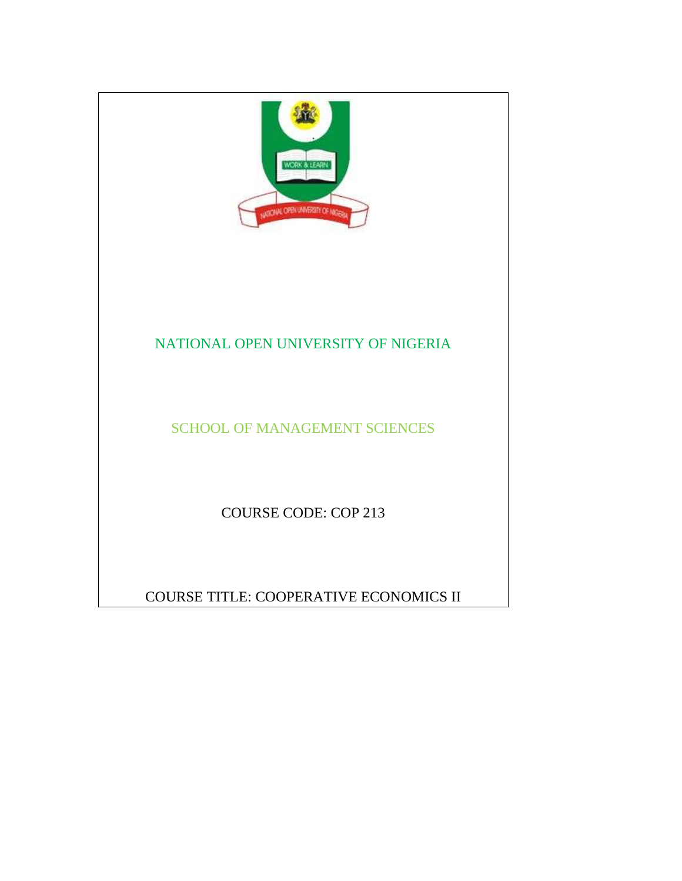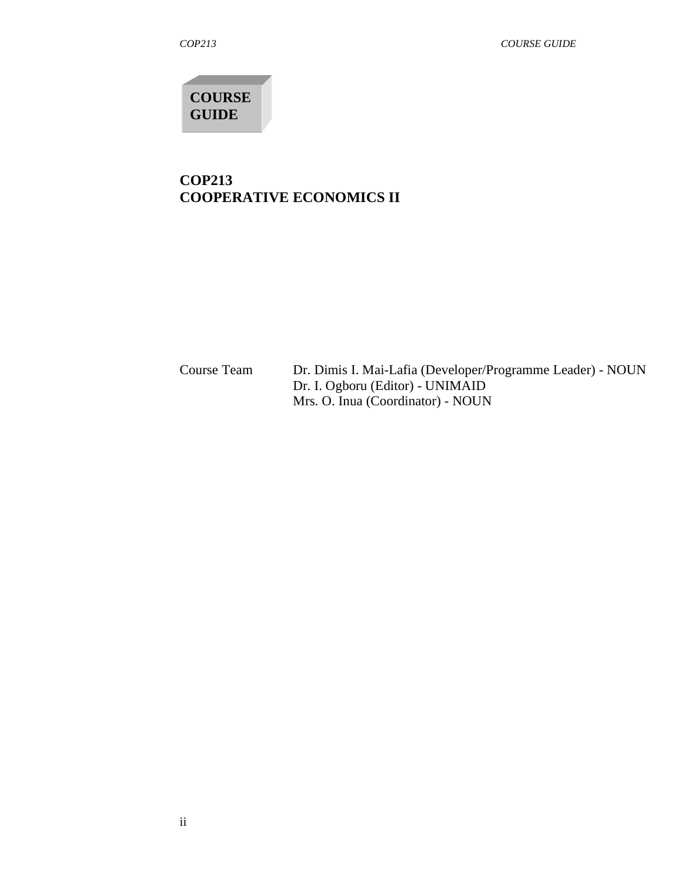**COURSE GUIDE** 

# **COP213 COOPERATIVE ECONOMICS II**

Course TeamDr. Dimis I. Mai-Lafia (Developer/Programme Leader) - NOUN Dr. I. Ogboru (Editor) - UNIMAID Mrs. O. Inua (Coordinator) - NOUN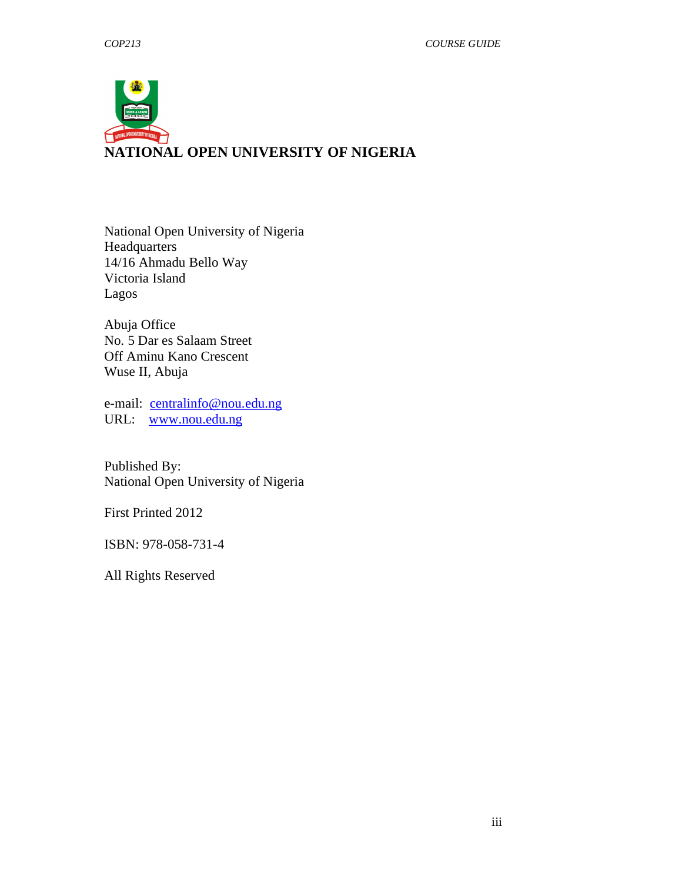

National Open University of Nigeria Headquarters 14/16 Ahmadu Bello Way Victoria Island Lagos

Abuja Office No. 5 Dar es Salaam Street Off Aminu Kano Crescent Wuse II, Abuja

e-mail: centralinfo@nou.edu.ng URL: www.nou.edu.ng

Published By: National Open University of Nigeria

First Printed 2012

ISBN: 978-058-731-4

All Rights Reserved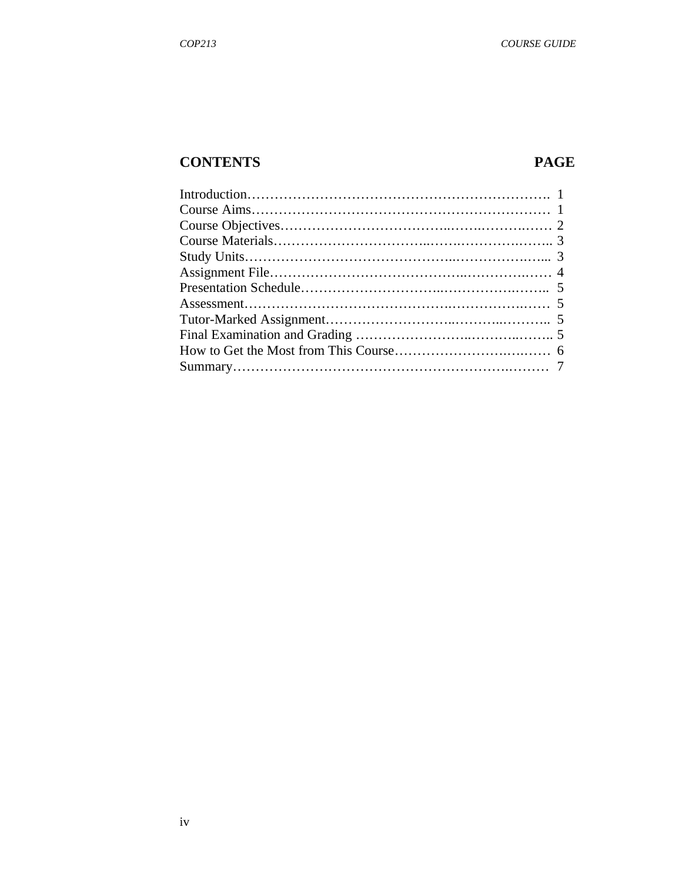# **CONTENTS PAGE**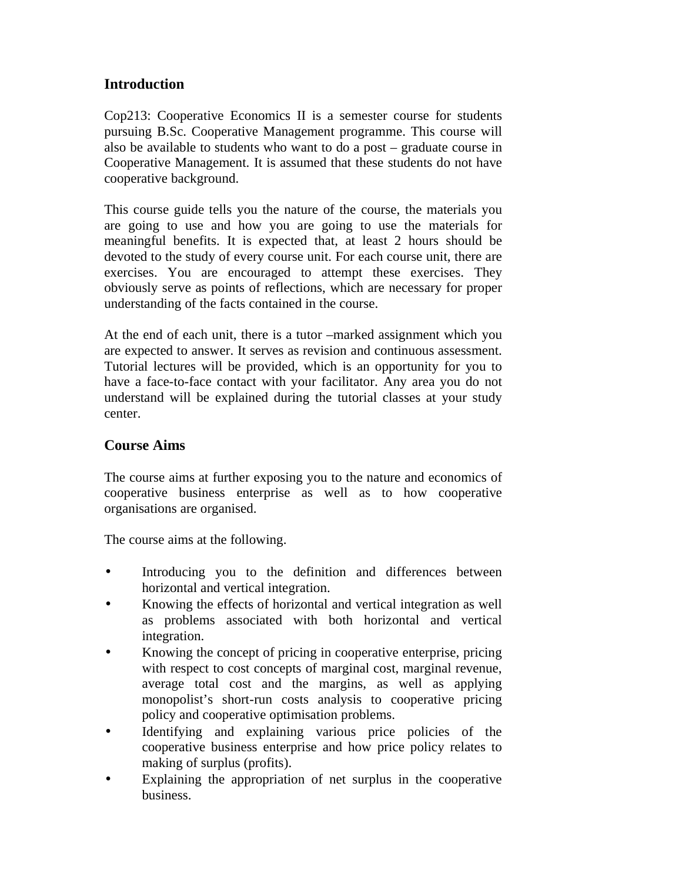# **Introduction**

Cop213: Cooperative Economics II is a semester course for students pursuing B.Sc. Cooperative Management programme. This course will also be available to students who want to do a post – graduate course in Cooperative Management. It is assumed that these students do not have cooperative background.

This course guide tells you the nature of the course, the materials you are going to use and how you are going to use the materials for meaningful benefits. It is expected that, at least 2 hours should be devoted to the study of every course unit. For each course unit, there are exercises. You are encouraged to attempt these exercises. They obviously serve as points of reflections, which are necessary for proper understanding of the facts contained in the course.

At the end of each unit, there is a tutor –marked assignment which you are expected to answer. It serves as revision and continuous assessment. Tutorial lectures will be provided, which is an opportunity for you to have a face-to-face contact with your facilitator. Any area you do not understand will be explained during the tutorial classes at your study center.

## **Course Aims**

The course aims at further exposing you to the nature and economics of cooperative business enterprise as well as to how cooperative organisations are organised.

The course aims at the following.

- Introducing you to the definition and differences between horizontal and vertical integration.
- Knowing the effects of horizontal and vertical integration as well as problems associated with both horizontal and vertical integration.
- Knowing the concept of pricing in cooperative enterprise, pricing with respect to cost concepts of marginal cost, marginal revenue, average total cost and the margins, as well as applying monopolist's short-run costs analysis to cooperative pricing policy and cooperative optimisation problems.
- Identifying and explaining various price policies of the cooperative business enterprise and how price policy relates to making of surplus (profits).
- Explaining the appropriation of net surplus in the cooperative business.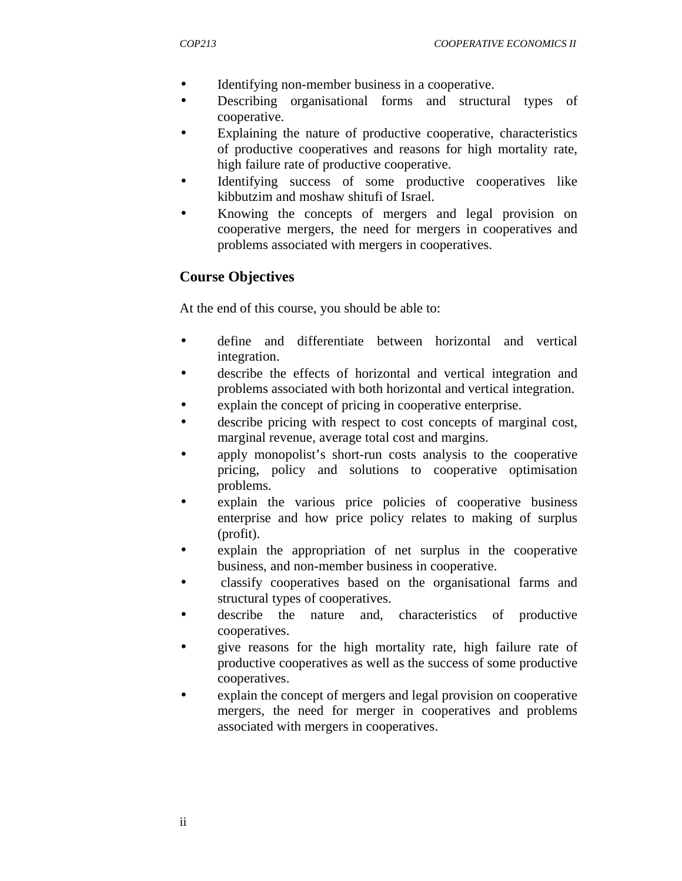- Identifying non-member business in a cooperative.
- Describing organisational forms and structural types of cooperative.
- Explaining the nature of productive cooperative, characteristics of productive cooperatives and reasons for high mortality rate, high failure rate of productive cooperative.
- Identifying success of some productive cooperatives like kibbutzim and moshaw shitufi of Israel.
- Knowing the concepts of mergers and legal provision on cooperative mergers, the need for mergers in cooperatives and problems associated with mergers in cooperatives.

# **Course Objectives**

At the end of this course, you should be able to:

- define and differentiate between horizontal and vertical integration.
- describe the effects of horizontal and vertical integration and problems associated with both horizontal and vertical integration.
- explain the concept of pricing in cooperative enterprise.
- describe pricing with respect to cost concepts of marginal cost, marginal revenue, average total cost and margins.
- apply monopolist's short-run costs analysis to the cooperative pricing, policy and solutions to cooperative optimisation problems.
- explain the various price policies of cooperative business enterprise and how price policy relates to making of surplus (profit).
- explain the appropriation of net surplus in the cooperative business, and non-member business in cooperative.
- classify cooperatives based on the organisational farms and structural types of cooperatives.
- describe the nature and, characteristics of productive cooperatives.
- give reasons for the high mortality rate, high failure rate of productive cooperatives as well as the success of some productive cooperatives.
- explain the concept of mergers and legal provision on cooperative mergers, the need for merger in cooperatives and problems associated with mergers in cooperatives.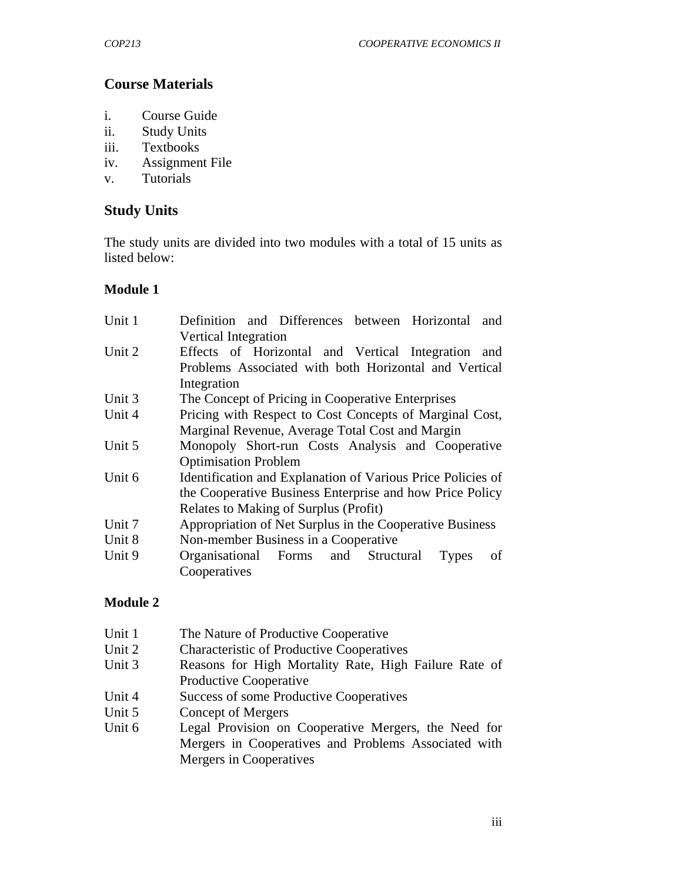# **Course Materials**

- i. Course Guide
- ii. Study Units
- iii. Textbooks
- iv. Assignment File
- v. Tutorials

# **Study Units**

The study units are divided into two modules with a total of 15 units as listed below:

#### **Module 1**

| Unit 1 | Definition and Differences between Horizontal<br>and        |  |  |  |  |  |
|--------|-------------------------------------------------------------|--|--|--|--|--|
|        | <b>Vertical Integration</b>                                 |  |  |  |  |  |
| Unit 2 | Effects of Horizontal and Vertical Integration and          |  |  |  |  |  |
|        | Problems Associated with both Horizontal and Vertical       |  |  |  |  |  |
|        | Integration                                                 |  |  |  |  |  |
| Unit 3 | The Concept of Pricing in Cooperative Enterprises           |  |  |  |  |  |
| Unit 4 | Pricing with Respect to Cost Concepts of Marginal Cost,     |  |  |  |  |  |
|        | Marginal Revenue, Average Total Cost and Margin             |  |  |  |  |  |
| Unit 5 | Monopoly Short-run Costs Analysis and Cooperative           |  |  |  |  |  |
|        | <b>Optimisation Problem</b>                                 |  |  |  |  |  |
| Unit 6 | Identification and Explanation of Various Price Policies of |  |  |  |  |  |
|        | the Cooperative Business Enterprise and how Price Policy    |  |  |  |  |  |
|        | Relates to Making of Surplus (Profit)                       |  |  |  |  |  |
| Unit 7 | Appropriation of Net Surplus in the Cooperative Business    |  |  |  |  |  |
| Unit 8 | Non-member Business in a Cooperative                        |  |  |  |  |  |
| Unit 9 | Organisational Forms and<br>Structural<br>Types<br>οf       |  |  |  |  |  |
|        | Cooperatives                                                |  |  |  |  |  |

## **Module 2**

| Unit 1 | The Nature of Productive Cooperative                  |  |  |
|--------|-------------------------------------------------------|--|--|
| Unit 2 | <b>Characteristic of Productive Cooperatives</b>      |  |  |
| Unit 3 | Reasons for High Mortality Rate, High Failure Rate of |  |  |
|        | Productive Cooperative                                |  |  |
| Unit 4 | Success of some Productive Cooperatives               |  |  |
| Unit 5 | Concept of Mergers                                    |  |  |
| Unit 6 | Legal Provision on Cooperative Mergers, the Need for  |  |  |
|        | Mergers in Cooperatives and Problems Associated with  |  |  |
|        | Mergers in Cooperatives                               |  |  |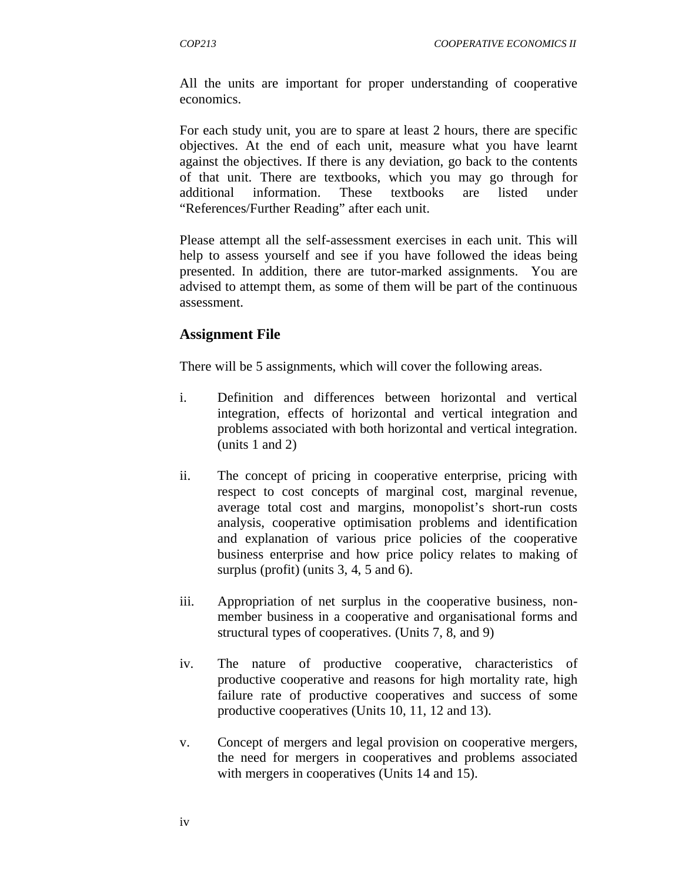All the units are important for proper understanding of cooperative economics.

For each study unit, you are to spare at least 2 hours, there are specific objectives. At the end of each unit, measure what you have learnt against the objectives. If there is any deviation, go back to the contents of that unit. There are textbooks, which you may go through for additional information. These textbooks are listed under "References/Further Reading" after each unit.

Please attempt all the self-assessment exercises in each unit. This will help to assess yourself and see if you have followed the ideas being presented. In addition, there are tutor-marked assignments. You are advised to attempt them, as some of them will be part of the continuous assessment.

#### **Assignment File**

There will be 5 assignments, which will cover the following areas.

- i. Definition and differences between horizontal and vertical integration, effects of horizontal and vertical integration and problems associated with both horizontal and vertical integration. (units 1 and 2)
- ii. The concept of pricing in cooperative enterprise, pricing with respect to cost concepts of marginal cost, marginal revenue, average total cost and margins, monopolist's short-run costs analysis, cooperative optimisation problems and identification and explanation of various price policies of the cooperative business enterprise and how price policy relates to making of surplus (profit) (units 3, 4, 5 and 6).
- iii. Appropriation of net surplus in the cooperative business, nonmember business in a cooperative and organisational forms and structural types of cooperatives. (Units 7, 8, and 9)
- iv. The nature of productive cooperative, characteristics of productive cooperative and reasons for high mortality rate, high failure rate of productive cooperatives and success of some productive cooperatives (Units 10, 11, 12 and 13).
- v. Concept of mergers and legal provision on cooperative mergers, the need for mergers in cooperatives and problems associated with mergers in cooperatives (Units 14 and 15).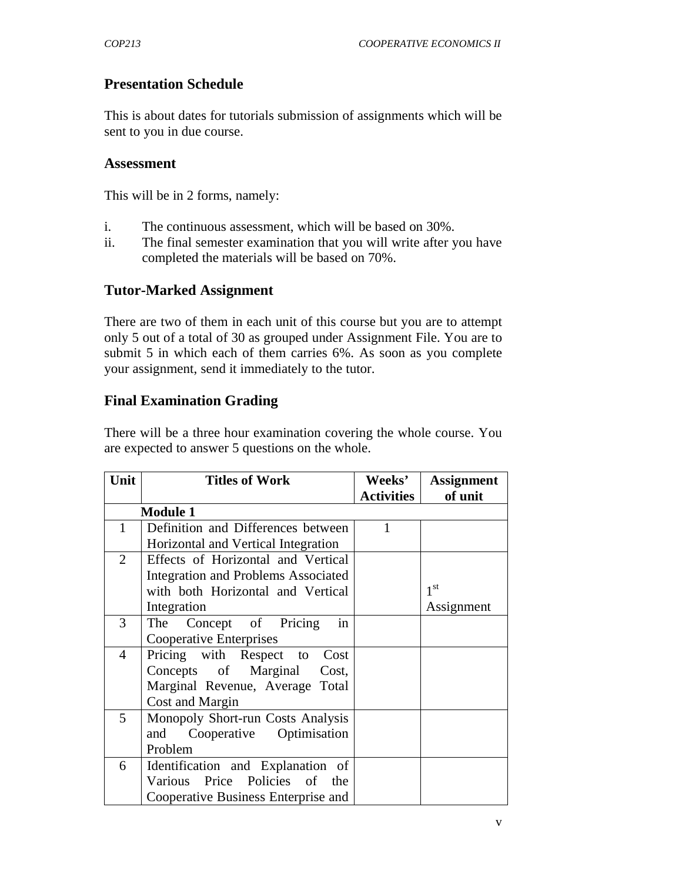# **Presentation Schedule**

This is about dates for tutorials submission of assignments which will be sent to you in due course.

#### **Assessment**

This will be in 2 forms, namely:

- i. The continuous assessment, which will be based on 30%.
- ii. The final semester examination that you will write after you have completed the materials will be based on 70%.

#### **Tutor-Marked Assignment**

There are two of them in each unit of this course but you are to attempt only 5 out of a total of 30 as grouped under Assignment File. You are to submit 5 in which each of them carries 6%. As soon as you complete your assignment, send it immediately to the tutor.

## **Final Examination Grading**

There will be a three hour examination covering the whole course. You are expected to answer 5 questions on the whole.

| Unit           | <b>Titles of Work</b>                      | <b>Weeks'</b><br><b>Activities</b> | <b>Assignment</b><br>of unit |
|----------------|--------------------------------------------|------------------------------------|------------------------------|
|                | <b>Module 1</b>                            |                                    |                              |
| $\mathbf{1}$   | Definition and Differences between         | 1                                  |                              |
|                | Horizontal and Vertical Integration        |                                    |                              |
| $\overline{2}$ | Effects of Horizontal and Vertical         |                                    |                              |
|                | <b>Integration and Problems Associated</b> |                                    |                              |
|                | with both Horizontal and Vertical          |                                    | 1 <sup>st</sup>              |
|                | Integration                                |                                    | Assignment                   |
| 3              | The Concept of Pricing<br>in               |                                    |                              |
|                | Cooperative Enterprises                    |                                    |                              |
| $\overline{4}$ | Pricing with Respect to Cost               |                                    |                              |
|                | Concepts of Marginal<br>Cost,              |                                    |                              |
|                | Marginal Revenue, Average Total            |                                    |                              |
|                | Cost and Margin                            |                                    |                              |
| 5              | Monopoly Short-run Costs Analysis          |                                    |                              |
|                | Cooperative Optimisation<br>and            |                                    |                              |
|                | Problem                                    |                                    |                              |
| 6              | Identification and Explanation of          |                                    |                              |
|                | Various Price Policies of the              |                                    |                              |
|                | Cooperative Business Enterprise and        |                                    |                              |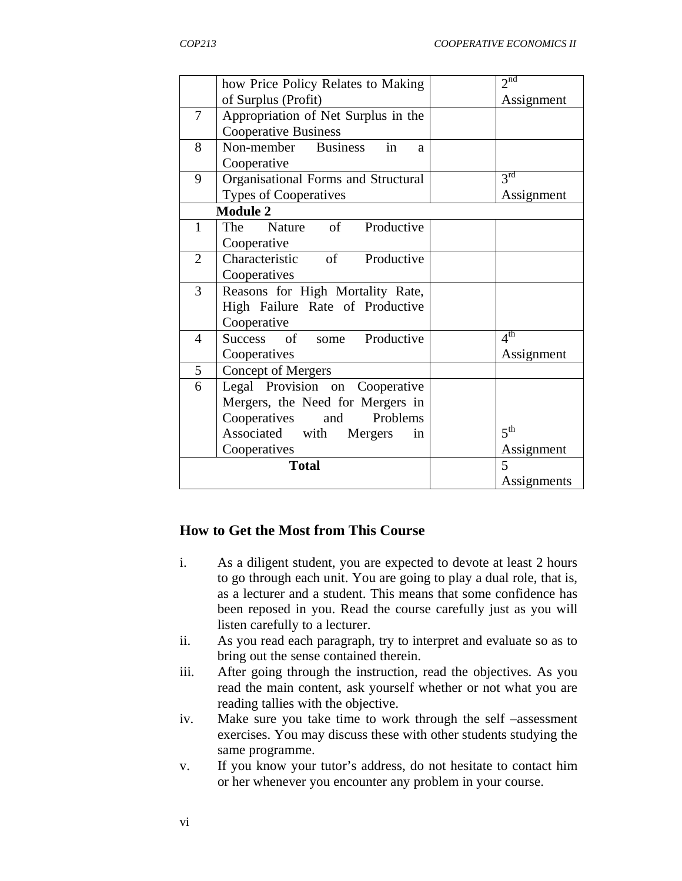|                | how Price Policy Relates to Making  | 2 <sup>nd</sup> |
|----------------|-------------------------------------|-----------------|
|                | of Surplus (Profit)                 | Assignment      |
| 7              | Appropriation of Net Surplus in the |                 |
|                | <b>Cooperative Business</b>         |                 |
| 8              | in<br>Non-member Business<br>a      |                 |
|                | Cooperative                         |                 |
| 9              | Organisational Forms and Structural | 3 <sup>rd</sup> |
|                | <b>Types of Cooperatives</b>        | Assignment      |
|                | <b>Module 2</b>                     |                 |
| $\mathbf{1}$   | The Nature of Productive            |                 |
|                | Cooperative                         |                 |
| $\overline{2}$ | Characteristic of Productive        |                 |
|                | Cooperatives                        |                 |
| 3              | Reasons for High Mortality Rate,    |                 |
|                | High Failure Rate of Productive     |                 |
|                | Cooperative                         |                 |
| $\overline{4}$ | Success of some Productive          | 4 <sup>th</sup> |
|                | Cooperatives                        | Assignment      |
| 5              | <b>Concept of Mergers</b>           |                 |
| 6              | Legal Provision on Cooperative      |                 |
|                | Mergers, the Need for Mergers in    |                 |
|                | Cooperatives<br>and Problems        |                 |
|                | Associated with Mergers<br>in       | 5 <sup>th</sup> |
|                | Cooperatives                        | Assignment      |
|                | <b>Total</b>                        | 5               |
|                |                                     | Assignments     |

## **How to Get the Most from This Course**

- i. As a diligent student, you are expected to devote at least 2 hours to go through each unit. You are going to play a dual role, that is, as a lecturer and a student. This means that some confidence has been reposed in you. Read the course carefully just as you will listen carefully to a lecturer.
- ii. As you read each paragraph, try to interpret and evaluate so as to bring out the sense contained therein.
- iii. After going through the instruction, read the objectives. As you read the main content, ask yourself whether or not what you are reading tallies with the objective.
- iv. Make sure you take time to work through the self –assessment exercises. You may discuss these with other students studying the same programme.
- v. If you know your tutor's address, do not hesitate to contact him or her whenever you encounter any problem in your course.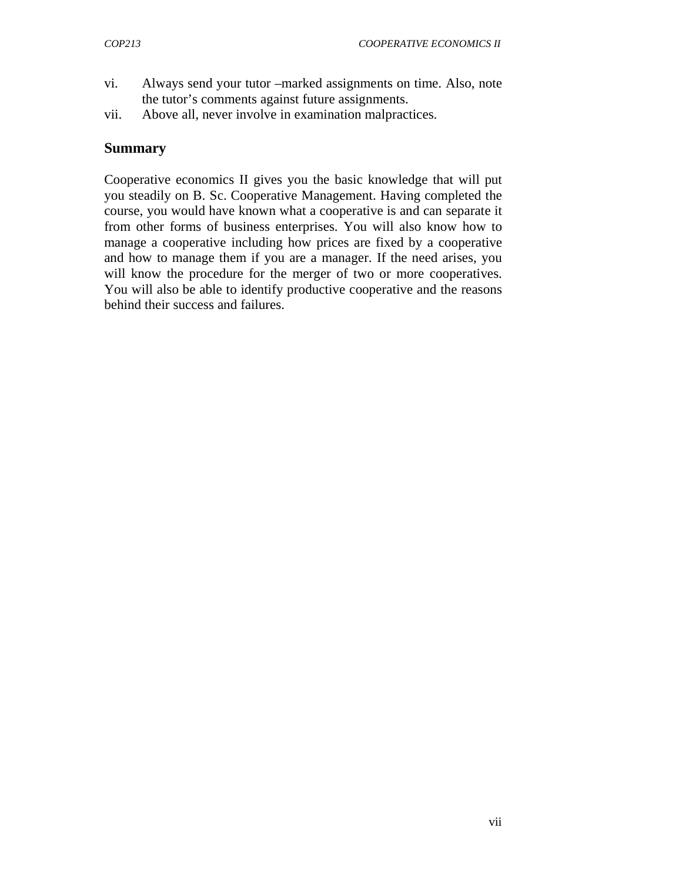- vi. Always send your tutor –marked assignments on time. Also, note the tutor's comments against future assignments.
- vii. Above all, never involve in examination malpractices.

#### **Summary**

Cooperative economics II gives you the basic knowledge that will put you steadily on B. Sc. Cooperative Management. Having completed the course, you would have known what a cooperative is and can separate it from other forms of business enterprises. You will also know how to manage a cooperative including how prices are fixed by a cooperative and how to manage them if you are a manager. If the need arises, you will know the procedure for the merger of two or more cooperatives. You will also be able to identify productive cooperative and the reasons behind their success and failures.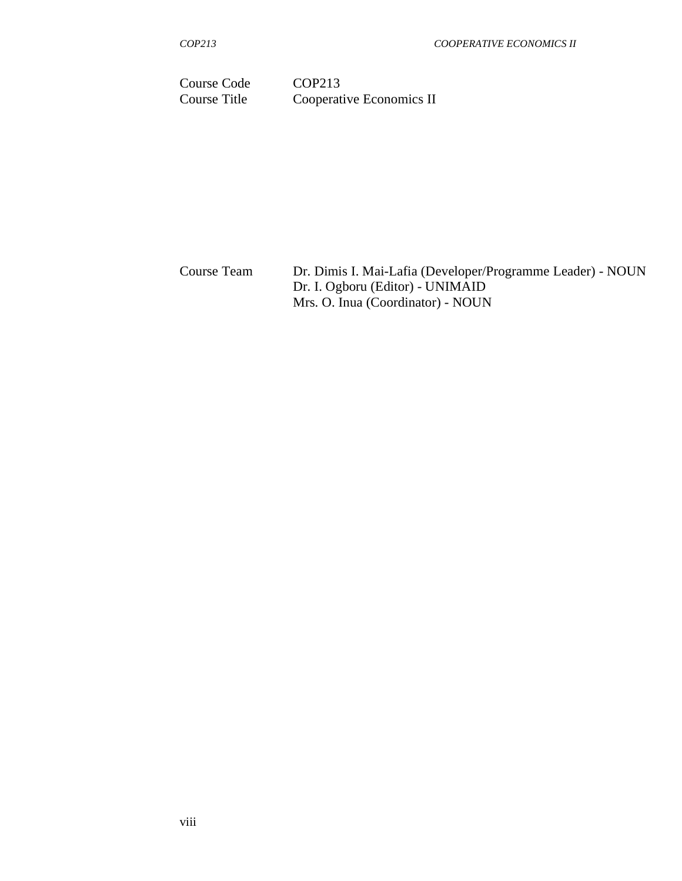Course Code COP213 Course Title Cooperative Economics II

Course TeamDr. Dimis I. Mai-Lafia (Developer/Programme Leader) - NOUN Dr. I. Ogboru (Editor) - UNIMAID Mrs. O. Inua (Coordinator) - NOUN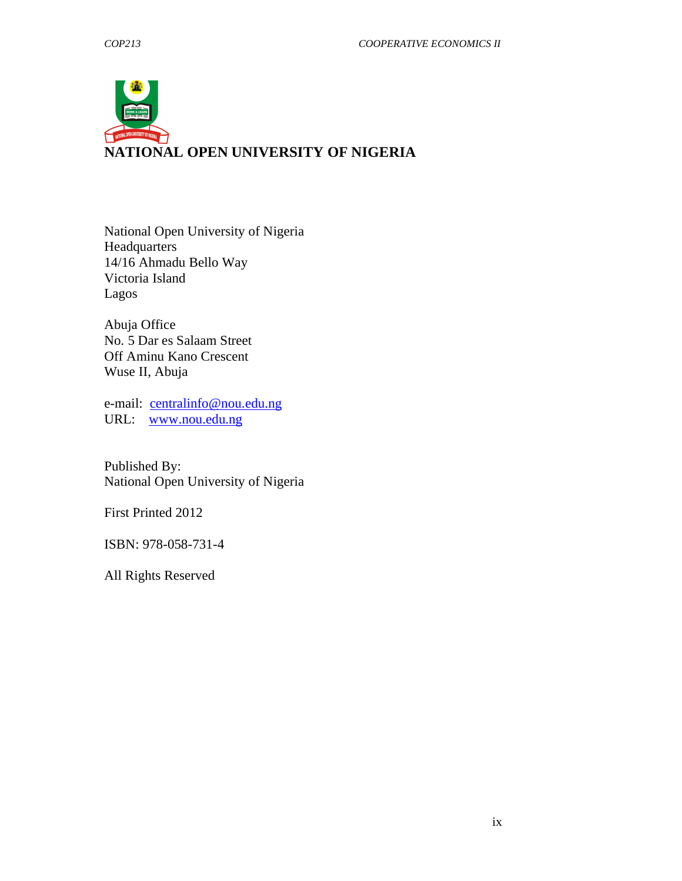

National Open University of Nigeria **Headquarters** 14/16 Ahmadu Bello Way Victoria Island Lagos

Abuja Office No. 5 Dar es Salaam Street Off Aminu Kano Crescent Wuse II, Abuja

e-mail: centralinfo@nou.edu.ng URL: www.nou.edu.ng

Published By: National Open University of Nigeria

First Printed 2012

ISBN: 978-058-731-4

All Rights Reserved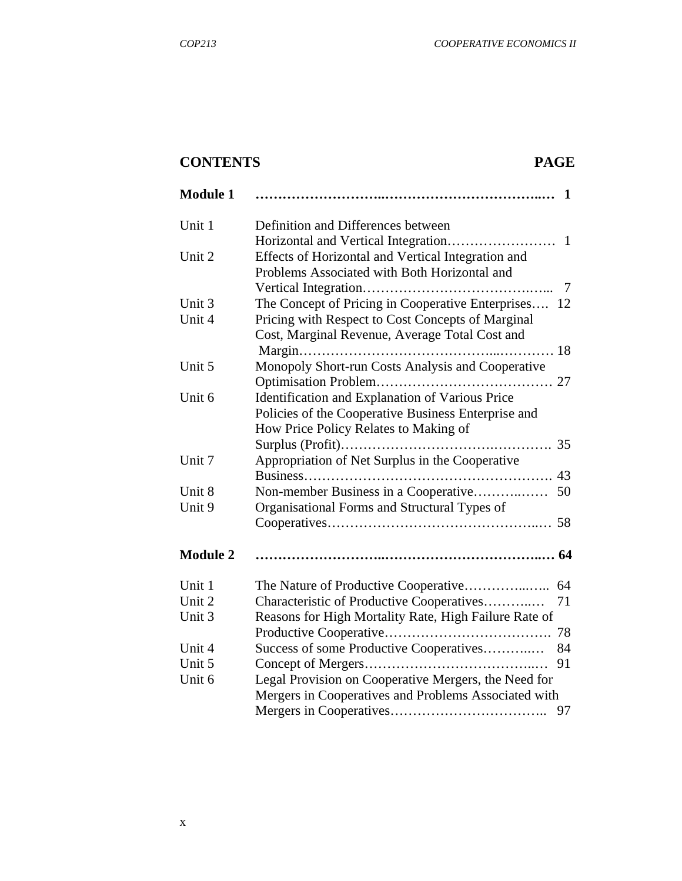# **CONTENTS PAGE**

| <b>Module 1</b> | $\mathbf 1$                                           |
|-----------------|-------------------------------------------------------|
| Unit 1          | Definition and Differences between                    |
|                 |                                                       |
| Unit 2          | Effects of Horizontal and Vertical Integration and    |
|                 | Problems Associated with Both Horizontal and          |
|                 |                                                       |
| Unit 3          | The Concept of Pricing in Cooperative Enterprises 12  |
| Unit 4          | Pricing with Respect to Cost Concepts of Marginal     |
|                 | Cost, Marginal Revenue, Average Total Cost and        |
|                 |                                                       |
| Unit 5          | Monopoly Short-run Costs Analysis and Cooperative     |
|                 |                                                       |
| Unit 6          | Identification and Explanation of Various Price       |
|                 | Policies of the Cooperative Business Enterprise and   |
|                 | How Price Policy Relates to Making of                 |
|                 |                                                       |
| Unit 7          | Appropriation of Net Surplus in the Cooperative       |
|                 |                                                       |
| Unit 8          | Non-member Business in a Cooperative<br>50            |
| Unit 9          | Organisational Forms and Structural Types of          |
|                 |                                                       |
|                 |                                                       |
| <b>Module 2</b> |                                                       |
| Unit 1          |                                                       |
| Unit 2          | Characteristic of Productive Cooperatives<br>71       |
| Unit 3          | Reasons for High Mortality Rate, High Failure Rate of |
|                 | 78                                                    |
| Unit 4          | Success of some Productive Cooperatives<br>84         |
| Unit 5          | 91                                                    |
| Unit 6          | Legal Provision on Cooperative Mergers, the Need for  |
|                 | Mergers in Cooperatives and Problems Associated with  |
|                 | 97                                                    |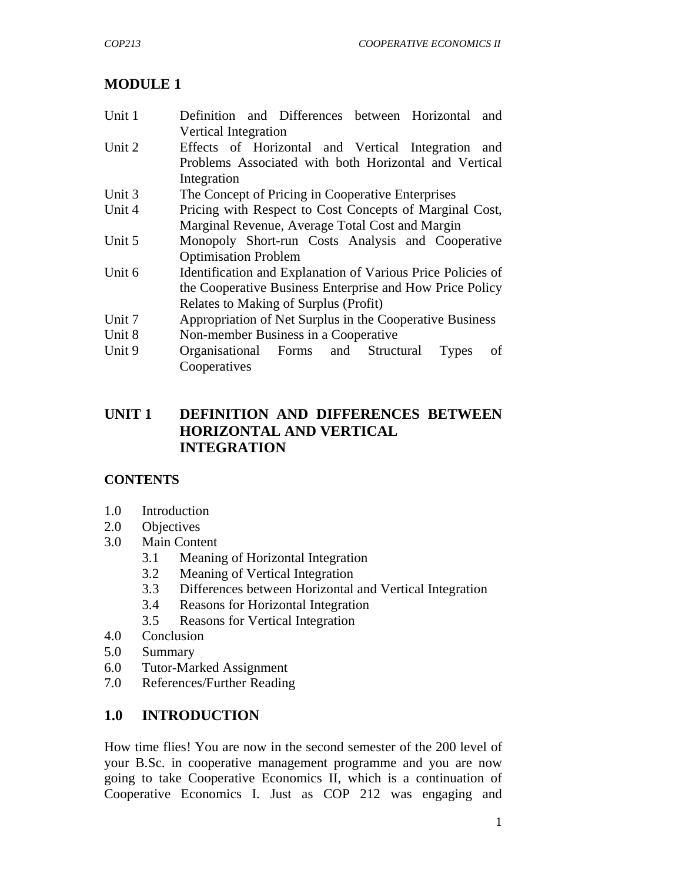# **MODULE 1**

| Unit 1 | Definition and Differences between Horizontal<br>and        |  |  |  |  |  |
|--------|-------------------------------------------------------------|--|--|--|--|--|
|        | <b>Vertical Integration</b>                                 |  |  |  |  |  |
| Unit 2 | Effects of Horizontal and Vertical Integration and          |  |  |  |  |  |
|        | Problems Associated with both Horizontal and Vertical       |  |  |  |  |  |
|        | Integration                                                 |  |  |  |  |  |
| Unit 3 | The Concept of Pricing in Cooperative Enterprises           |  |  |  |  |  |
| Unit 4 | Pricing with Respect to Cost Concepts of Marginal Cost,     |  |  |  |  |  |
|        | Marginal Revenue, Average Total Cost and Margin             |  |  |  |  |  |
| Unit 5 | Monopoly Short-run Costs Analysis and Cooperative           |  |  |  |  |  |
|        | <b>Optimisation Problem</b>                                 |  |  |  |  |  |
| Unit 6 | Identification and Explanation of Various Price Policies of |  |  |  |  |  |
|        | the Cooperative Business Enterprise and How Price Policy    |  |  |  |  |  |
|        | Relates to Making of Surplus (Profit)                       |  |  |  |  |  |
| Unit 7 | Appropriation of Net Surplus in the Cooperative Business    |  |  |  |  |  |
| Unit 8 | Non-member Business in a Cooperative                        |  |  |  |  |  |
| Unit 9 | Organisational Forms and Structural<br>οf<br>Types          |  |  |  |  |  |
|        | Cooperatives                                                |  |  |  |  |  |

# **UNIT 1 DEFINITION AND DIFFERENCES BETWEEN HORIZONTAL AND VERTICAL INTEGRATION**

## **CONTENTS**

- 1.0 Introduction
- 2.0 Objectives
- 3.0 Main Content
	- 3.1 Meaning of Horizontal Integration
	- 3.2 Meaning of Vertical Integration
	- 3.3 Differences between Horizontal and Vertical Integration
	- 3.4 Reasons for Horizontal Integration
	- 3.5 Reasons for Vertical Integration
- 4.0 Conclusion
- 5.0 Summary
- 6.0 Tutor-Marked Assignment
- 7.0 References/Further Reading

# **1.0 INTRODUCTION**

How time flies! You are now in the second semester of the 200 level of your B.Sc. in cooperative management programme and you are now going to take Cooperative Economics II, which is a continuation of Cooperative Economics I. Just as COP 212 was engaging and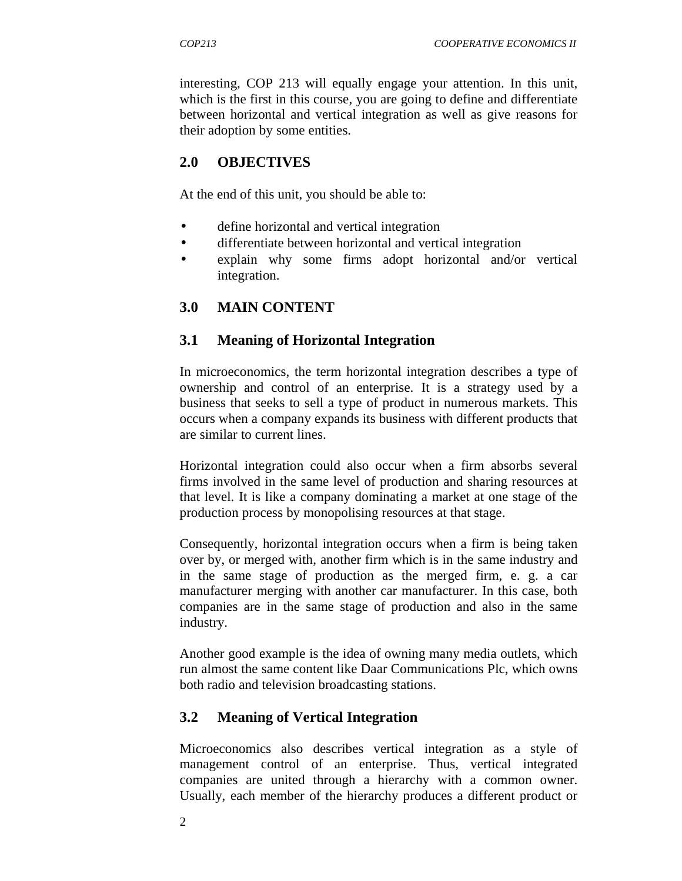interesting, COP 213 will equally engage your attention. In this unit, which is the first in this course, you are going to define and differentiate between horizontal and vertical integration as well as give reasons for their adoption by some entities.

## **2.0 OBJECTIVES**

At the end of this unit, you should be able to:

- define horizontal and vertical integration
- differentiate between horizontal and vertical integration
- explain why some firms adopt horizontal and/or vertical integration.

#### **3.0 MAIN CONTENT**

#### **3.1 Meaning of Horizontal Integration**

In microeconomics, the term horizontal integration describes a type of ownership and control of an enterprise. It is a strategy used by a business that seeks to sell a type of product in numerous markets. This occurs when a company expands its business with different products that are similar to current lines.

Horizontal integration could also occur when a firm absorbs several firms involved in the same level of production and sharing resources at that level. It is like a company dominating a market at one stage of the production process by monopolising resources at that stage.

Consequently, horizontal integration occurs when a firm is being taken over by, or merged with, another firm which is in the same industry and in the same stage of production as the merged firm, e. g. a car manufacturer merging with another car manufacturer. In this case, both companies are in the same stage of production and also in the same industry.

Another good example is the idea of owning many media outlets, which run almost the same content like Daar Communications Plc, which owns both radio and television broadcasting stations.

#### **3.2 Meaning of Vertical Integration**

Microeconomics also describes vertical integration as a style of management control of an enterprise. Thus, vertical integrated companies are united through a hierarchy with a common owner. Usually, each member of the hierarchy produces a different product or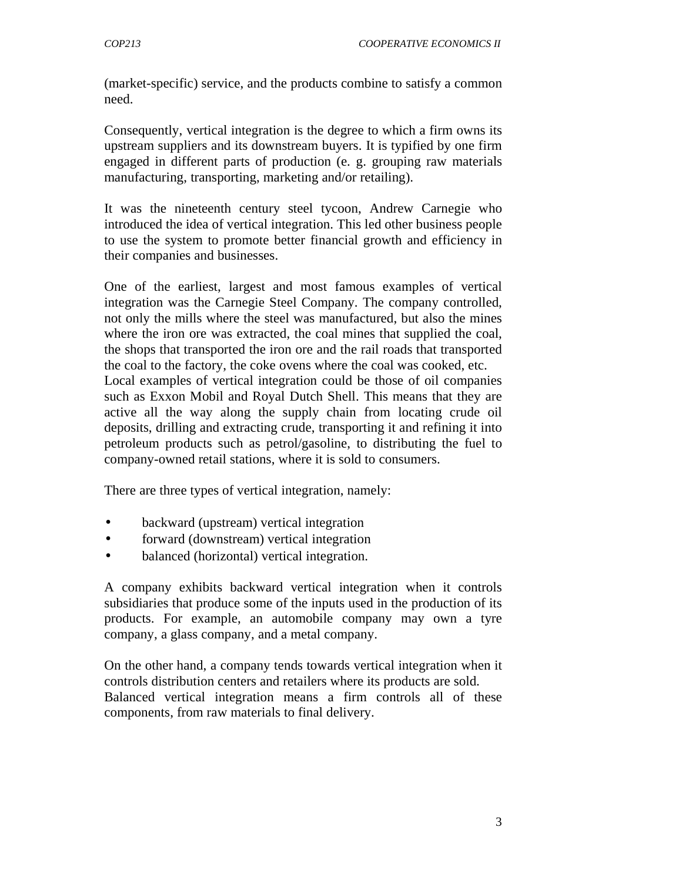(market-specific) service, and the products combine to satisfy a common need.

Consequently, vertical integration is the degree to which a firm owns its upstream suppliers and its downstream buyers. It is typified by one firm engaged in different parts of production (e. g. grouping raw materials manufacturing, transporting, marketing and/or retailing).

It was the nineteenth century steel tycoon, Andrew Carnegie who introduced the idea of vertical integration. This led other business people to use the system to promote better financial growth and efficiency in their companies and businesses.

One of the earliest, largest and most famous examples of vertical integration was the Carnegie Steel Company. The company controlled, not only the mills where the steel was manufactured, but also the mines where the iron ore was extracted, the coal mines that supplied the coal, the shops that transported the iron ore and the rail roads that transported the coal to the factory, the coke ovens where the coal was cooked, etc. Local examples of vertical integration could be those of oil companies such as Exxon Mobil and Royal Dutch Shell. This means that they are active all the way along the supply chain from locating crude oil deposits, drilling and extracting crude, transporting it and refining it into petroleum products such as petrol/gasoline, to distributing the fuel to company-owned retail stations, where it is sold to consumers.

There are three types of vertical integration, namely:

- backward (upstream) vertical integration
- forward (downstream) vertical integration
- balanced (horizontal) vertical integration.

A company exhibits backward vertical integration when it controls subsidiaries that produce some of the inputs used in the production of its products. For example, an automobile company may own a tyre company, a glass company, and a metal company.

On the other hand, a company tends towards vertical integration when it controls distribution centers and retailers where its products are sold. Balanced vertical integration means a firm controls all of these components, from raw materials to final delivery.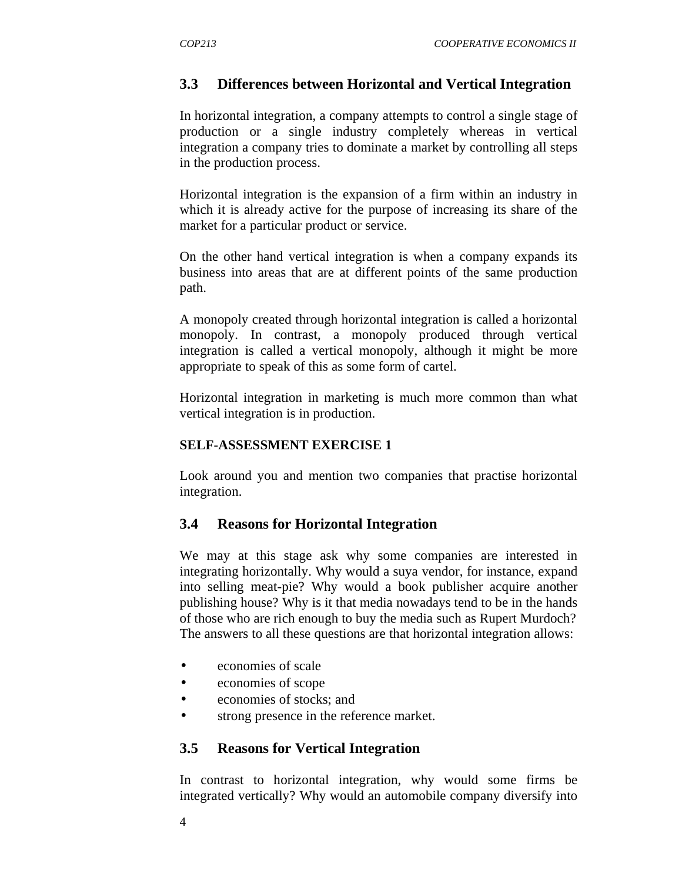# **3.3 Differences between Horizontal and Vertical Integration**

In horizontal integration, a company attempts to control a single stage of production or a single industry completely whereas in vertical integration a company tries to dominate a market by controlling all steps in the production process.

Horizontal integration is the expansion of a firm within an industry in which it is already active for the purpose of increasing its share of the market for a particular product or service.

On the other hand vertical integration is when a company expands its business into areas that are at different points of the same production path.

A monopoly created through horizontal integration is called a horizontal monopoly. In contrast, a monopoly produced through vertical integration is called a vertical monopoly, although it might be more appropriate to speak of this as some form of cartel.

Horizontal integration in marketing is much more common than what vertical integration is in production.

#### **SELF-ASSESSMENT EXERCISE 1**

Look around you and mention two companies that practise horizontal integration.

## **3.4 Reasons for Horizontal Integration**

We may at this stage ask why some companies are interested in integrating horizontally. Why would a suya vendor, for instance, expand into selling meat-pie? Why would a book publisher acquire another publishing house? Why is it that media nowadays tend to be in the hands of those who are rich enough to buy the media such as Rupert Murdoch? The answers to all these questions are that horizontal integration allows:

- economies of scale
- economies of scope
- economies of stocks; and
- strong presence in the reference market.

## **3.5 Reasons for Vertical Integration**

In contrast to horizontal integration, why would some firms be integrated vertically? Why would an automobile company diversify into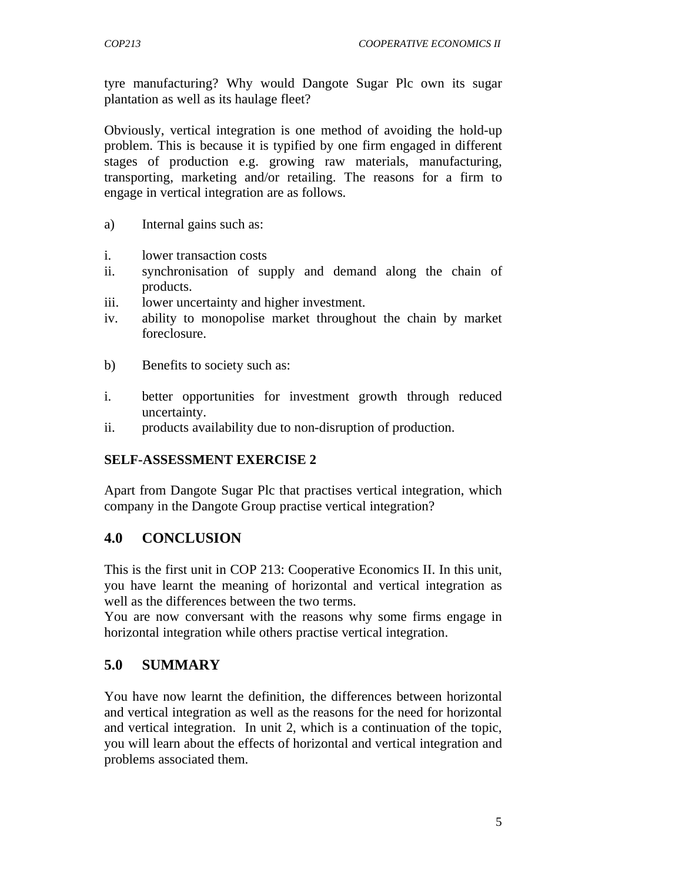tyre manufacturing? Why would Dangote Sugar Plc own its sugar plantation as well as its haulage fleet?

Obviously, vertical integration is one method of avoiding the hold-up problem. This is because it is typified by one firm engaged in different stages of production e.g. growing raw materials, manufacturing, transporting, marketing and/or retailing. The reasons for a firm to engage in vertical integration are as follows.

- a) Internal gains such as:
- i. lower transaction costs
- ii. synchronisation of supply and demand along the chain of products.
- iii. lower uncertainty and higher investment.
- iv. ability to monopolise market throughout the chain by market foreclosure.
- b) Benefits to society such as:
- i. better opportunities for investment growth through reduced uncertainty.
- ii. products availability due to non-disruption of production.

## **SELF-ASSESSMENT EXERCISE 2**

Apart from Dangote Sugar Plc that practises vertical integration, which company in the Dangote Group practise vertical integration?

# **4.0 CONCLUSION**

This is the first unit in COP 213: Cooperative Economics II. In this unit, you have learnt the meaning of horizontal and vertical integration as well as the differences between the two terms.

You are now conversant with the reasons why some firms engage in horizontal integration while others practise vertical integration.

# **5.0 SUMMARY**

You have now learnt the definition, the differences between horizontal and vertical integration as well as the reasons for the need for horizontal and vertical integration. In unit 2, which is a continuation of the topic, you will learn about the effects of horizontal and vertical integration and problems associated them.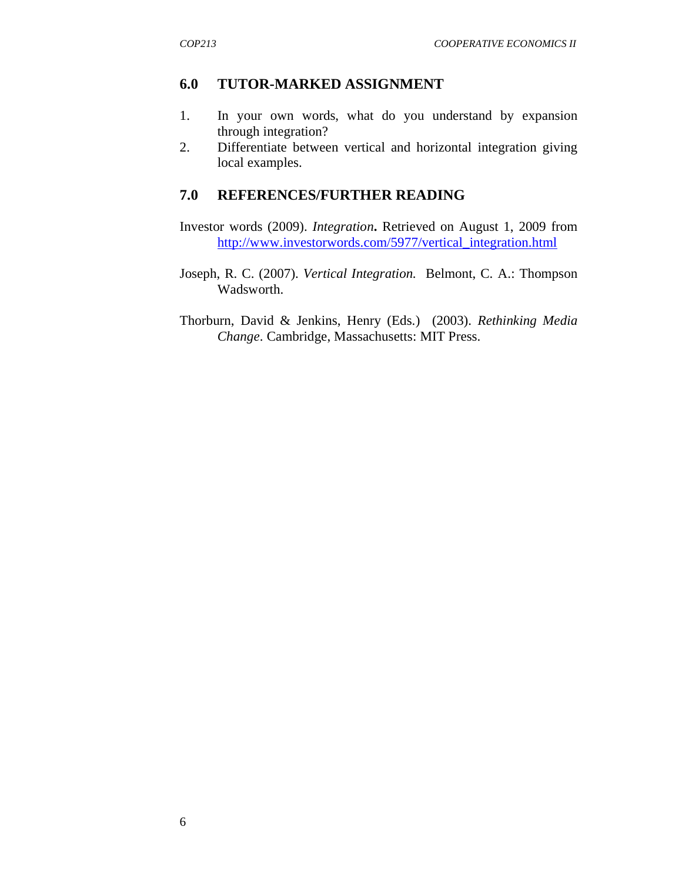## **6.0 TUTOR-MARKED ASSIGNMENT**

- 1. In your own words, what do you understand by expansion through integration?
- 2. Differentiate between vertical and horizontal integration giving local examples.

## **7.0 REFERENCES/FURTHER READING**

- Investor words (2009). *Integration***.** Retrieved on August 1, 2009 from http://www.investorwords.com/5977/vertical\_integration.html
- Joseph, R. C. (2007). *Vertical Integration.* Belmont, C. A.: Thompson Wadsworth.
- Thorburn, David & Jenkins, Henry (Eds.) (2003). *Rethinking Media Change*. Cambridge, Massachusetts: MIT Press.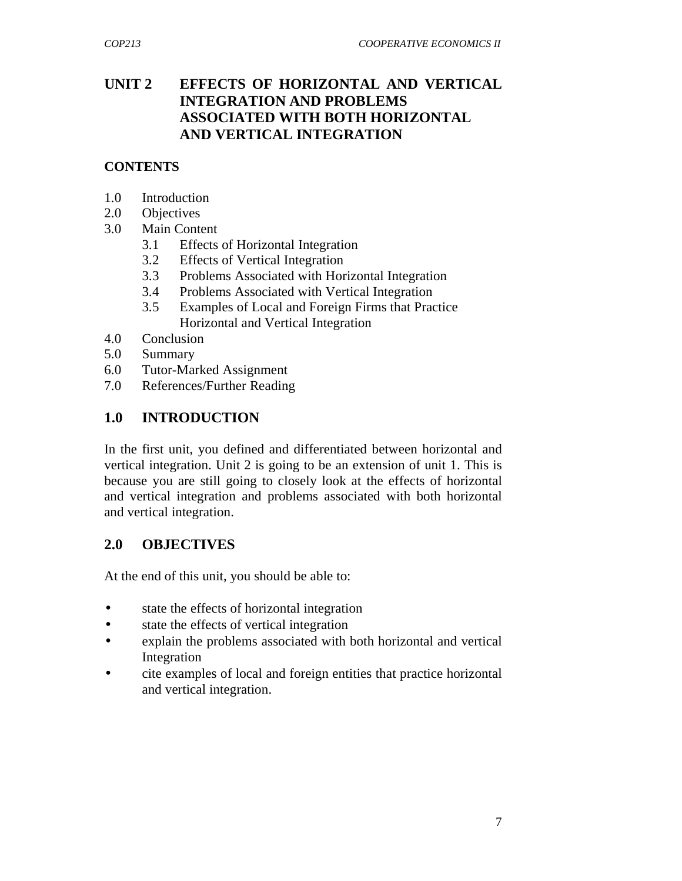# **UNIT 2 EFFECTS OF HORIZONTAL AND VERTICAL INTEGRATION AND PROBLEMS ASSOCIATED WITH BOTH HORIZONTAL AND VERTICAL INTEGRATION**

#### **CONTENTS**

- 1.0 Introduction
- 2.0 Objectives
- 3.0 Main Content
	- 3.1 Effects of Horizontal Integration
	- 3.2 Effects of Vertical Integration
	- 3.3 Problems Associated with Horizontal Integration
	- 3.4 Problems Associated with Vertical Integration
	- 3.5 Examples of Local and Foreign Firms that Practice Horizontal and Vertical Integration
- 4.0 Conclusion
- 5.0 Summary
- 6.0 Tutor-Marked Assignment
- 7.0 References/Further Reading

# **1.0 INTRODUCTION**

In the first unit, you defined and differentiated between horizontal and vertical integration. Unit 2 is going to be an extension of unit 1. This is because you are still going to closely look at the effects of horizontal and vertical integration and problems associated with both horizontal and vertical integration.

## **2.0 OBJECTIVES**

At the end of this unit, you should be able to:

- state the effects of horizontal integration
- state the effects of vertical integration
- explain the problems associated with both horizontal and vertical Integration
- cite examples of local and foreign entities that practice horizontal and vertical integration.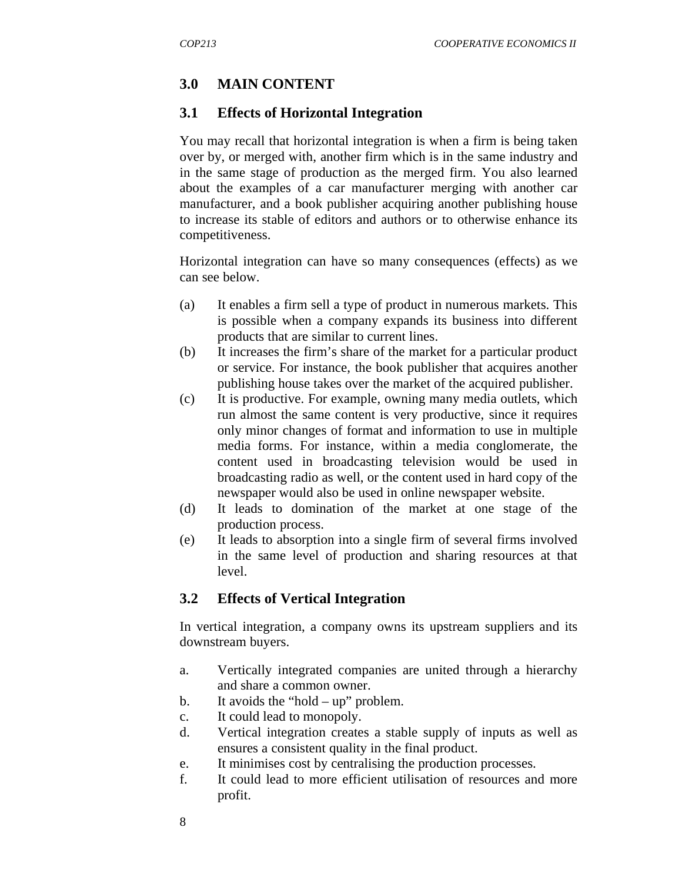# **3.0 MAIN CONTENT**

#### **3.1 Effects of Horizontal Integration**

You may recall that horizontal integration is when a firm is being taken over by, or merged with, another firm which is in the same industry and in the same stage of production as the merged firm. You also learned about the examples of a car manufacturer merging with another car manufacturer, and a book publisher acquiring another publishing house to increase its stable of editors and authors or to otherwise enhance its competitiveness.

Horizontal integration can have so many consequences (effects) as we can see below.

- (a) It enables a firm sell a type of product in numerous markets. This is possible when a company expands its business into different products that are similar to current lines.
- (b) It increases the firm's share of the market for a particular product or service. For instance, the book publisher that acquires another publishing house takes over the market of the acquired publisher.
- (c) It is productive. For example, owning many media outlets, which run almost the same content is very productive, since it requires only minor changes of format and information to use in multiple media forms. For instance, within a media conglomerate, the content used in broadcasting television would be used in broadcasting radio as well, or the content used in hard copy of the newspaper would also be used in online newspaper website.
- (d) It leads to domination of the market at one stage of the production process.
- (e) It leads to absorption into a single firm of several firms involved in the same level of production and sharing resources at that level.

## **3.2 Effects of Vertical Integration**

In vertical integration, a company owns its upstream suppliers and its downstream buyers.

- a. Vertically integrated companies are united through a hierarchy and share a common owner.
- b. It avoids the "hold up" problem.
- c. It could lead to monopoly.
- d. Vertical integration creates a stable supply of inputs as well as ensures a consistent quality in the final product.
- e. It minimises cost by centralising the production processes.
- f. It could lead to more efficient utilisation of resources and more profit.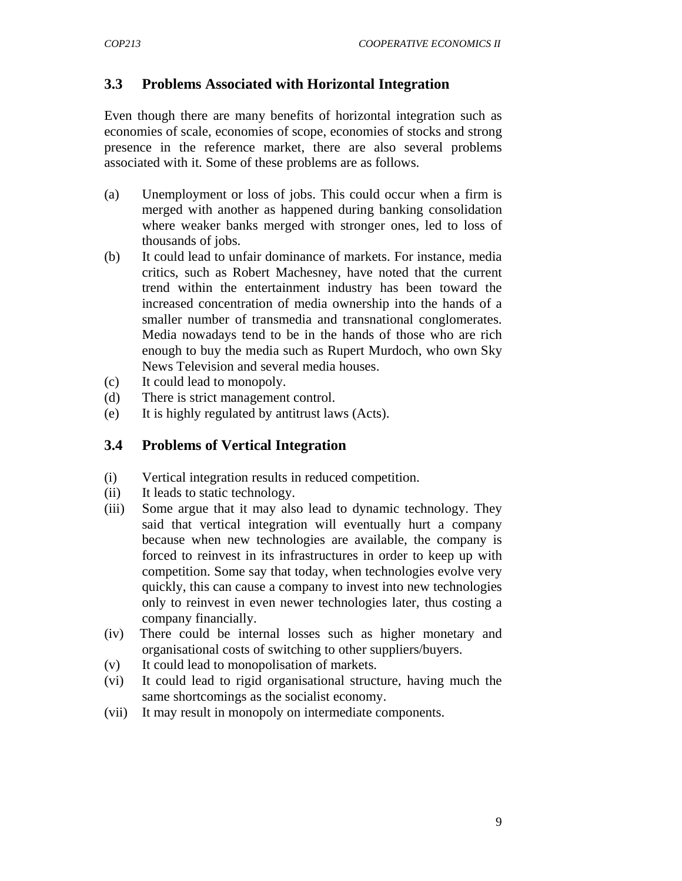## **3.3 Problems Associated with Horizontal Integration**

Even though there are many benefits of horizontal integration such as economies of scale, economies of scope, economies of stocks and strong presence in the reference market, there are also several problems associated with it. Some of these problems are as follows.

- (a) Unemployment or loss of jobs. This could occur when a firm is merged with another as happened during banking consolidation where weaker banks merged with stronger ones, led to loss of thousands of jobs.
- (b) It could lead to unfair dominance of markets. For instance, media critics, such as Robert Machesney, have noted that the current trend within the entertainment industry has been toward the increased concentration of media ownership into the hands of a smaller number of transmedia and transnational conglomerates. Media nowadays tend to be in the hands of those who are rich enough to buy the media such as Rupert Murdoch, who own Sky News Television and several media houses.
- (c) It could lead to monopoly.
- (d) There is strict management control.
- (e) It is highly regulated by antitrust laws (Acts).

#### **3.4 Problems of Vertical Integration**

- (i) Vertical integration results in reduced competition.
- (ii) It leads to static technology.
- (iii) Some argue that it may also lead to dynamic technology. They said that vertical integration will eventually hurt a company because when new technologies are available, the company is forced to reinvest in its infrastructures in order to keep up with competition. Some say that today, when technologies evolve very quickly, this can cause a company to invest into new technologies only to reinvest in even newer technologies later, thus costing a company financially.
- (iv) There could be internal losses such as higher monetary and organisational costs of switching to other suppliers/buyers.
- (v) It could lead to monopolisation of markets.
- (vi) It could lead to rigid organisational structure, having much the same shortcomings as the socialist economy.
- (vii) It may result in monopoly on intermediate components.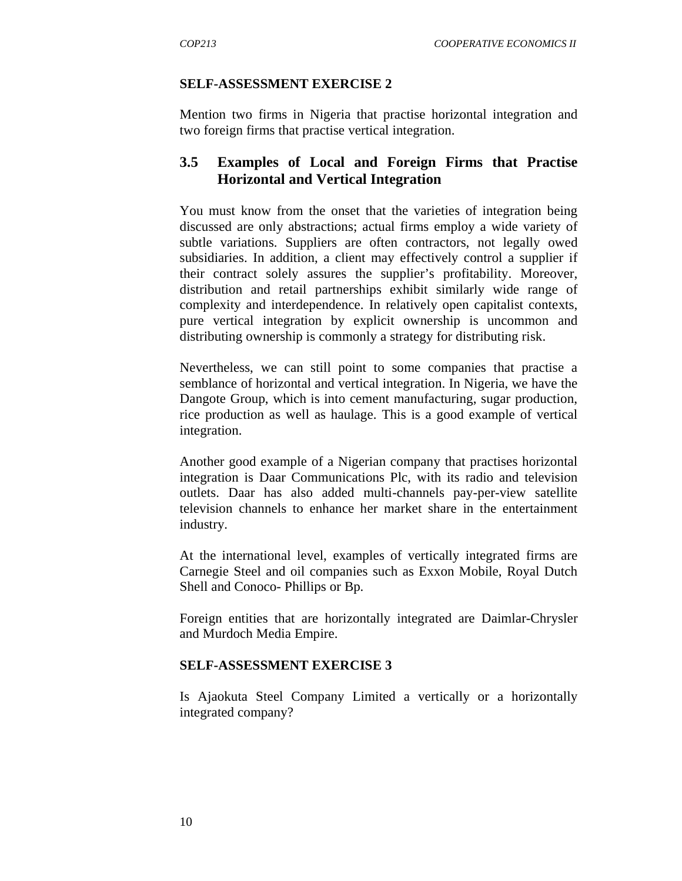#### **SELF-ASSESSMENT EXERCISE 2**

Mention two firms in Nigeria that practise horizontal integration and two foreign firms that practise vertical integration.

#### **3.5 Examples of Local and Foreign Firms that Practise Horizontal and Vertical Integration**

You must know from the onset that the varieties of integration being discussed are only abstractions; actual firms employ a wide variety of subtle variations. Suppliers are often contractors, not legally owed subsidiaries. In addition, a client may effectively control a supplier if their contract solely assures the supplier's profitability. Moreover, distribution and retail partnerships exhibit similarly wide range of complexity and interdependence. In relatively open capitalist contexts, pure vertical integration by explicit ownership is uncommon and distributing ownership is commonly a strategy for distributing risk.

Nevertheless, we can still point to some companies that practise a semblance of horizontal and vertical integration. In Nigeria, we have the Dangote Group, which is into cement manufacturing, sugar production, rice production as well as haulage. This is a good example of vertical integration.

Another good example of a Nigerian company that practises horizontal integration is Daar Communications Plc, with its radio and television outlets. Daar has also added multi-channels pay-per-view satellite television channels to enhance her market share in the entertainment industry.

At the international level, examples of vertically integrated firms are Carnegie Steel and oil companies such as Exxon Mobile, Royal Dutch Shell and Conoco- Phillips or Bp.

Foreign entities that are horizontally integrated are Daimlar-Chrysler and Murdoch Media Empire.

#### **SELF-ASSESSMENT EXERCISE 3**

Is Ajaokuta Steel Company Limited a vertically or a horizontally integrated company?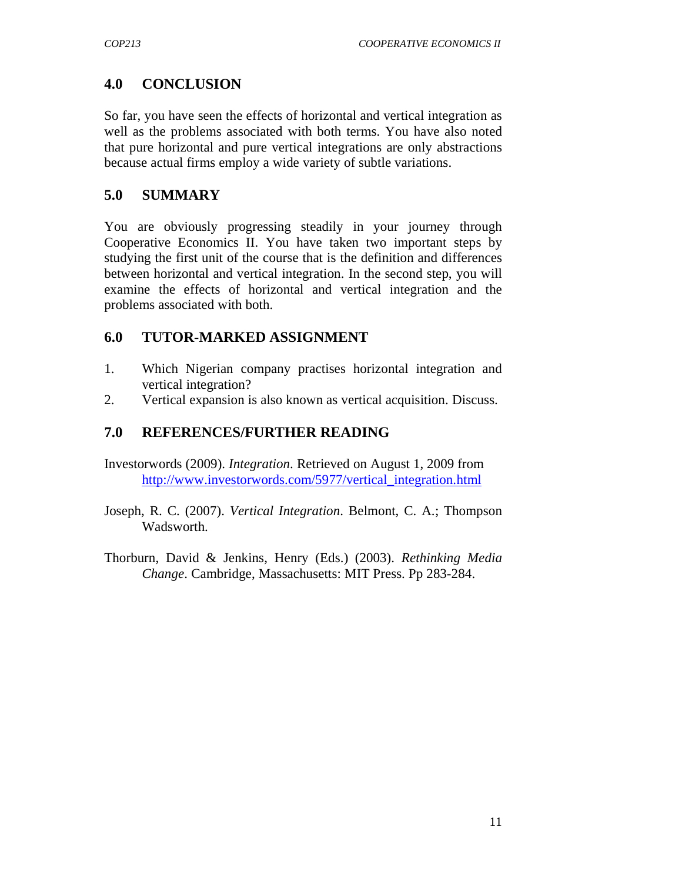# **4.0 CONCLUSION**

So far, you have seen the effects of horizontal and vertical integration as well as the problems associated with both terms. You have also noted that pure horizontal and pure vertical integrations are only abstractions because actual firms employ a wide variety of subtle variations.

# **5.0 SUMMARY**

You are obviously progressing steadily in your journey through Cooperative Economics II. You have taken two important steps by studying the first unit of the course that is the definition and differences between horizontal and vertical integration. In the second step, you will examine the effects of horizontal and vertical integration and the problems associated with both.

# **6.0 TUTOR-MARKED ASSIGNMENT**

- 1. Which Nigerian company practises horizontal integration and vertical integration?
- 2. Vertical expansion is also known as vertical acquisition. Discuss.

# **7.0 REFERENCES/FURTHER READING**

- Investorwords (2009). *Integration*. Retrieved on August 1, 2009 from http://www.investorwords.com/5977/vertical\_integration.html
- Joseph, R. C. (2007). *Vertical Integration*. Belmont, C. A.; Thompson Wadsworth.
- Thorburn, David & Jenkins, Henry (Eds.) (2003). *Rethinking Media Change*. Cambridge, Massachusetts: MIT Press. Pp 283-284.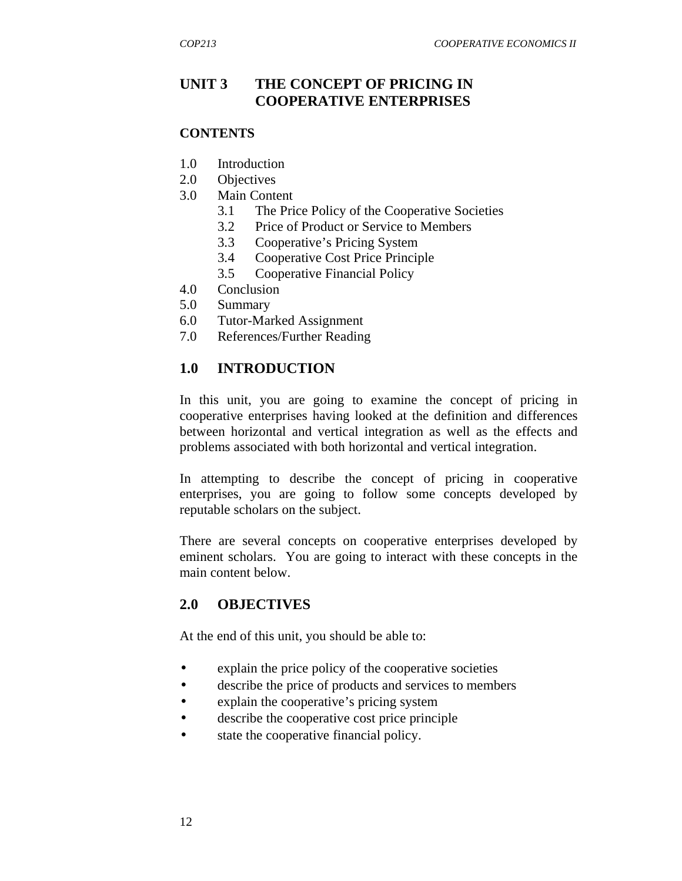# **UNIT 3 THE CONCEPT OF PRICING IN COOPERATIVE ENTERPRISES**

#### **CONTENTS**

- 1.0 Introduction
- 2.0 Objectives
- 3.0 Main Content
	- 3.1 The Price Policy of the Cooperative Societies
	- 3.2 Price of Product or Service to Members
	- 3.3 Cooperative's Pricing System
	- 3.4 Cooperative Cost Price Principle
	- 3.5 Cooperative Financial Policy
- 4.0 Conclusion
- 5.0 Summary
- 6.0 Tutor-Marked Assignment
- 7.0 References/Further Reading

## **1.0 INTRODUCTION**

In this unit, you are going to examine the concept of pricing in cooperative enterprises having looked at the definition and differences between horizontal and vertical integration as well as the effects and problems associated with both horizontal and vertical integration.

In attempting to describe the concept of pricing in cooperative enterprises, you are going to follow some concepts developed by reputable scholars on the subject.

There are several concepts on cooperative enterprises developed by eminent scholars. You are going to interact with these concepts in the main content below.

#### **2.0 OBJECTIVES**

At the end of this unit, you should be able to:

- explain the price policy of the cooperative societies
- describe the price of products and services to members
- explain the cooperative's pricing system
- describe the cooperative cost price principle
- state the cooperative financial policy.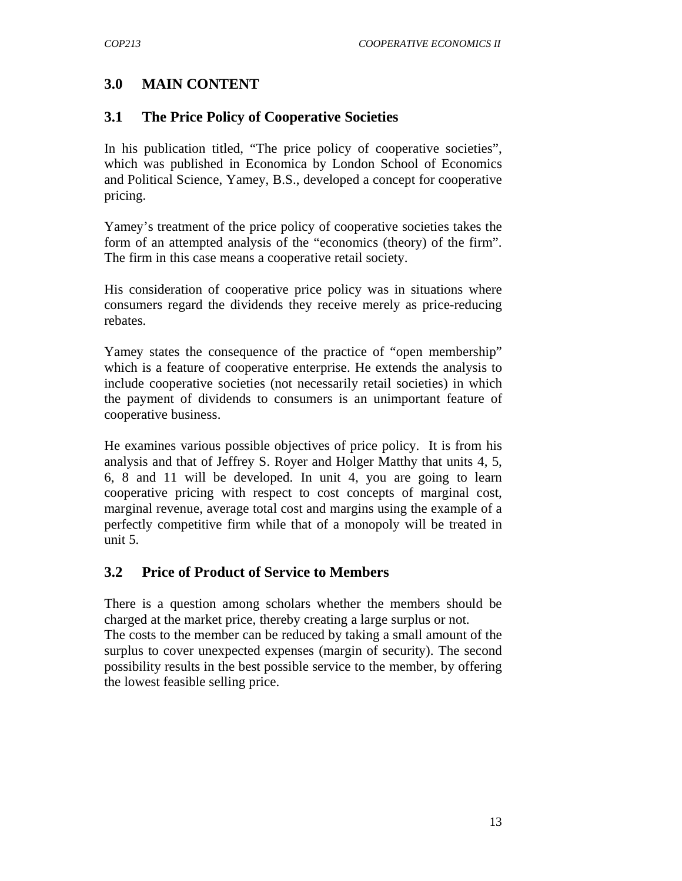# **3.0 MAIN CONTENT**

# **3.1 The Price Policy of Cooperative Societies**

In his publication titled, "The price policy of cooperative societies", which was published in Economica by London School of Economics and Political Science, Yamey, B.S., developed a concept for cooperative pricing.

Yamey's treatment of the price policy of cooperative societies takes the form of an attempted analysis of the "economics (theory) of the firm". The firm in this case means a cooperative retail society.

His consideration of cooperative price policy was in situations where consumers regard the dividends they receive merely as price-reducing rebates.

Yamey states the consequence of the practice of "open membership" which is a feature of cooperative enterprise. He extends the analysis to include cooperative societies (not necessarily retail societies) in which the payment of dividends to consumers is an unimportant feature of cooperative business.

He examines various possible objectives of price policy. It is from his analysis and that of Jeffrey S. Royer and Holger Matthy that units 4, 5, 6, 8 and 11 will be developed. In unit 4, you are going to learn cooperative pricing with respect to cost concepts of marginal cost, marginal revenue, average total cost and margins using the example of a perfectly competitive firm while that of a monopoly will be treated in unit 5.

# **3.2 Price of Product of Service to Members**

There is a question among scholars whether the members should be charged at the market price, thereby creating a large surplus or not.

The costs to the member can be reduced by taking a small amount of the surplus to cover unexpected expenses (margin of security). The second possibility results in the best possible service to the member, by offering the lowest feasible selling price.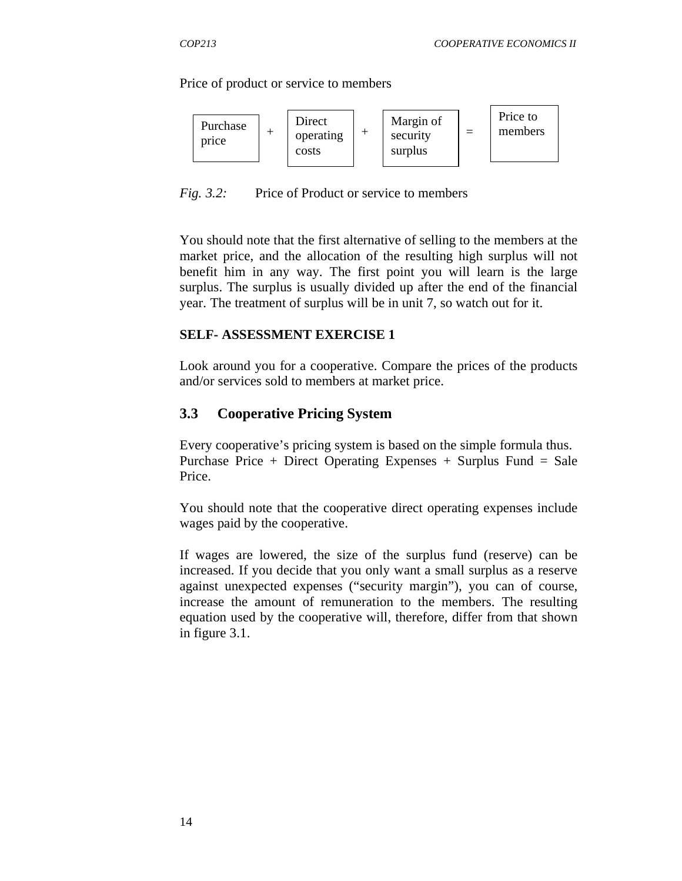Price of product or service to members



*Fig. 3.2:* Price of Product or service to members

You should note that the first alternative of selling to the members at the market price, and the allocation of the resulting high surplus will not benefit him in any way. The first point you will learn is the large surplus. The surplus is usually divided up after the end of the financial year. The treatment of surplus will be in unit 7, so watch out for it.

#### **SELF- ASSESSMENT EXERCISE 1**

Look around you for a cooperative. Compare the prices of the products and/or services sold to members at market price.

#### **3.3 Cooperative Pricing System**

Every cooperative's pricing system is based on the simple formula thus. Purchase Price + Direct Operating Expenses + Surplus Fund = Sale Price.

You should note that the cooperative direct operating expenses include wages paid by the cooperative.

If wages are lowered, the size of the surplus fund (reserve) can be increased. If you decide that you only want a small surplus as a reserve against unexpected expenses ("security margin"), you can of course, increase the amount of remuneration to the members. The resulting equation used by the cooperative will, therefore, differ from that shown in figure 3.1.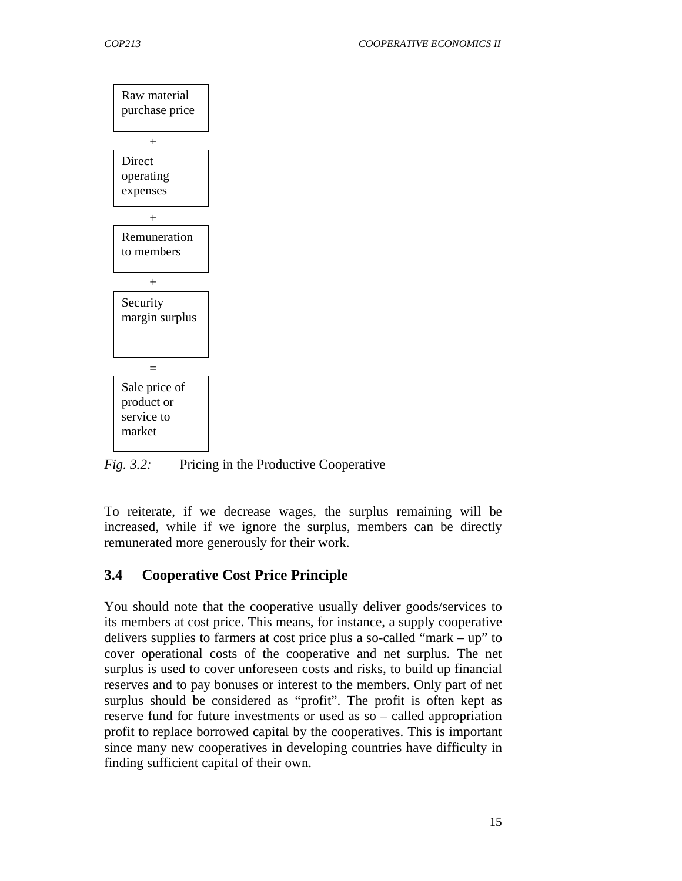

*Fig. 3.2:* Pricing in the Productive Cooperative

To reiterate, if we decrease wages, the surplus remaining will be increased, while if we ignore the surplus, members can be directly remunerated more generously for their work.

# **3.4 Cooperative Cost Price Principle**

You should note that the cooperative usually deliver goods/services to its members at cost price. This means, for instance, a supply cooperative delivers supplies to farmers at cost price plus a so-called "mark – up" to cover operational costs of the cooperative and net surplus. The net surplus is used to cover unforeseen costs and risks, to build up financial reserves and to pay bonuses or interest to the members. Only part of net surplus should be considered as "profit". The profit is often kept as reserve fund for future investments or used as so – called appropriation profit to replace borrowed capital by the cooperatives. This is important since many new cooperatives in developing countries have difficulty in finding sufficient capital of their own.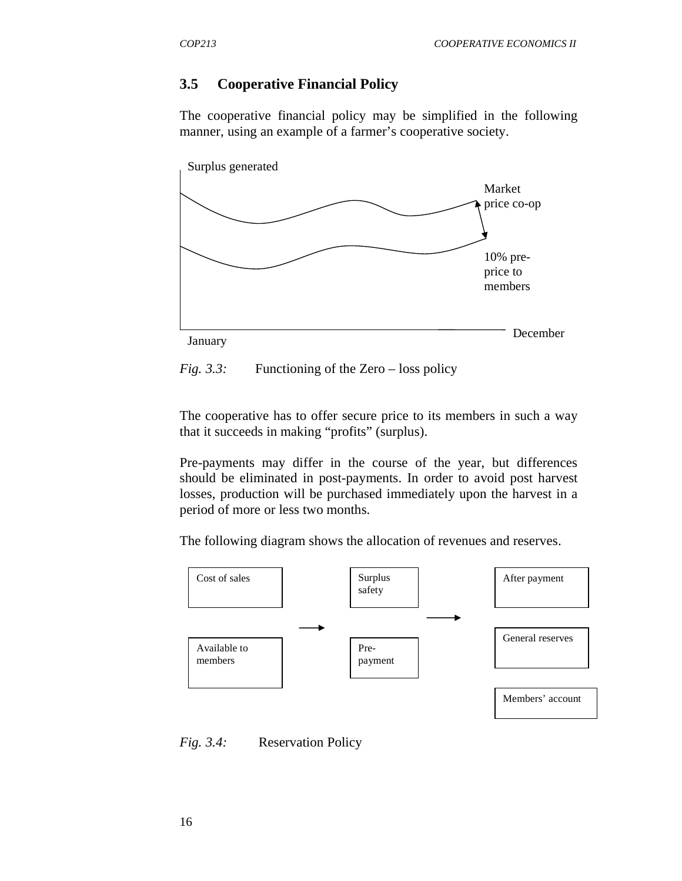#### **3.5 Cooperative Financial Policy**

The cooperative financial policy may be simplified in the following manner, using an example of a farmer's cooperative society.





The cooperative has to offer secure price to its members in such a way that it succeeds in making "profits" (surplus).

Pre-payments may differ in the course of the year, but differences should be eliminated in post-payments. In order to avoid post harvest losses, production will be purchased immediately upon the harvest in a period of more or less two months.

The following diagram shows the allocation of revenues and reserves.



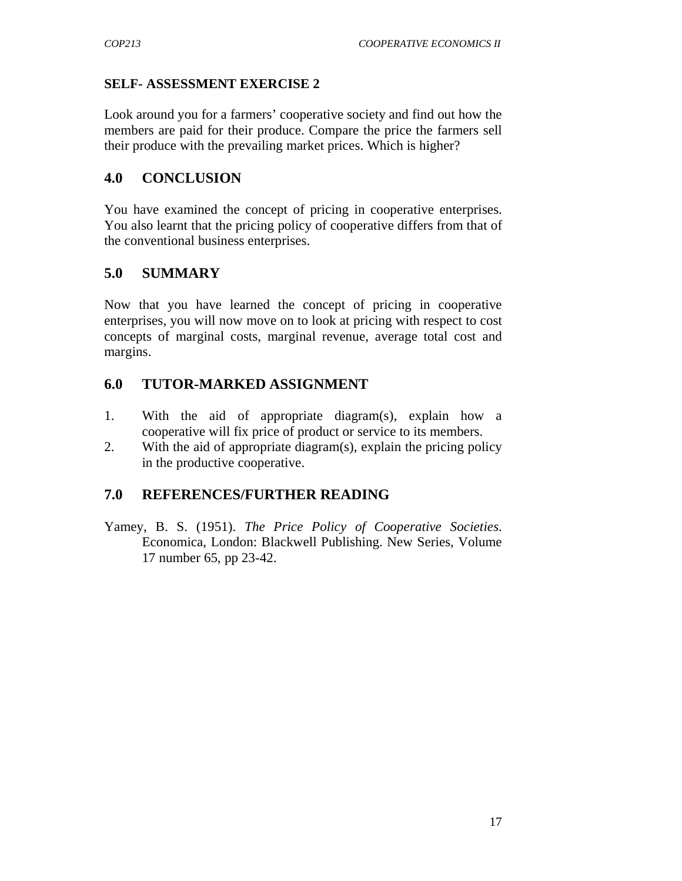#### **SELF- ASSESSMENT EXERCISE 2**

Look around you for a farmers' cooperative society and find out how the members are paid for their produce. Compare the price the farmers sell their produce with the prevailing market prices. Which is higher?

## **4.0 CONCLUSION**

You have examined the concept of pricing in cooperative enterprises. You also learnt that the pricing policy of cooperative differs from that of the conventional business enterprises.

# **5.0 SUMMARY**

Now that you have learned the concept of pricing in cooperative enterprises, you will now move on to look at pricing with respect to cost concepts of marginal costs, marginal revenue, average total cost and margins.

# **6.0 TUTOR-MARKED ASSIGNMENT**

- 1. With the aid of appropriate diagram(s), explain how a cooperative will fix price of product or service to its members.
- 2. With the aid of appropriate diagram(s), explain the pricing policy in the productive cooperative.

## **7.0 REFERENCES/FURTHER READING**

Yamey, B. S. (1951). *The Price Policy of Cooperative Societies*. Economica, London: Blackwell Publishing. New Series, Volume 17 number 65, pp 23-42.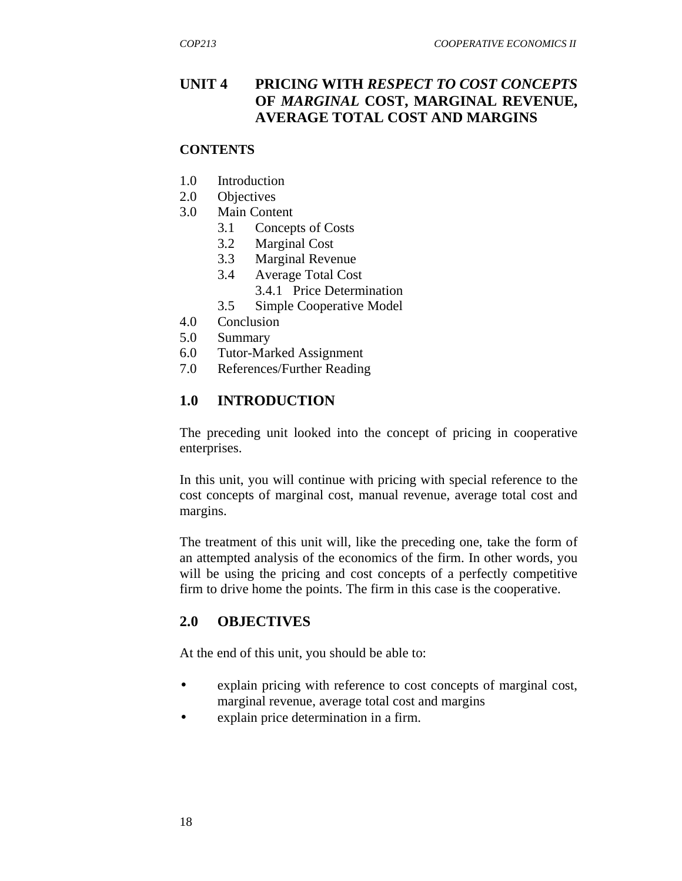# **UNIT 4 PRICIN***G* **WITH** *RESPECT TO COST CONCEPTS* **OF** *MARGINAL* **COST, MARGINAL REVENUE, AVERAGE TOTAL COST AND MARGINS**

#### **CONTENTS**

- 1.0 Introduction
- 2.0 Objectives
- 3.0 Main Content
	- 3.1 Concepts of Costs
	- 3.2 Marginal Cost
	- 3.3 Marginal Revenue
	- 3.4 Average Total Cost
		- 3.4.1 Price Determination
	- 3.5 Simple Cooperative Model
- 4.0 Conclusion
- 5.0 Summary
- 6.0 Tutor-Marked Assignment
- 7.0 References/Further Reading

## **1.0 INTRODUCTION**

 The preceding unit looked into the concept of pricing in cooperative enterprises.

In this unit, you will continue with pricing with special reference to the cost concepts of marginal cost, manual revenue, average total cost and margins.

The treatment of this unit will, like the preceding one, take the form of an attempted analysis of the economics of the firm. In other words, you will be using the pricing and cost concepts of a perfectly competitive firm to drive home the points. The firm in this case is the cooperative.

## **2.0 OBJECTIVES**

At the end of this unit, you should be able to:

- explain pricing with reference to cost concepts of marginal cost, marginal revenue, average total cost and margins
- explain price determination in a firm.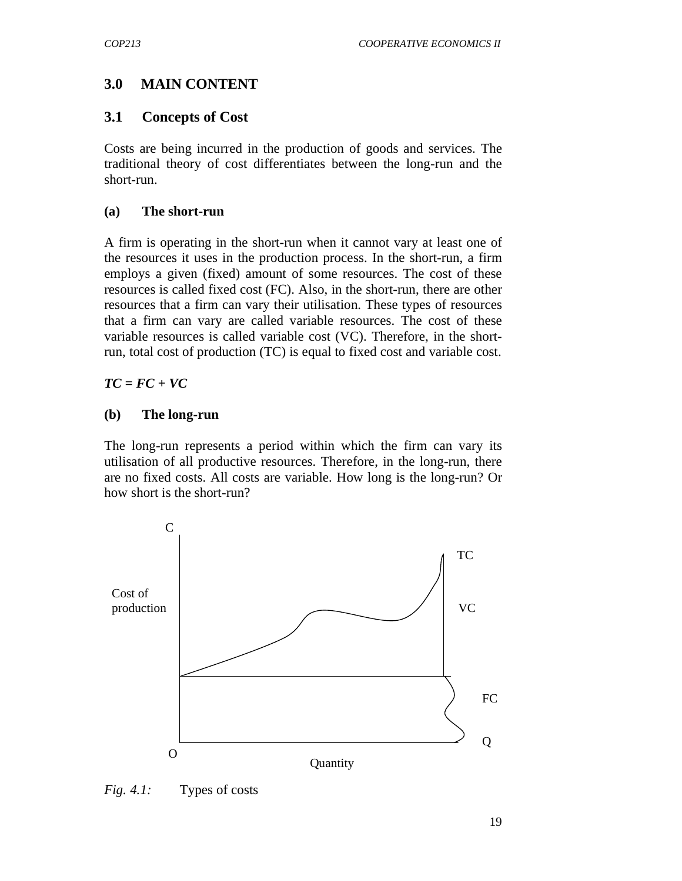# **3.0 MAIN CONTENT**

#### **3.1 Concepts of Cost**

Costs are being incurred in the production of goods and services. The traditional theory of cost differentiates between the long-run and the short-run.

#### **(a) The short-run**

A firm is operating in the short-run when it cannot vary at least one of the resources it uses in the production process. In the short-run, a firm employs a given (fixed) amount of some resources. The cost of these resources is called fixed cost (FC). Also, in the short-run, there are other resources that a firm can vary their utilisation. These types of resources that a firm can vary are called variable resources. The cost of these variable resources is called variable cost (VC). Therefore, in the shortrun, total cost of production (TC) is equal to fixed cost and variable cost.

*TC = FC + VC* 

#### **(b) The long-run**

The long-run represents a period within which the firm can vary its utilisation of all productive resources. Therefore, in the long-run, there are no fixed costs. All costs are variable. How long is the long-run? Or how short is the short-run?



*Fig. 4.1:* Types of costs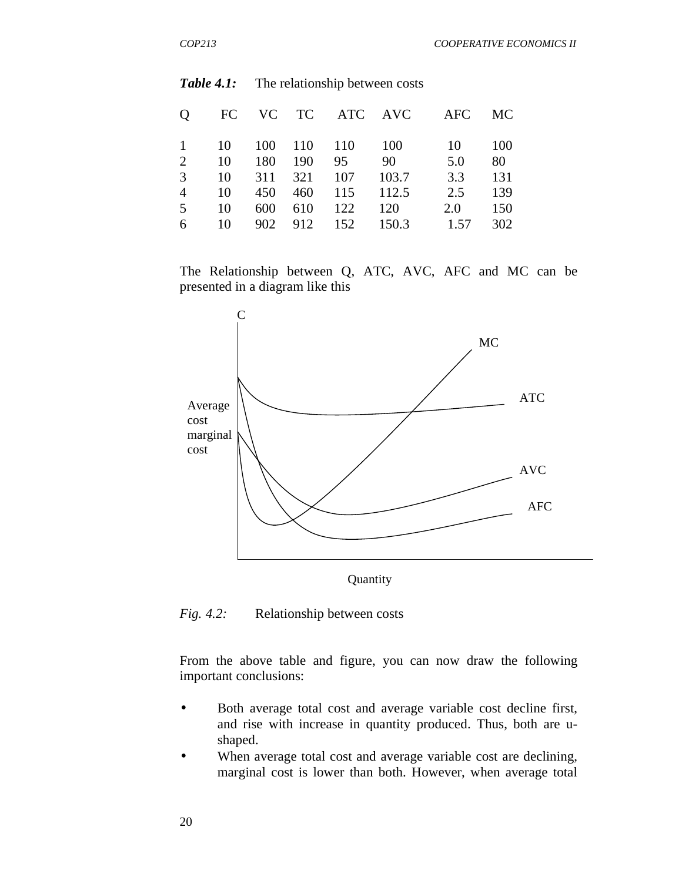| Q              | FC |     |             | VC TC ATC AVC |       | AFC  | MC. |
|----------------|----|-----|-------------|---------------|-------|------|-----|
| $\mathbf{1}$   | 10 |     | 100 110 110 |               | - 100 | 10   | 100 |
| 2              | 10 | 180 | 190         | 95            | 90    | 5.0  | 80  |
| 3              | 10 | 311 | 321         | 107           | 103.7 | 3.3  | 131 |
| $\overline{4}$ | 10 | 450 |             | 460 115       | 112.5 | 2.5  | 139 |
| 5              | 10 | 600 | 610         | 122           | 120   | 2.0  | 150 |
| 6              | 10 |     |             | 902 912 152   | 150.3 | 1.57 | 302 |

#### **Table 4.1:** The relationship between costs

The Relationship between Q, ATC, AVC, AFC and MC can be presented in a diagram like this



*Fig. 4.2:* Relationship between costs

From the above table and figure, you can now draw the following important conclusions:

- Both average total cost and average variable cost decline first, and rise with increase in quantity produced. Thus, both are ushaped.
- When average total cost and average variable cost are declining, marginal cost is lower than both. However, when average total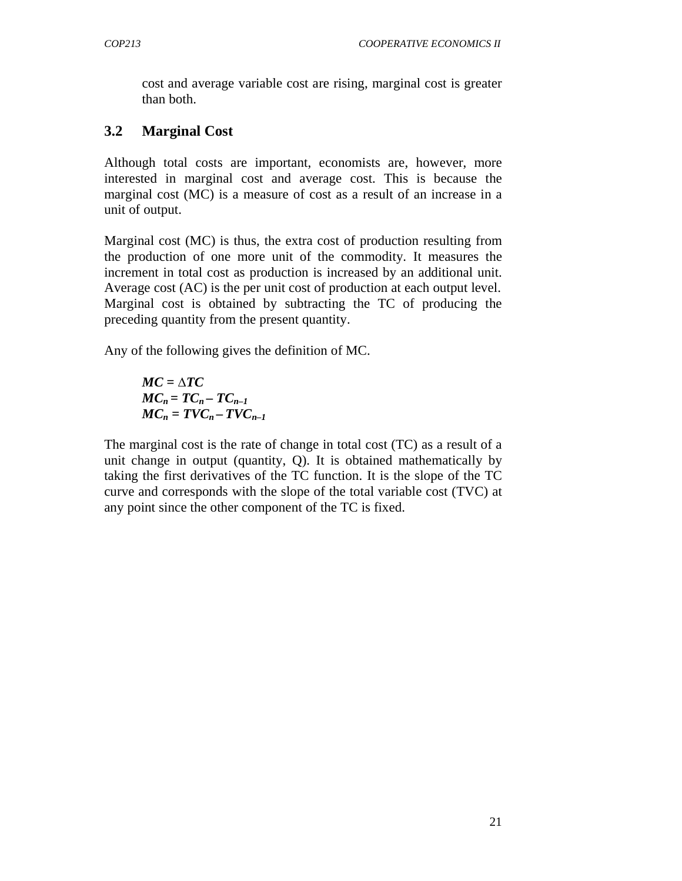cost and average variable cost are rising, marginal cost is greater than both.

## **3.2 Marginal Cost**

Although total costs are important, economists are, however, more interested in marginal cost and average cost. This is because the marginal cost (MC) is a measure of cost as a result of an increase in a unit of output.

Marginal cost (MC) is thus, the extra cost of production resulting from the production of one more unit of the commodity. It measures the increment in total cost as production is increased by an additional unit. Average cost (AC) is the per unit cost of production at each output level. Marginal cost is obtained by subtracting the TC of producing the preceding quantity from the present quantity.

Any of the following gives the definition of MC.

$$
MC = \triangle TC
$$
  
\n
$$
MC_n = TC_n - TC_{n-1}
$$
  
\n
$$
MC_n = TVC_n - TVC_{n-1}
$$

The marginal cost is the rate of change in total cost (TC) as a result of a unit change in output (quantity, Q). It is obtained mathematically by taking the first derivatives of the TC function. It is the slope of the TC curve and corresponds with the slope of the total variable cost (TVC) at any point since the other component of the TC is fixed.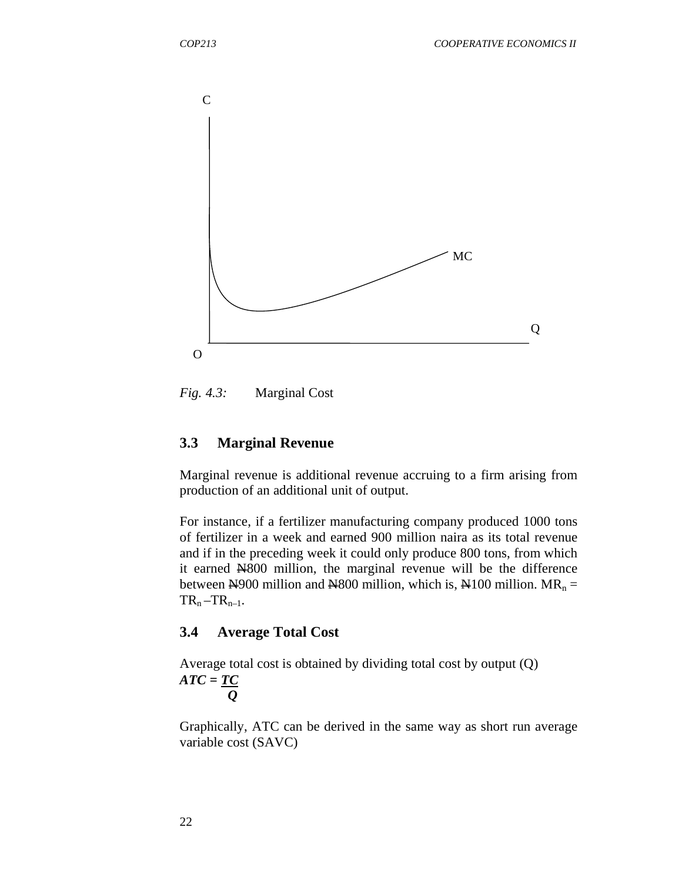

*Fig. 4.3:* Marginal Cost

#### **3.3 Marginal Revenue**

Marginal revenue is additional revenue accruing to a firm arising from production of an additional unit of output.

For instance, if a fertilizer manufacturing company produced 1000 tons of fertilizer in a week and earned 900 million naira as its total revenue and if in the preceding week it could only produce 800 tons, from which it earned N800 million, the marginal revenue will be the difference between  $\text{\textcircled{H}}900$  million and  $\text{\textcircled{H}}800$  million, which is,  $\text{\textcircled{H}}100$  million. MR<sub>n</sub> =  $TR_n - TR_{n-1}$ .

#### **3.4 Average Total Cost**

Average total cost is obtained by dividing total cost by output (Q) *ATC = TC Q* 

Graphically, ATC can be derived in the same way as short run average variable cost (SAVC)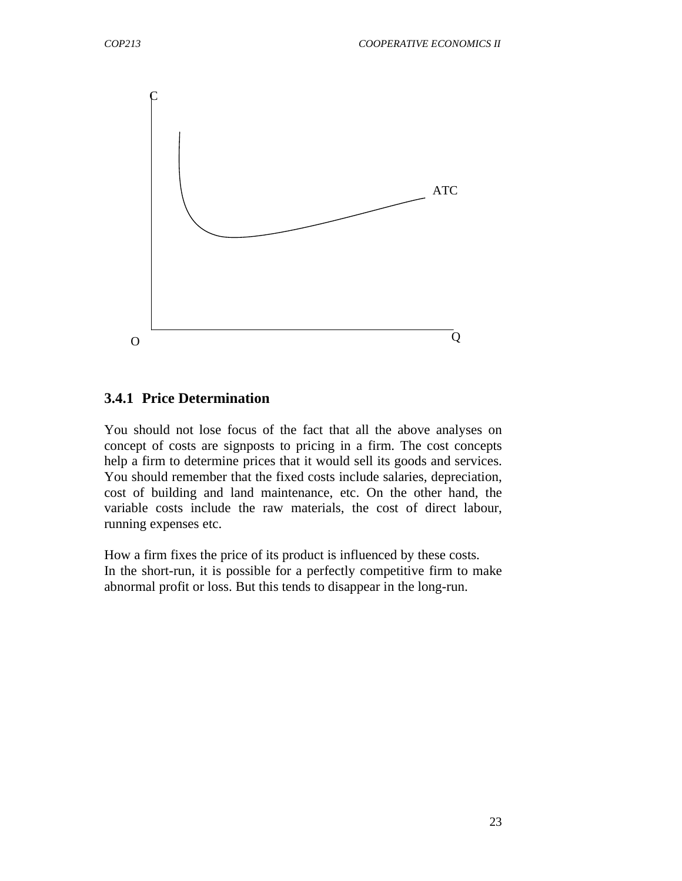

#### **3.4.1 Price Determination**

You should not lose focus of the fact that all the above analyses on concept of costs are signposts to pricing in a firm. The cost concepts help a firm to determine prices that it would sell its goods and services. You should remember that the fixed costs include salaries, depreciation, cost of building and land maintenance, etc. On the other hand, the variable costs include the raw materials, the cost of direct labour, running expenses etc.

How a firm fixes the price of its product is influenced by these costs. In the short-run, it is possible for a perfectly competitive firm to make abnormal profit or loss. But this tends to disappear in the long-run.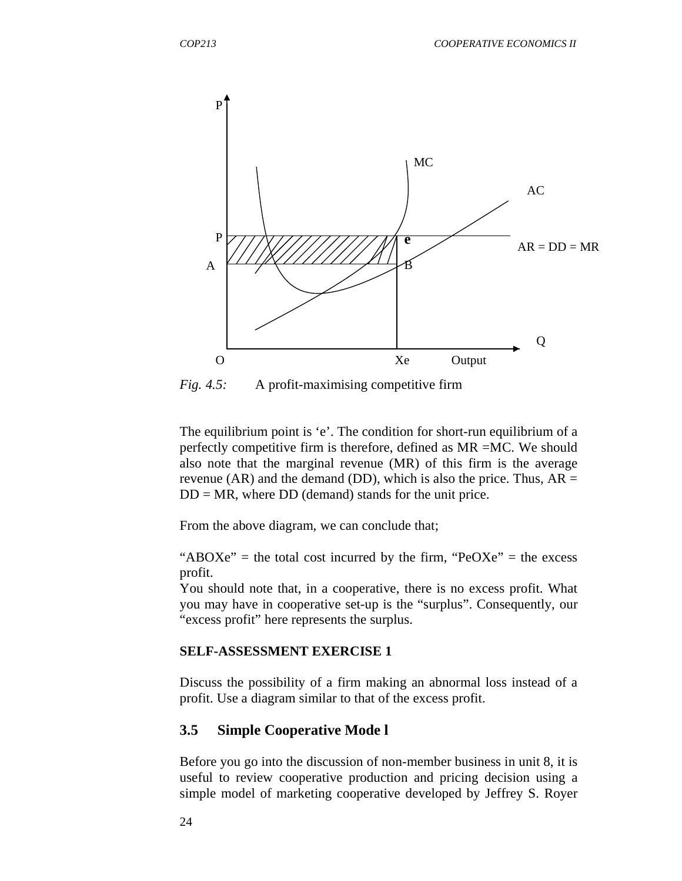

*Fig. 4.5:* A profit-maximising competitive firm

The equilibrium point is 'e'. The condition for short-run equilibrium of a perfectly competitive firm is therefore, defined as MR =MC. We should also note that the marginal revenue (MR) of this firm is the average revenue (AR) and the demand (DD), which is also the price. Thus,  $AR =$  $DD = MR$ , where  $DD$  (demand) stands for the unit price.

From the above diagram, we can conclude that;

" $ABOXe"$  = the total cost incurred by the firm, " $PeOXe"$  = the excess profit.

You should note that, in a cooperative, there is no excess profit. What you may have in cooperative set-up is the "surplus". Consequently, our "excess profit" here represents the surplus.

#### **SELF-ASSESSMENT EXERCISE 1**

Discuss the possibility of a firm making an abnormal loss instead of a profit. Use a diagram similar to that of the excess profit.

#### **3.5 Simple Cooperative Mode l**

Before you go into the discussion of non-member business in unit 8, it is useful to review cooperative production and pricing decision using a simple model of marketing cooperative developed by Jeffrey S. Royer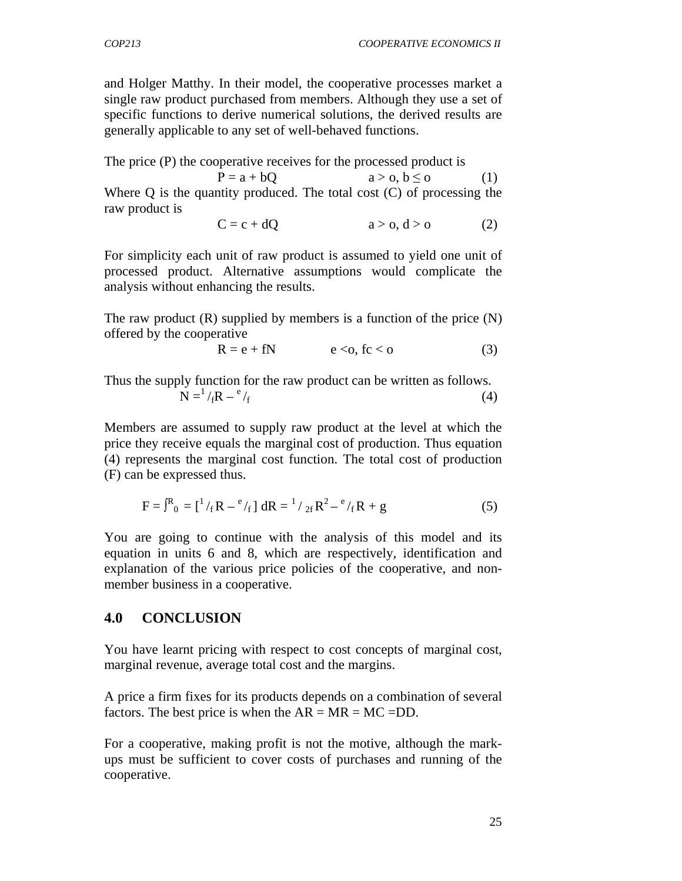and Holger Matthy. In their model, the cooperative processes market a single raw product purchased from members. Although they use a set of specific functions to derive numerical solutions, the derived results are generally applicable to any set of well-behaved functions.

The price (P) the cooperative receives for the processed product is

 $P = a + bQ$   $a > 0, b \le 0$  (1) Where  $\overline{O}$  is the quantity produced. The total cost  $(C)$  of processing the raw product is

$$
C = c + dQ \qquad a > 0, d > 0 \qquad (2)
$$

For simplicity each unit of raw product is assumed to yield one unit of processed product. Alternative assumptions would complicate the analysis without enhancing the results.

The raw product  $(R)$  supplied by members is a function of the price  $(N)$ offered by the cooperative

$$
R = e + fN \qquad e < o, \, fc < o \tag{3}
$$

Thus the supply function for the raw product can be written as follows.  $N = 1 / fR - f^e / f$  $/_{\rm f}$  (4)

Members are assumed to supply raw product at the level at which the price they receive equals the marginal cost of production. Thus equation (4) represents the marginal cost function. The total cost of production (F) can be expressed thus.

$$
F = \int_{0}^{R} P_{0} = \left[ \frac{1}{f} R - \frac{e}{f} \right] dR = \frac{1}{2f} R^{2} - \frac{e}{f} R + g \tag{5}
$$

You are going to continue with the analysis of this model and its equation in units 6 and 8, which are respectively, identification and explanation of the various price policies of the cooperative, and nonmember business in a cooperative.

#### **4.0 CONCLUSION**

You have learnt pricing with respect to cost concepts of marginal cost, marginal revenue, average total cost and the margins.

A price a firm fixes for its products depends on a combination of several factors. The best price is when the  $AR = MR = MC = DD$ .

For a cooperative, making profit is not the motive, although the markups must be sufficient to cover costs of purchases and running of the cooperative.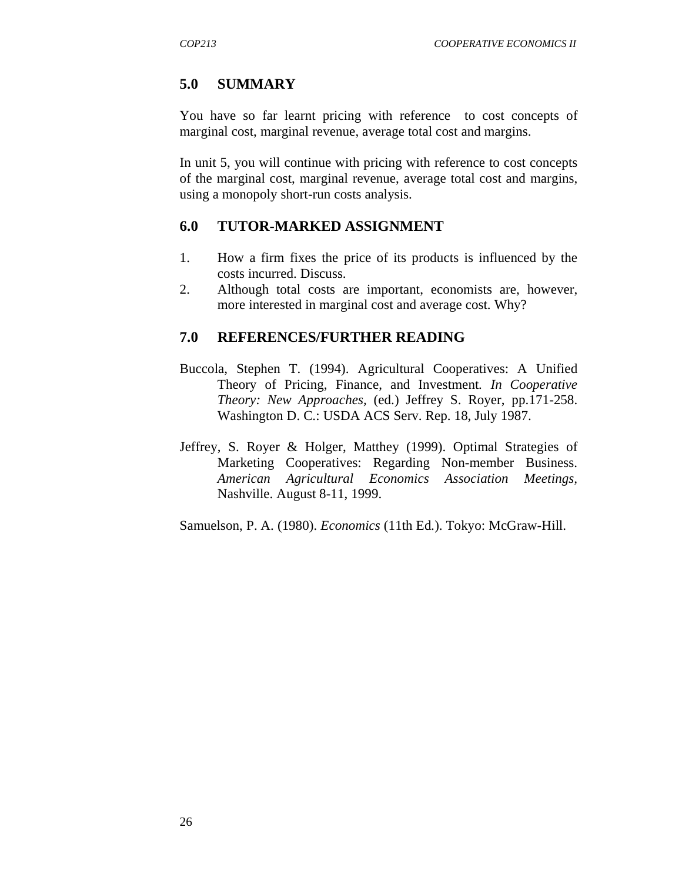## **5.0 SUMMARY**

You have so far learnt pricing with reference to cost concepts of marginal cost, marginal revenue, average total cost and margins.

In unit 5, you will continue with pricing with reference to cost concepts of the marginal cost, marginal revenue, average total cost and margins, using a monopoly short-run costs analysis.

## **6.0 TUTOR-MARKED ASSIGNMENT**

- 1. How a firm fixes the price of its products is influenced by the costs incurred. Discuss.
- 2. Although total costs are important, economists are, however, more interested in marginal cost and average cost. Why?

## **7.0 REFERENCES/FURTHER READING**

- Buccola, Stephen T. (1994). Agricultural Cooperatives: A Unified Theory of Pricing, Finance, and Investment*. In Cooperative Theory: New Approaches,* (ed.) Jeffrey S. Royer, pp.171-258. Washington D. C.: USDA ACS Serv. Rep. 18, July 1987.
- Jeffrey, S. Royer & Holger, Matthey (1999). Optimal Strategies of Marketing Cooperatives: Regarding Non-member Business. *American Agricultural Economics Association Meetings,* Nashville. August 8-11, 1999.

Samuelson, P. A. (1980). *Economics* (11th Ed.). Tokyo: McGraw-Hill.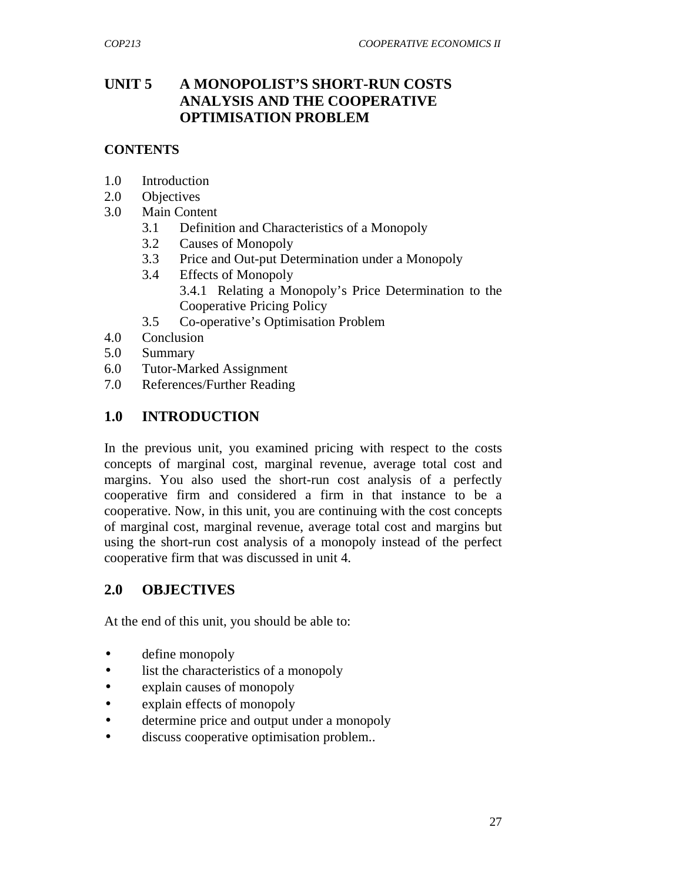## **UNIT 5 A MONOPOLIST'S SHORT-RUN COSTS ANALYSIS AND THE COOPERATIVE OPTIMISATION PROBLEM**

#### **CONTENTS**

- 1.0 Introduction
- 2.0 Objectives
- 3.0 Main Content
	- 3.1 Definition and Characteristics of a Monopoly
	- 3.2 Causes of Monopoly
	- 3.3 Price and Out-put Determination under a Monopoly
	- 3.4 Effects of Monopoly 3.4.1 Relating a Monopoly's Price Determination to the Cooperative Pricing Policy
	- 3.5 Co-operative's Optimisation Problem
- 4.0 Conclusion
- 5.0 Summary
- 6.0 Tutor-Marked Assignment
- 7.0 References/Further Reading

#### **1.0 INTRODUCTION**

In the previous unit, you examined pricing with respect to the costs concepts of marginal cost, marginal revenue, average total cost and margins. You also used the short-run cost analysis of a perfectly cooperative firm and considered a firm in that instance to be a cooperative. Now, in this unit, you are continuing with the cost concepts of marginal cost, marginal revenue, average total cost and margins but using the short-run cost analysis of a monopoly instead of the perfect cooperative firm that was discussed in unit 4.

## **2.0 OBJECTIVES**

At the end of this unit, you should be able to:

- define monopoly
- list the characteristics of a monopoly
- explain causes of monopoly
- explain effects of monopoly
- determine price and output under a monopoly
- discuss cooperative optimisation problem..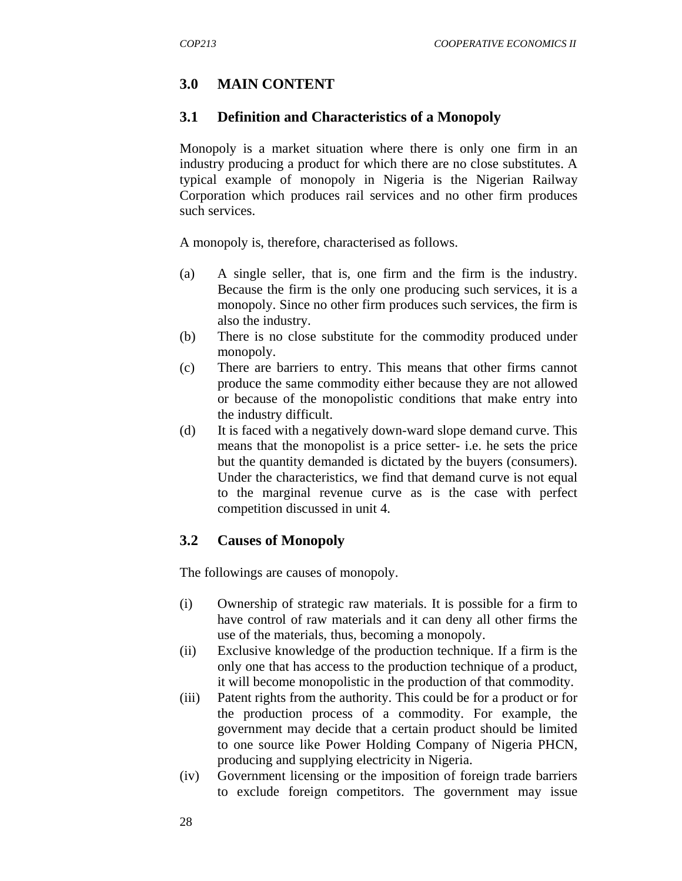## **3.0 MAIN CONTENT**

#### **3.1 Definition and Characteristics of a Monopoly**

Monopoly is a market situation where there is only one firm in an industry producing a product for which there are no close substitutes. A typical example of monopoly in Nigeria is the Nigerian Railway Corporation which produces rail services and no other firm produces such services.

A monopoly is, therefore, characterised as follows.

- (a) A single seller, that is, one firm and the firm is the industry. Because the firm is the only one producing such services, it is a monopoly. Since no other firm produces such services, the firm is also the industry.
- (b) There is no close substitute for the commodity produced under monopoly.
- (c) There are barriers to entry. This means that other firms cannot produce the same commodity either because they are not allowed or because of the monopolistic conditions that make entry into the industry difficult.
- (d) It is faced with a negatively down-ward slope demand curve. This means that the monopolist is a price setter- i.e. he sets the price but the quantity demanded is dictated by the buyers (consumers). Under the characteristics, we find that demand curve is not equal to the marginal revenue curve as is the case with perfect competition discussed in unit 4.

## **3.2 Causes of Monopoly**

The followings are causes of monopoly.

- (i) Ownership of strategic raw materials. It is possible for a firm to have control of raw materials and it can deny all other firms the use of the materials, thus, becoming a monopoly.
- (ii) Exclusive knowledge of the production technique. If a firm is the only one that has access to the production technique of a product, it will become monopolistic in the production of that commodity.
- (iii) Patent rights from the authority. This could be for a product or for the production process of a commodity. For example, the government may decide that a certain product should be limited to one source like Power Holding Company of Nigeria PHCN, producing and supplying electricity in Nigeria.
- (iv) Government licensing or the imposition of foreign trade barriers to exclude foreign competitors. The government may issue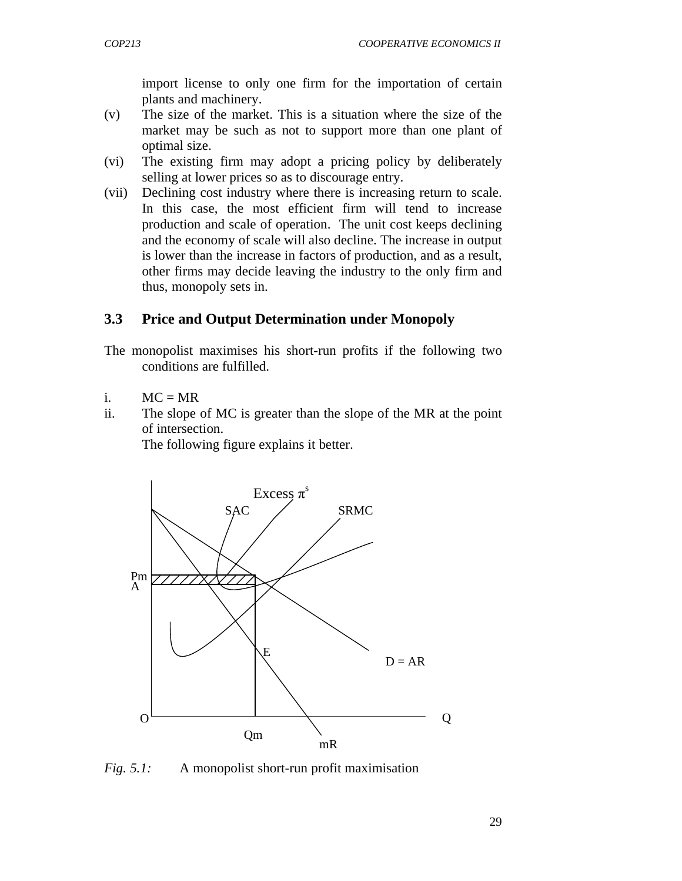import license to only one firm for the importation of certain plants and machinery.

- (v) The size of the market. This is a situation where the size of the market may be such as not to support more than one plant of optimal size.
- (vi) The existing firm may adopt a pricing policy by deliberately selling at lower prices so as to discourage entry.
- (vii) Declining cost industry where there is increasing return to scale. In this case, the most efficient firm will tend to increase production and scale of operation. The unit cost keeps declining and the economy of scale will also decline. The increase in output is lower than the increase in factors of production, and as a result, other firms may decide leaving the industry to the only firm and thus, monopoly sets in.

#### **3.3 Price and Output Determination under Monopoly**

The monopolist maximises his short-run profits if the following two conditions are fulfilled.

- $i.$   $MC = MR$
- ii. The slope of MC is greater than the slope of the MR at the point of intersection.

The following figure explains it better.



*Fig. 5.1:* A monopolist short-run profit maximisation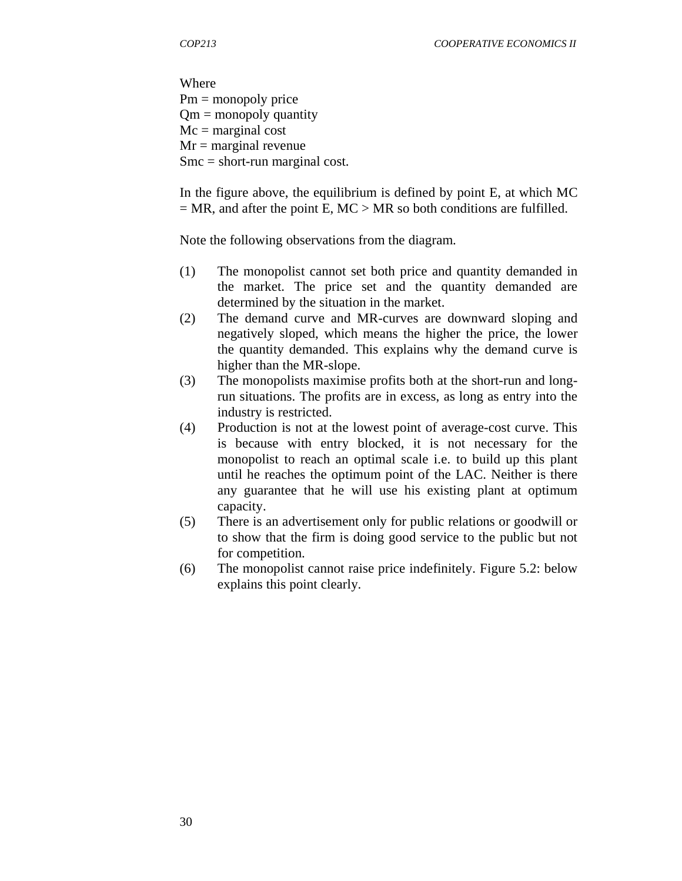Where Pm = monopoly price  $Qm =$  monopoly quantity  $Mc = marginal cost$  $Mr = marginal$  revenue  $Smc = short-run marginal cost.$ 

In the figure above, the equilibrium is defined by point E, at which MC  $= MR$ , and after the point E, MC  $> MR$  so both conditions are fulfilled.

Note the following observations from the diagram.

- (1) The monopolist cannot set both price and quantity demanded in the market. The price set and the quantity demanded are determined by the situation in the market.
- (2) The demand curve and MR-curves are downward sloping and negatively sloped, which means the higher the price, the lower the quantity demanded. This explains why the demand curve is higher than the MR-slope.
- (3) The monopolists maximise profits both at the short-run and longrun situations. The profits are in excess, as long as entry into the industry is restricted.
- (4) Production is not at the lowest point of average-cost curve. This is because with entry blocked, it is not necessary for the monopolist to reach an optimal scale i.e. to build up this plant until he reaches the optimum point of the LAC. Neither is there any guarantee that he will use his existing plant at optimum capacity.
- (5) There is an advertisement only for public relations or goodwill or to show that the firm is doing good service to the public but not for competition.
- (6) The monopolist cannot raise price indefinitely. Figure 5.2: below explains this point clearly.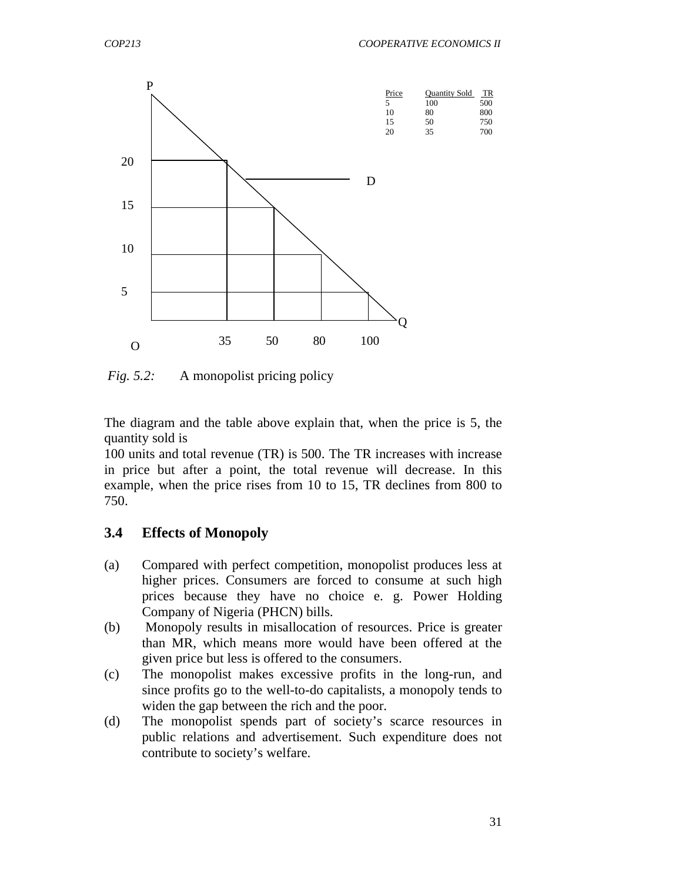

*Fig. 5.2:* A monopolist pricing policy

The diagram and the table above explain that, when the price is 5, the quantity sold is

100 units and total revenue (TR) is 500. The TR increases with increase in price but after a point, the total revenue will decrease. In this example, when the price rises from 10 to 15, TR declines from 800 to 750.

#### **3.4 Effects of Monopoly**

- (a) Compared with perfect competition, monopolist produces less at higher prices. Consumers are forced to consume at such high prices because they have no choice e. g. Power Holding Company of Nigeria (PHCN) bills.
- (b) Monopoly results in misallocation of resources. Price is greater than MR, which means more would have been offered at the given price but less is offered to the consumers.
- (c) The monopolist makes excessive profits in the long-run, and since profits go to the well-to-do capitalists, a monopoly tends to widen the gap between the rich and the poor.
- (d) The monopolist spends part of society's scarce resources in public relations and advertisement. Such expenditure does not contribute to society's welfare.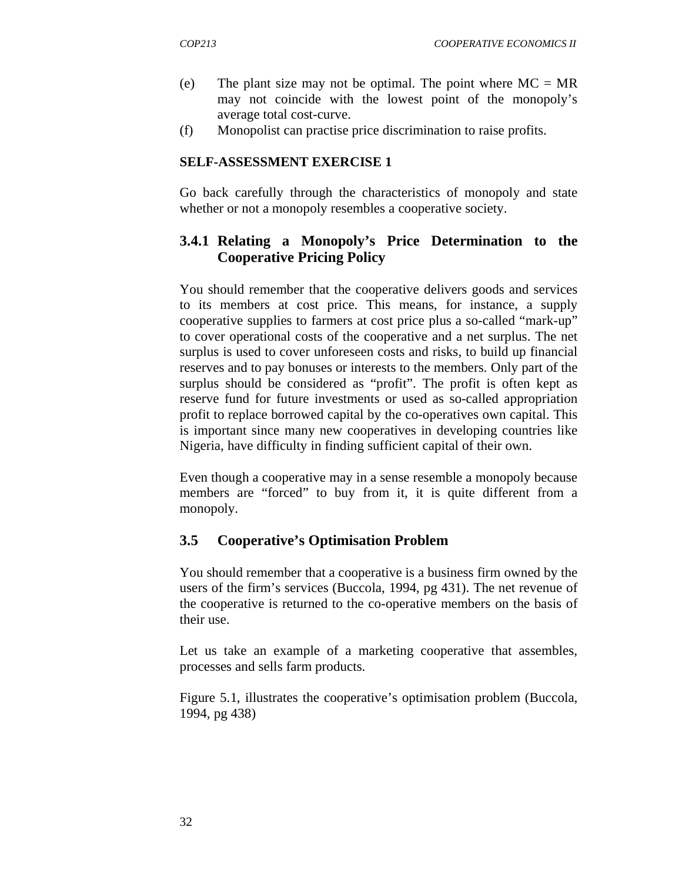- (e) The plant size may not be optimal. The point where  $MC = MR$ may not coincide with the lowest point of the monopoly's average total cost-curve.
- (f) Monopolist can practise price discrimination to raise profits.

#### **SELF-ASSESSMENT EXERCISE 1**

Go back carefully through the characteristics of monopoly and state whether or not a monopoly resembles a cooperative society.

## **3.4.1 Relating a Monopoly's Price Determination to the Cooperative Pricing Policy**

You should remember that the cooperative delivers goods and services to its members at cost price. This means, for instance, a supply cooperative supplies to farmers at cost price plus a so-called "mark-up" to cover operational costs of the cooperative and a net surplus. The net surplus is used to cover unforeseen costs and risks, to build up financial reserves and to pay bonuses or interests to the members. Only part of the surplus should be considered as "profit". The profit is often kept as reserve fund for future investments or used as so-called appropriation profit to replace borrowed capital by the co-operatives own capital. This is important since many new cooperatives in developing countries like Nigeria, have difficulty in finding sufficient capital of their own.

Even though a cooperative may in a sense resemble a monopoly because members are "forced" to buy from it, it is quite different from a monopoly.

## **3.5 Cooperative's Optimisation Problem**

You should remember that a cooperative is a business firm owned by the users of the firm's services (Buccola, 1994, pg 431). The net revenue of the cooperative is returned to the co-operative members on the basis of their use.

Let us take an example of a marketing cooperative that assembles, processes and sells farm products.

Figure 5.1, illustrates the cooperative's optimisation problem (Buccola, 1994, pg 438)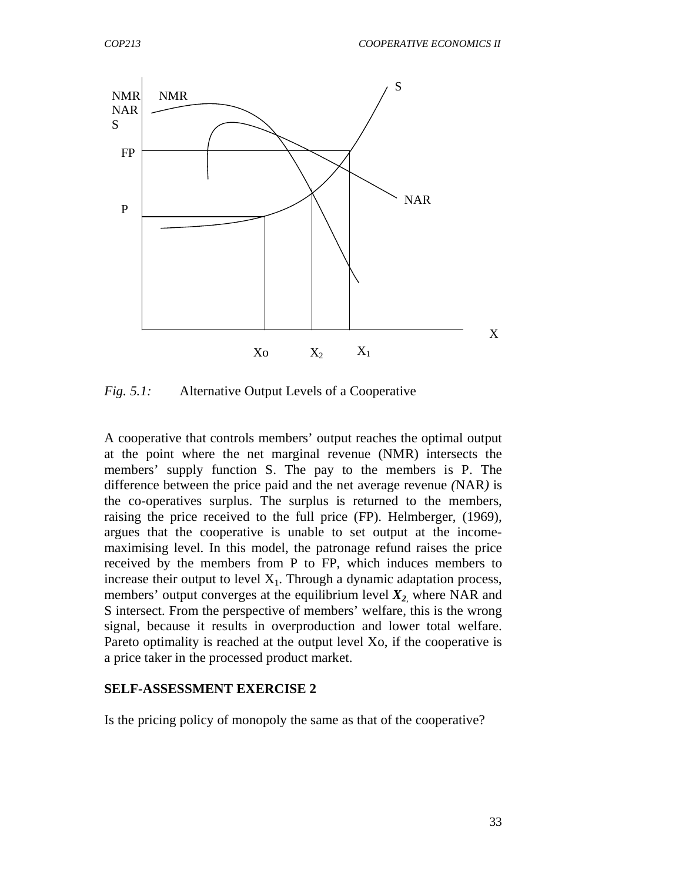

*Fig. 5.1:* Alternative Output Levels of a Cooperative

A cooperative that controls members' output reaches the optimal output at the point where the net marginal revenue (NMR) intersects the members' supply function S. The pay to the members is P. The difference between the price paid and the net average revenue *(*NAR*)* is the co-operatives surplus. The surplus is returned to the members, raising the price received to the full price (FP). Helmberger, (1969), argues that the cooperative is unable to set output at the incomemaximising level. In this model, the patronage refund raises the price received by the members from P to FP, which induces members to increase their output to level  $X_1$ . Through a dynamic adaptation process, members' output converges at the equilibrium level  $X_2$ , where NAR and S intersect. From the perspective of members' welfare, this is the wrong signal, because it results in overproduction and lower total welfare. Pareto optimality is reached at the output level Xo, if the cooperative is a price taker in the processed product market.

#### **SELF-ASSESSMENT EXERCISE 2**

Is the pricing policy of monopoly the same as that of the cooperative?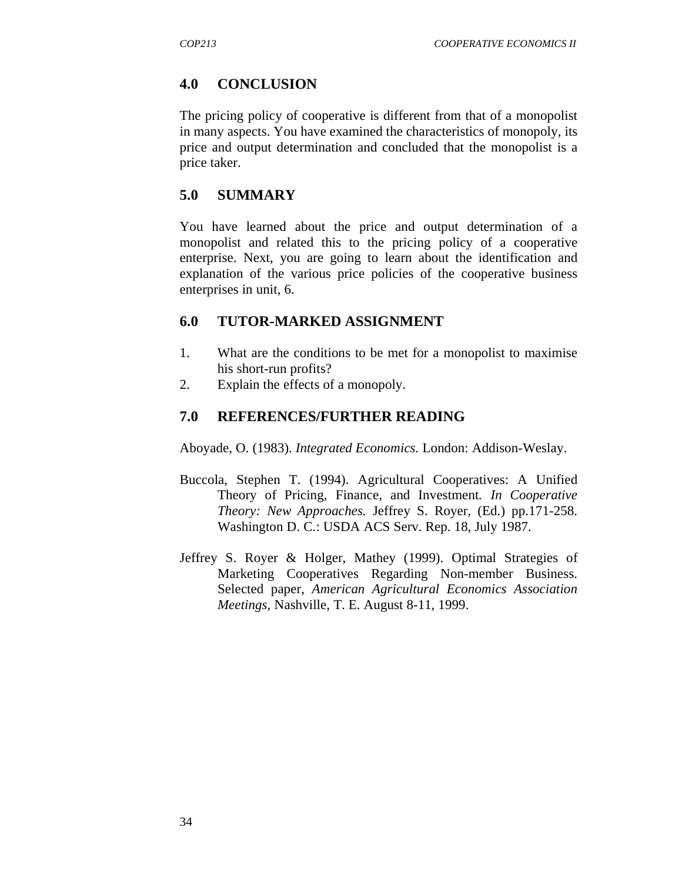## **4.0 CONCLUSION**

The pricing policy of cooperative is different from that of a monopolist in many aspects. You have examined the characteristics of monopoly, its price and output determination and concluded that the monopolist is a price taker.

#### **5.0 SUMMARY**

You have learned about the price and output determination of a monopolist and related this to the pricing policy of a cooperative enterprise. Next, you are going to learn about the identification and explanation of the various price policies of the cooperative business enterprises in unit, 6.

#### **6.0 TUTOR-MARKED ASSIGNMENT**

- 1. What are the conditions to be met for a monopolist to maximise his short-run profits?
- 2. Explain the effects of a monopoly.

#### **7.0 REFERENCES/FURTHER READING**

Aboyade, O. (1983). *Integrated Economics.* London: Addison-Weslay.

- Buccola, Stephen T. (1994). Agricultural Cooperatives: A Unified Theory of Pricing, Finance, and Investment*. In Cooperative Theory: New Approaches.* Jeffrey S. Royer, (Ed.) pp.171-258. Washington D. C.: USDA ACS Serv. Rep. 18, July 1987.
- Jeffrey S. Royer & Holger, Mathey (1999). Optimal Strategies of Marketing Cooperatives Regarding Non-member Business. Selected paper, *American Agricultural Economics Association Meetings*, Nashville, T. E. August 8-11, 1999.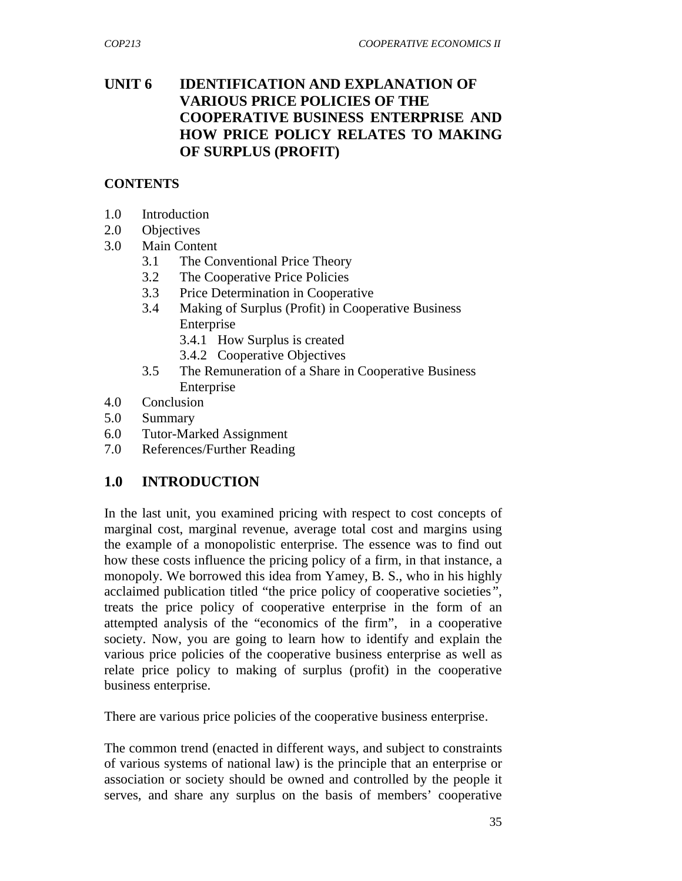## **UNIT 6 IDENTIFICATION AND EXPLANATION OF VARIOUS PRICE POLICIES OF THE COOPERATIVE BUSINESS ENTERPRISE AND HOW PRICE POLICY RELATES TO MAKING OF SURPLUS (PROFIT)**

#### **CONTENTS**

- 1.0 Introduction
- 2.0 Objectives
- 3.0 Main Content
	- 3.1 The Conventional Price Theory
	- 3.2 The Cooperative Price Policies
	- 3.3 Price Determination in Cooperative
	- 3.4 Making of Surplus (Profit) in Cooperative Business Enterprise
		- 3.4.1 How Surplus is created
		- 3.4.2 Cooperative Objectives
	- 3.5 The Remuneration of a Share in Cooperative Business **Enterprise**
- 4.0 Conclusion
- 5.0 Summary
- 6.0 Tutor-Marked Assignment
- 7.0 References/Further Reading

## **1.0 INTRODUCTION**

In the last unit, you examined pricing with respect to cost concepts of marginal cost, marginal revenue, average total cost and margins using the example of a monopolistic enterprise. The essence was to find out how these costs influence the pricing policy of a firm, in that instance, a monopoly. We borrowed this idea from Yamey, B. S., who in his highly acclaimed publication titled "the price policy of cooperative societies*"*, treats the price policy of cooperative enterprise in the form of an attempted analysis of the "economics of the firm", in a cooperative society. Now, you are going to learn how to identify and explain the various price policies of the cooperative business enterprise as well as relate price policy to making of surplus (profit) in the cooperative business enterprise.

There are various price policies of the cooperative business enterprise.

The common trend (enacted in different ways, and subject to constraints of various systems of national law) is the principle that an enterprise or association or society should be owned and controlled by the people it serves, and share any surplus on the basis of members' cooperative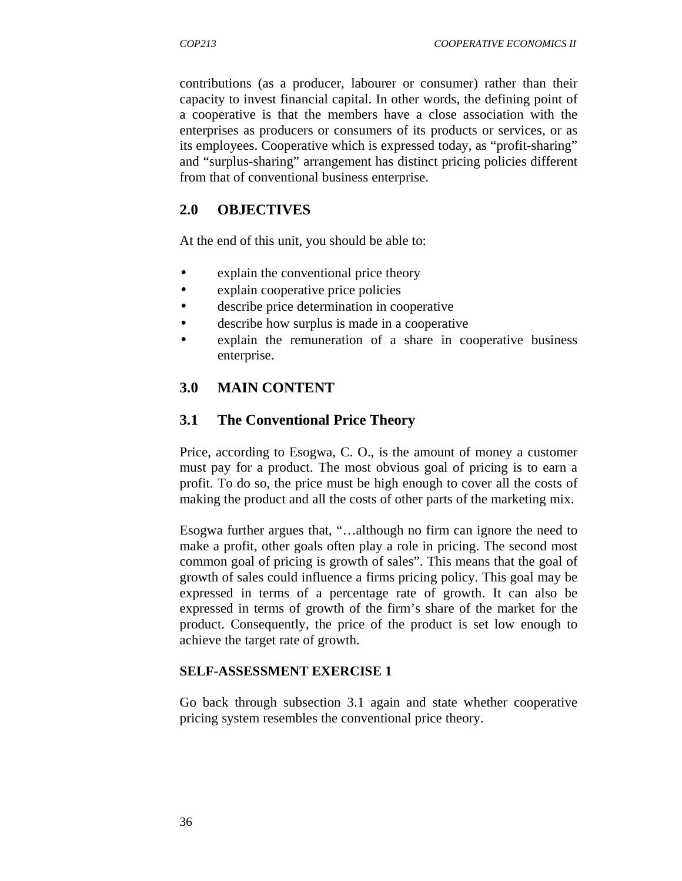contributions (as a producer, labourer or consumer) rather than their capacity to invest financial capital. In other words, the defining point of a cooperative is that the members have a close association with the enterprises as producers or consumers of its products or services, or as its employees. Cooperative which is expressed today, as "profit-sharing" and "surplus-sharing" arrangement has distinct pricing policies different from that of conventional business enterprise.

### **2.0 OBJECTIVES**

At the end of this unit, you should be able to:

- explain the conventional price theory
- explain cooperative price policies
- describe price determination in cooperative
- describe how surplus is made in a cooperative
- explain the remuneration of a share in cooperative business enterprise.

#### **3.0 MAIN CONTENT**

#### **3.1 The Conventional Price Theory**

Price, according to Esogwa, C. O., is the amount of money a customer must pay for a product. The most obvious goal of pricing is to earn a profit. To do so, the price must be high enough to cover all the costs of making the product and all the costs of other parts of the marketing mix.

Esogwa further argues that, "…although no firm can ignore the need to make a profit, other goals often play a role in pricing. The second most common goal of pricing is growth of sales". This means that the goal of growth of sales could influence a firms pricing policy. This goal may be expressed in terms of a percentage rate of growth. It can also be expressed in terms of growth of the firm's share of the market for the product. Consequently, the price of the product is set low enough to achieve the target rate of growth.

#### **SELF-ASSESSMENT EXERCISE 1**

Go back through subsection 3.1 again and state whether cooperative pricing system resembles the conventional price theory.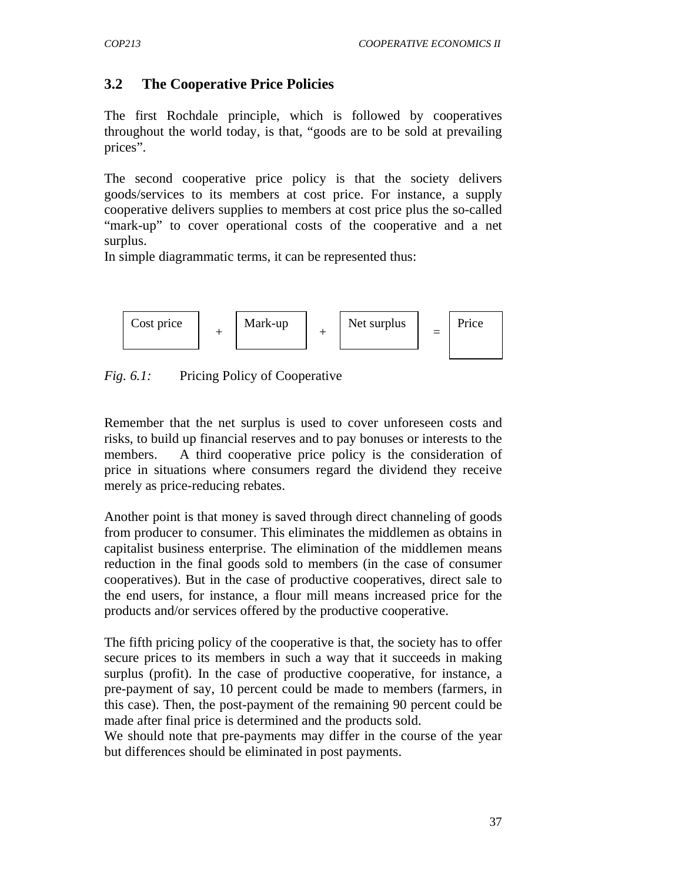# **3.2 The Cooperative Price Policies**

The first Rochdale principle, which is followed by cooperatives throughout the world today, is that, "goods are to be sold at prevailing prices".

The second cooperative price policy is that the society delivers goods/services to its members at cost price. For instance, a supply cooperative delivers supplies to members at cost price plus the so-called "mark-up" to cover operational costs of the cooperative and a net surplus.

In simple diagrammatic terms, it can be represented thus:



*Fig. 6.1:* Pricing Policy of Cooperative

Remember that the net surplus is used to cover unforeseen costs and risks, to build up financial reserves and to pay bonuses or interests to the members. A third cooperative price policy is the consideration of price in situations where consumers regard the dividend they receive merely as price-reducing rebates.

Another point is that money is saved through direct channeling of goods from producer to consumer. This eliminates the middlemen as obtains in capitalist business enterprise. The elimination of the middlemen means reduction in the final goods sold to members (in the case of consumer cooperatives). But in the case of productive cooperatives, direct sale to the end users, for instance, a flour mill means increased price for the products and/or services offered by the productive cooperative.

The fifth pricing policy of the cooperative is that, the society has to offer secure prices to its members in such a way that it succeeds in making surplus (profit). In the case of productive cooperative, for instance, a pre-payment of say, 10 percent could be made to members (farmers, in this case). Then, the post-payment of the remaining 90 percent could be made after final price is determined and the products sold.

We should note that pre-payments may differ in the course of the year but differences should be eliminated in post payments.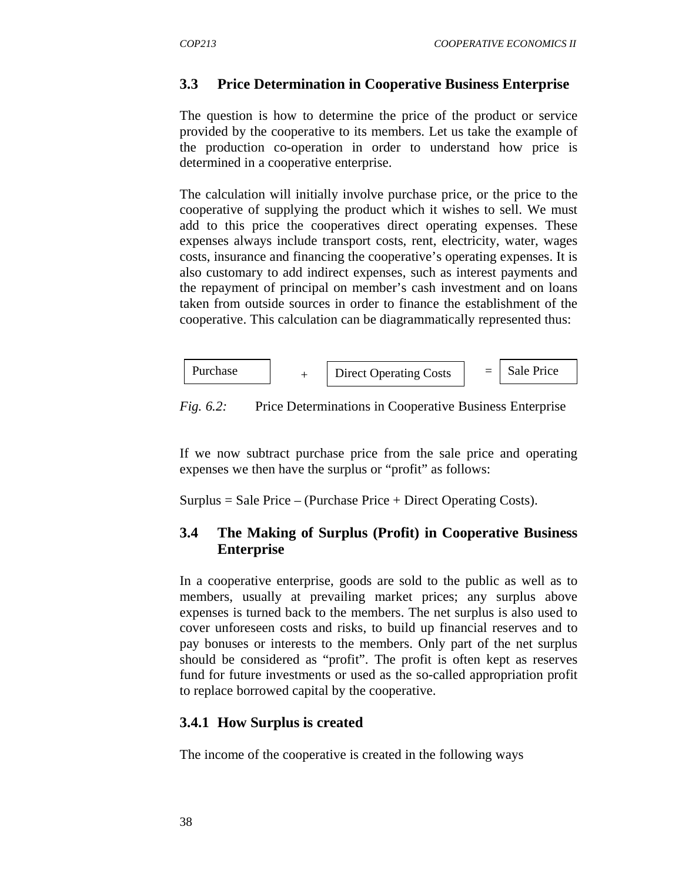## **3.3 Price Determination in Cooperative Business Enterprise**

The question is how to determine the price of the product or service provided by the cooperative to its members. Let us take the example of the production co-operation in order to understand how price is determined in a cooperative enterprise.

The calculation will initially involve purchase price, or the price to the cooperative of supplying the product which it wishes to sell. We must add to this price the cooperatives direct operating expenses. These expenses always include transport costs, rent, electricity, water, wages costs, insurance and financing the cooperative's operating expenses. It is also customary to add indirect expenses, such as interest payments and the repayment of principal on member's cash investment and on loans taken from outside sources in order to finance the establishment of the cooperative. This calculation can be diagrammatically represented thus:



*Fig. 6.2:* Price Determinations in Cooperative Business Enterprise

If we now subtract purchase price from the sale price and operating expenses we then have the surplus or "profit" as follows:

 $Surplus = Sale Price - (Purchase Price + Direct Operating Costs).$ 

## **3.4 The Making of Surplus (Profit) in Cooperative Business Enterprise**

In a cooperative enterprise, goods are sold to the public as well as to members, usually at prevailing market prices; any surplus above expenses is turned back to the members. The net surplus is also used to cover unforeseen costs and risks, to build up financial reserves and to pay bonuses or interests to the members. Only part of the net surplus should be considered as "profit". The profit is often kept as reserves fund for future investments or used as the so-called appropriation profit to replace borrowed capital by the cooperative.

## **3.4.1 How Surplus is created**

The income of the cooperative is created in the following ways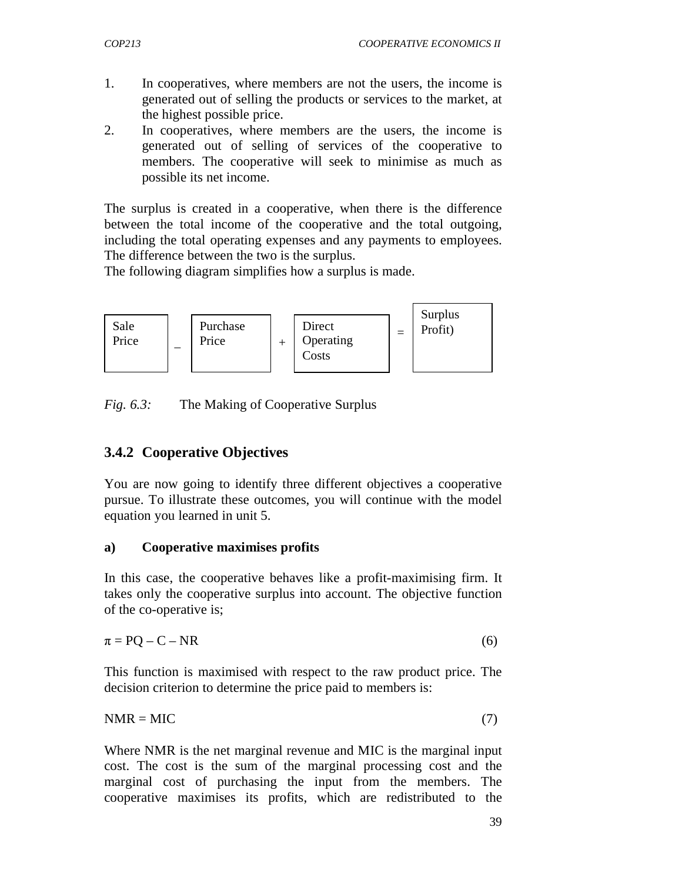- 1. In cooperatives, where members are not the users, the income is generated out of selling the products or services to the market, at the highest possible price.
- 2. In cooperatives, where members are the users, the income is generated out of selling of services of the cooperative to members. The cooperative will seek to minimise as much as possible its net income.

The surplus is created in a cooperative, when there is the difference between the total income of the cooperative and the total outgoing, including the total operating expenses and any payments to employees. The difference between the two is the surplus.

The following diagram simplifies how a surplus is made.



*Fig. 6.3:* The Making of Cooperative Surplus

## **3.4.2 Cooperative Objectives**

You are now going to identify three different objectives a cooperative pursue. To illustrate these outcomes, you will continue with the model equation you learned in unit 5.

#### **a) Cooperative maximises profits**

In this case, the cooperative behaves like a profit-maximising firm. It takes only the cooperative surplus into account. The objective function of the co-operative is;

$$
\pi = PQ - C - NR \tag{6}
$$

This function is maximised with respect to the raw product price. The decision criterion to determine the price paid to members is:

 $NMR = MIC$  (7)

Where NMR is the net marginal revenue and MIC is the marginal input cost. The cost is the sum of the marginal processing cost and the marginal cost of purchasing the input from the members. The cooperative maximises its profits, which are redistributed to the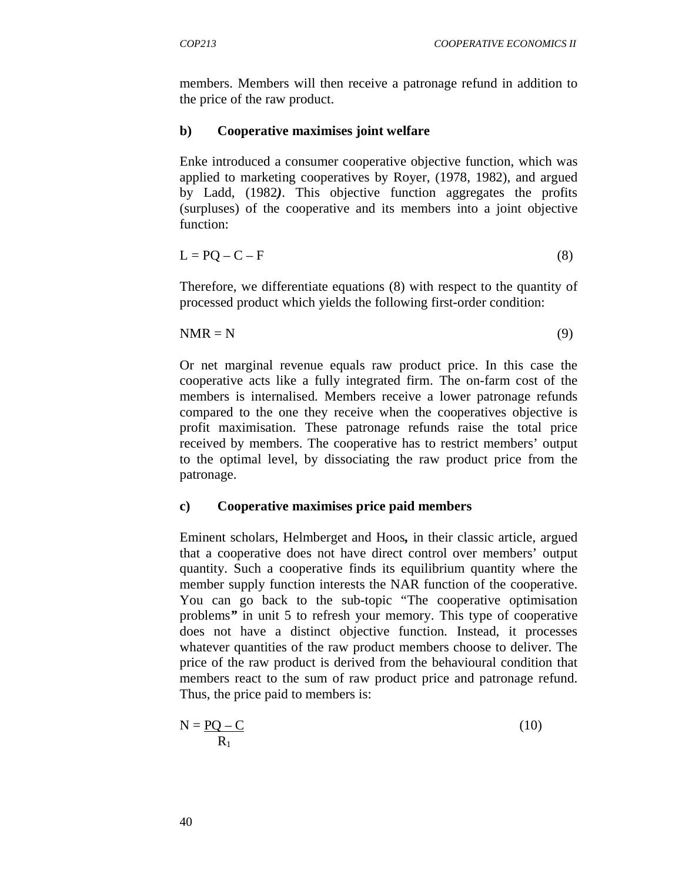members. Members will then receive a patronage refund in addition to the price of the raw product.

#### **b) Cooperative maximises joint welfare**

Enke introduced a consumer cooperative objective function, which was applied to marketing cooperatives by Royer, (1978, 1982), and argued by Ladd, (1982*)*. This objective function aggregates the profits (surpluses) of the cooperative and its members into a joint objective function:

$$
L = PQ - C - F \tag{8}
$$

Therefore, we differentiate equations (8) with respect to the quantity of processed product which yields the following first-order condition:

$$
NMR = N \tag{9}
$$

Or net marginal revenue equals raw product price. In this case the cooperative acts like a fully integrated firm. The on-farm cost of the members is internalised. Members receive a lower patronage refunds compared to the one they receive when the cooperatives objective is profit maximisation. These patronage refunds raise the total price received by members. The cooperative has to restrict members' output to the optimal level, by dissociating the raw product price from the patronage.

#### **c) Cooperative maximises price paid members**

Eminent scholars, Helmberget and Hoos*,* in their classic article, argued that a cooperative does not have direct control over members' output quantity. Such a cooperative finds its equilibrium quantity where the member supply function interests the NAR function of the cooperative. You can go back to the sub-topic "The cooperative optimisation problems*"* in unit 5 to refresh your memory. This type of cooperative does not have a distinct objective function. Instead, it processes whatever quantities of the raw product members choose to deliver. The price of the raw product is derived from the behavioural condition that members react to the sum of raw product price and patronage refund. Thus, the price paid to members is:

$$
N = \frac{PQ - C}{R_1}
$$
 (10)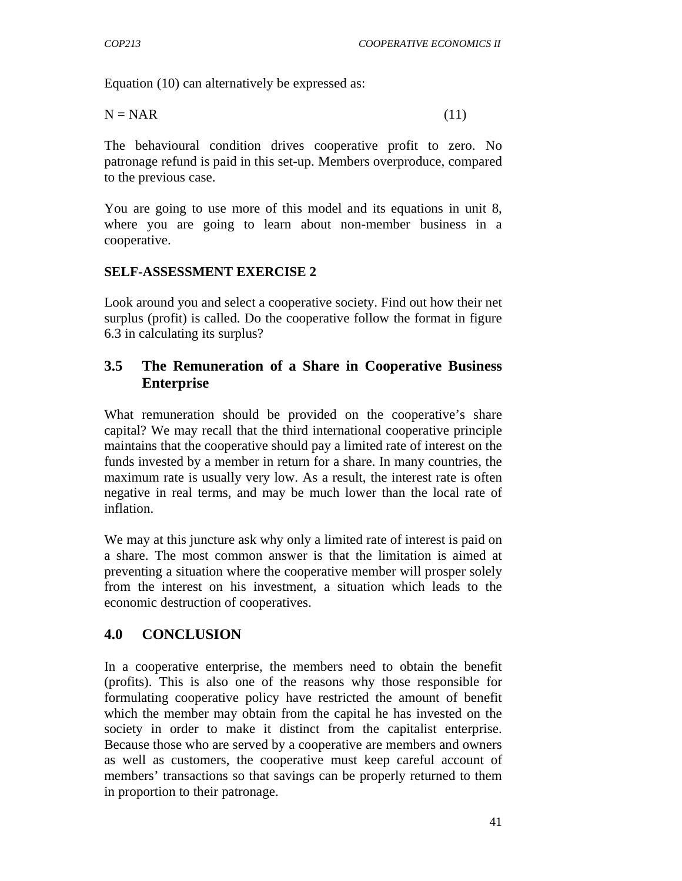Equation (10) can alternatively be expressed as:

$$
N = NAR
$$
 (11)

The behavioural condition drives cooperative profit to zero. No patronage refund is paid in this set-up. Members overproduce, compared to the previous case.

You are going to use more of this model and its equations in unit 8, where you are going to learn about non-member business in a cooperative.

#### **SELF-ASSESSMENT EXERCISE 2**

Look around you and select a cooperative society. Find out how their net surplus (profit) is called. Do the cooperative follow the format in figure 6.3 in calculating its surplus?

## **3.5 The Remuneration of a Share in Cooperative Business Enterprise**

What remuneration should be provided on the cooperative's share capital? We may recall that the third international cooperative principle maintains that the cooperative should pay a limited rate of interest on the funds invested by a member in return for a share. In many countries, the maximum rate is usually very low. As a result, the interest rate is often negative in real terms, and may be much lower than the local rate of inflation.

We may at this juncture ask why only a limited rate of interest is paid on a share. The most common answer is that the limitation is aimed at preventing a situation where the cooperative member will prosper solely from the interest on his investment, a situation which leads to the economic destruction of cooperatives.

# **4.0 CONCLUSION**

In a cooperative enterprise, the members need to obtain the benefit (profits). This is also one of the reasons why those responsible for formulating cooperative policy have restricted the amount of benefit which the member may obtain from the capital he has invested on the society in order to make it distinct from the capitalist enterprise. Because those who are served by a cooperative are members and owners as well as customers, the cooperative must keep careful account of members' transactions so that savings can be properly returned to them in proportion to their patronage.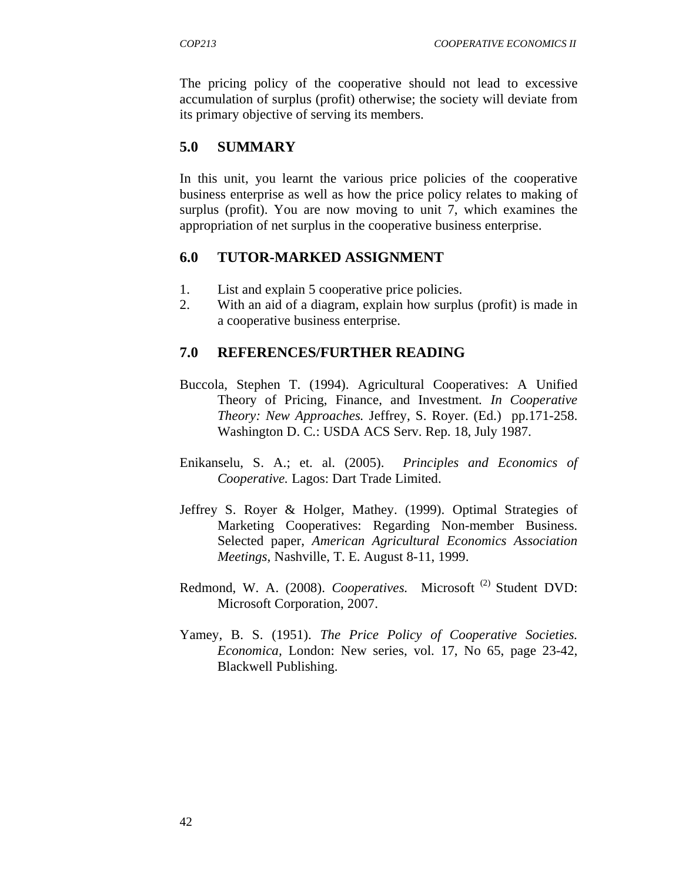The pricing policy of the cooperative should not lead to excessive accumulation of surplus (profit) otherwise; the society will deviate from its primary objective of serving its members.

## **5.0 SUMMARY**

In this unit, you learnt the various price policies of the cooperative business enterprise as well as how the price policy relates to making of surplus (profit). You are now moving to unit 7, which examines the appropriation of net surplus in the cooperative business enterprise.

#### **6.0 TUTOR-MARKED ASSIGNMENT**

- 1. List and explain 5 cooperative price policies.
- 2. With an aid of a diagram, explain how surplus (profit) is made in a cooperative business enterprise.

#### **7.0 REFERENCES/FURTHER READING**

- Buccola, Stephen T. (1994). Agricultural Cooperatives: A Unified Theory of Pricing, Finance, and Investment*. In Cooperative Theory: New Approaches.* Jeffrey, S. Royer. (Ed.) pp.171-258. Washington D. C.: USDA ACS Serv. Rep. 18, July 1987.
- Enikanselu, S. A.; et. al. (2005). *Principles and Economics of Cooperative.* Lagos: Dart Trade Limited.
- Jeffrey S. Royer & Holger, Mathey. (1999). Optimal Strategies of Marketing Cooperatives: Regarding Non-member Business. Selected paper, *American Agricultural Economics Association Meetings,* Nashville, T. E. August 8-11, 1999.
- Redmond, W. A. (2008). *Cooperatives*. Microsoft<sup>(2)</sup> Student DVD: Microsoft Corporation, 2007.
- Yamey, B. S. (1951). *The Price Policy of Cooperative Societies. Economica,* London: New series, vol. 17, No 65, page 23-42, Blackwell Publishing.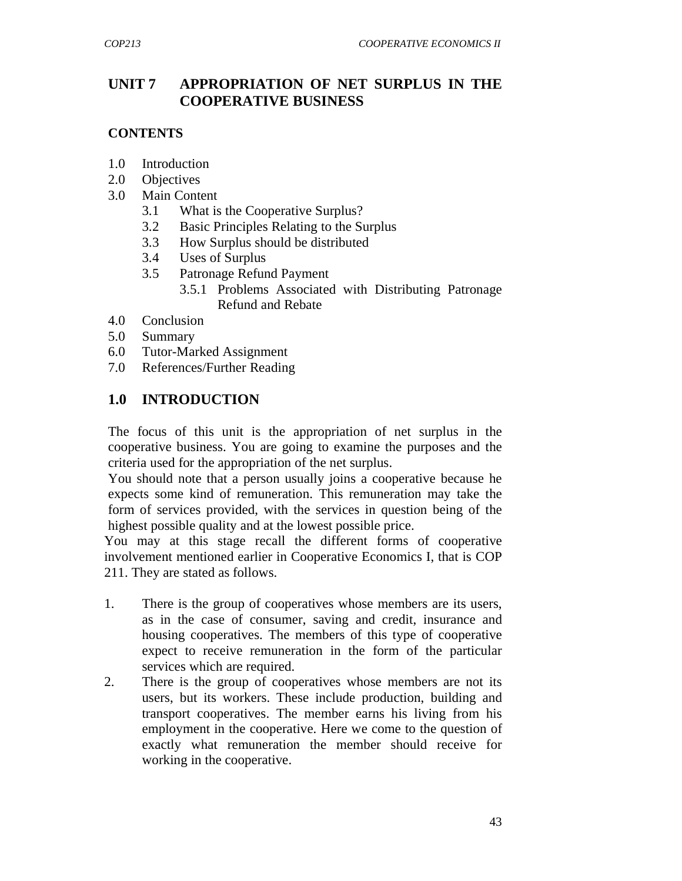## **UNIT 7 APPROPRIATION OF NET SURPLUS IN THE COOPERATIVE BUSINESS**

### **CONTENTS**

- 1.0 Introduction
- 2.0 Objectives
- 3.0 Main Content
	- 3.1 What is the Cooperative Surplus?
	- 3.2 Basic Principles Relating to the Surplus
	- 3.3 How Surplus should be distributed
	- 3.4 Uses of Surplus
	- 3.5 Patronage Refund Payment
		- 3.5.1 Problems Associated with Distributing Patronage Refund and Rebate
- 4.0 Conclusion
- 5.0 Summary
- 6.0 Tutor-Marked Assignment
- 7.0 References/Further Reading

## **1.0 INTRODUCTION**

The focus of this unit is the appropriation of net surplus in the cooperative business. You are going to examine the purposes and the criteria used for the appropriation of the net surplus.

You should note that a person usually joins a cooperative because he expects some kind of remuneration. This remuneration may take the form of services provided, with the services in question being of the highest possible quality and at the lowest possible price.

You may at this stage recall the different forms of cooperative involvement mentioned earlier in Cooperative Economics I, that is COP 211. They are stated as follows.

- 1. There is the group of cooperatives whose members are its users, as in the case of consumer, saving and credit, insurance and housing cooperatives. The members of this type of cooperative expect to receive remuneration in the form of the particular services which are required.
- 2. There is the group of cooperatives whose members are not its users, but its workers. These include production, building and transport cooperatives. The member earns his living from his employment in the cooperative. Here we come to the question of exactly what remuneration the member should receive for working in the cooperative.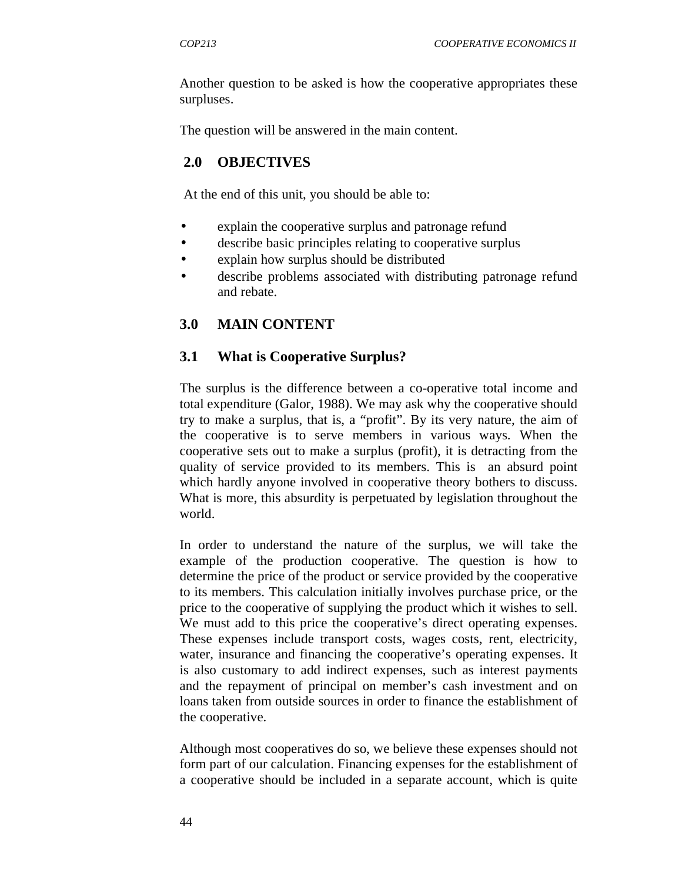Another question to be asked is how the cooperative appropriates these surpluses.

The question will be answered in the main content.

#### **2.0 OBJECTIVES**

At the end of this unit, you should be able to:

- explain the cooperative surplus and patronage refund
- describe basic principles relating to cooperative surplus
- explain how surplus should be distributed
- describe problems associated with distributing patronage refund and rebate.

#### **3.0 MAIN CONTENT**

#### **3.1 What is Cooperative Surplus?**

The surplus is the difference between a co-operative total income and total expenditure (Galor, 1988). We may ask why the cooperative should try to make a surplus, that is, a "profit". By its very nature, the aim of the cooperative is to serve members in various ways. When the cooperative sets out to make a surplus (profit), it is detracting from the quality of service provided to its members. This is an absurd point which hardly anyone involved in cooperative theory bothers to discuss. What is more, this absurdity is perpetuated by legislation throughout the world.

In order to understand the nature of the surplus, we will take the example of the production cooperative. The question is how to determine the price of the product or service provided by the cooperative to its members. This calculation initially involves purchase price, or the price to the cooperative of supplying the product which it wishes to sell. We must add to this price the cooperative's direct operating expenses. These expenses include transport costs, wages costs, rent, electricity, water, insurance and financing the cooperative's operating expenses. It is also customary to add indirect expenses, such as interest payments and the repayment of principal on member's cash investment and on loans taken from outside sources in order to finance the establishment of the cooperative.

Although most cooperatives do so, we believe these expenses should not form part of our calculation. Financing expenses for the establishment of a cooperative should be included in a separate account, which is quite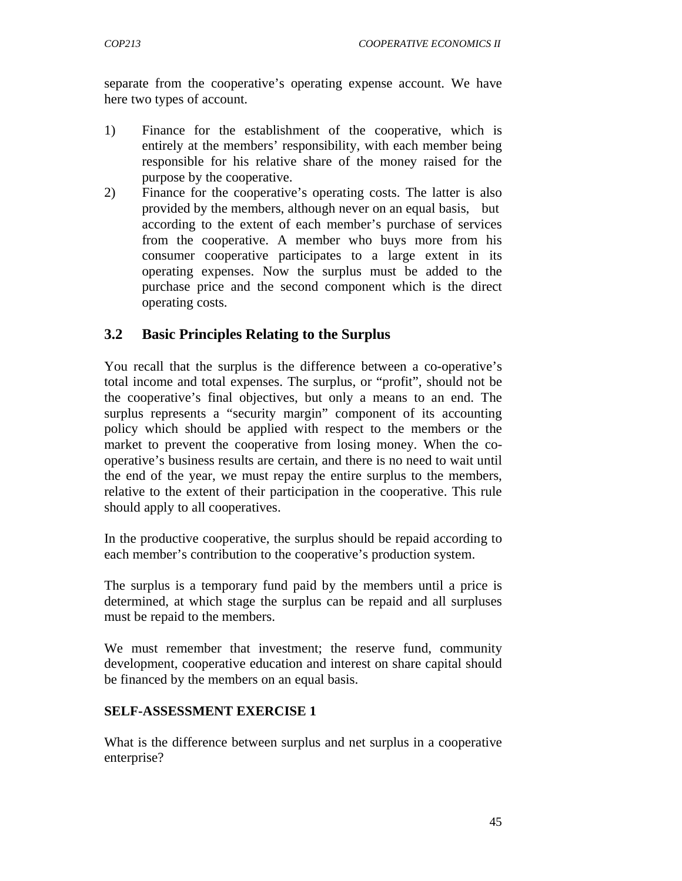separate from the cooperative's operating expense account. We have here two types of account.

- 1) Finance for the establishment of the cooperative, which is entirely at the members' responsibility, with each member being responsible for his relative share of the money raised for the purpose by the cooperative.
- 2) Finance for the cooperative's operating costs. The latter is also provided by the members, although never on an equal basis, but according to the extent of each member's purchase of services from the cooperative. A member who buys more from his consumer cooperative participates to a large extent in its operating expenses. Now the surplus must be added to the purchase price and the second component which is the direct operating costs.

## **3.2 Basic Principles Relating to the Surplus**

You recall that the surplus is the difference between a co-operative's total income and total expenses. The surplus, or "profit", should not be the cooperative's final objectives, but only a means to an end. The surplus represents a "security margin" component of its accounting policy which should be applied with respect to the members or the market to prevent the cooperative from losing money. When the cooperative's business results are certain, and there is no need to wait until the end of the year, we must repay the entire surplus to the members, relative to the extent of their participation in the cooperative. This rule should apply to all cooperatives.

In the productive cooperative, the surplus should be repaid according to each member's contribution to the cooperative's production system.

The surplus is a temporary fund paid by the members until a price is determined, at which stage the surplus can be repaid and all surpluses must be repaid to the members.

We must remember that investment; the reserve fund, community development, cooperative education and interest on share capital should be financed by the members on an equal basis.

#### **SELF-ASSESSMENT EXERCISE 1**

What is the difference between surplus and net surplus in a cooperative enterprise?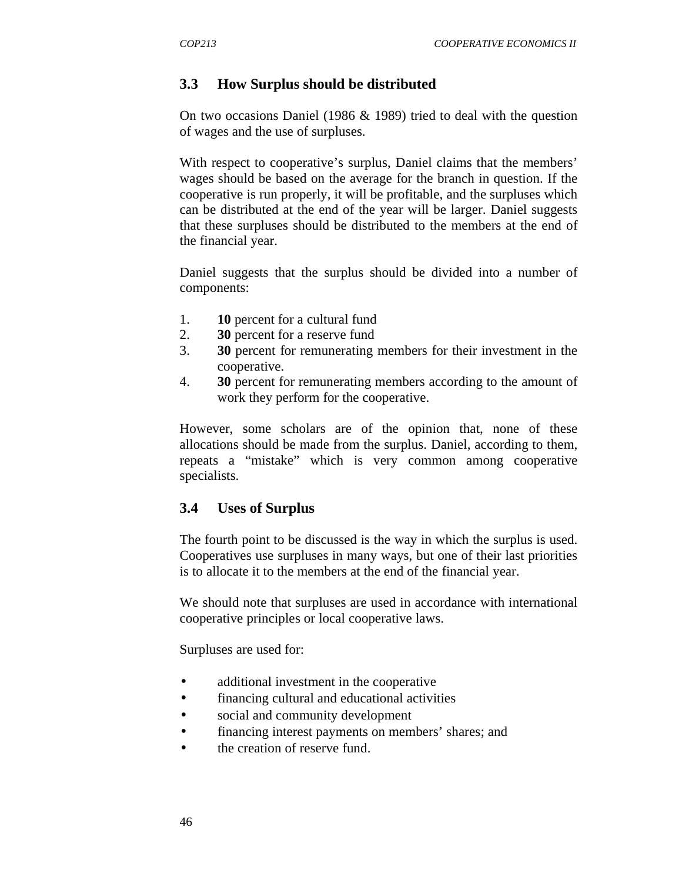## **3.3 How Surplus should be distributed**

On two occasions Daniel (1986 & 1989) tried to deal with the question of wages and the use of surpluses.

With respect to cooperative's surplus, Daniel claims that the members' wages should be based on the average for the branch in question. If the cooperative is run properly, it will be profitable, and the surpluses which can be distributed at the end of the year will be larger. Daniel suggests that these surpluses should be distributed to the members at the end of the financial year.

Daniel suggests that the surplus should be divided into a number of components:

- 1. **10** percent for a cultural fund
- 2. **30** percent for a reserve fund
- 3. **30** percent for remunerating members for their investment in the cooperative.
- 4. **30** percent for remunerating members according to the amount of work they perform for the cooperative.

However, some scholars are of the opinion that, none of these allocations should be made from the surplus. Daniel, according to them, repeats a "mistake" which is very common among cooperative specialists.

## **3.4 Uses of Surplus**

The fourth point to be discussed is the way in which the surplus is used. Cooperatives use surpluses in many ways, but one of their last priorities is to allocate it to the members at the end of the financial year.

We should note that surpluses are used in accordance with international cooperative principles or local cooperative laws.

Surpluses are used for:

- additional investment in the cooperative
- financing cultural and educational activities
- social and community development
- financing interest payments on members' shares; and
- the creation of reserve fund.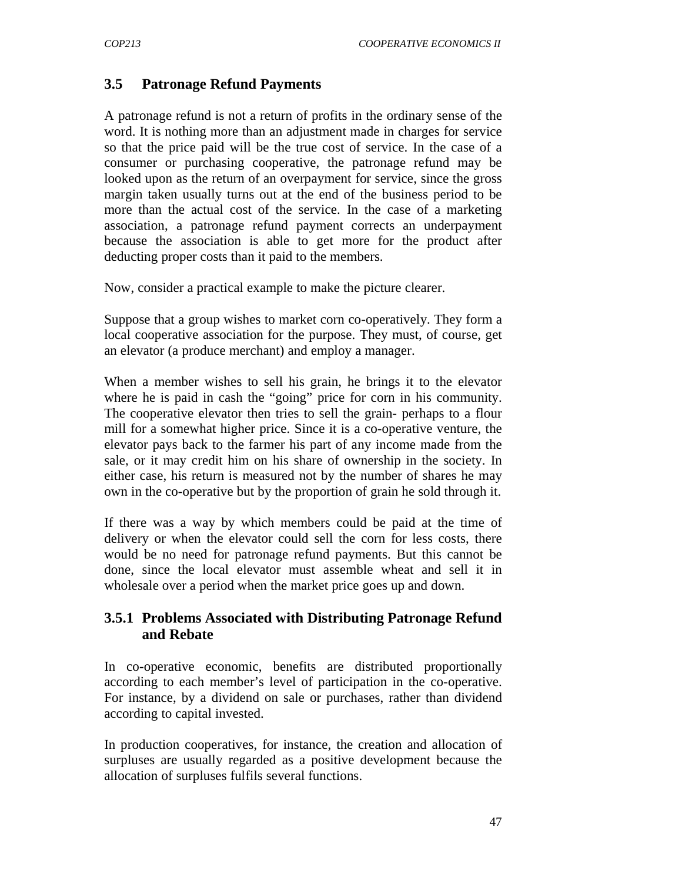## **3.5 Patronage Refund Payments**

A patronage refund is not a return of profits in the ordinary sense of the word. It is nothing more than an adjustment made in charges for service so that the price paid will be the true cost of service. In the case of a consumer or purchasing cooperative, the patronage refund may be looked upon as the return of an overpayment for service, since the gross margin taken usually turns out at the end of the business period to be more than the actual cost of the service. In the case of a marketing association, a patronage refund payment corrects an underpayment because the association is able to get more for the product after deducting proper costs than it paid to the members.

Now, consider a practical example to make the picture clearer.

Suppose that a group wishes to market corn co-operatively. They form a local cooperative association for the purpose. They must, of course, get an elevator (a produce merchant) and employ a manager.

When a member wishes to sell his grain, he brings it to the elevator where he is paid in cash the "going" price for corn in his community. The cooperative elevator then tries to sell the grain- perhaps to a flour mill for a somewhat higher price. Since it is a co-operative venture, the elevator pays back to the farmer his part of any income made from the sale, or it may credit him on his share of ownership in the society. In either case, his return is measured not by the number of shares he may own in the co-operative but by the proportion of grain he sold through it.

If there was a way by which members could be paid at the time of delivery or when the elevator could sell the corn for less costs, there would be no need for patronage refund payments. But this cannot be done, since the local elevator must assemble wheat and sell it in wholesale over a period when the market price goes up and down.

#### **3.5.1 Problems Associated with Distributing Patronage Refund and Rebate**

In co-operative economic, benefits are distributed proportionally according to each member's level of participation in the co-operative. For instance, by a dividend on sale or purchases, rather than dividend according to capital invested.

In production cooperatives, for instance, the creation and allocation of surpluses are usually regarded as a positive development because the allocation of surpluses fulfils several functions.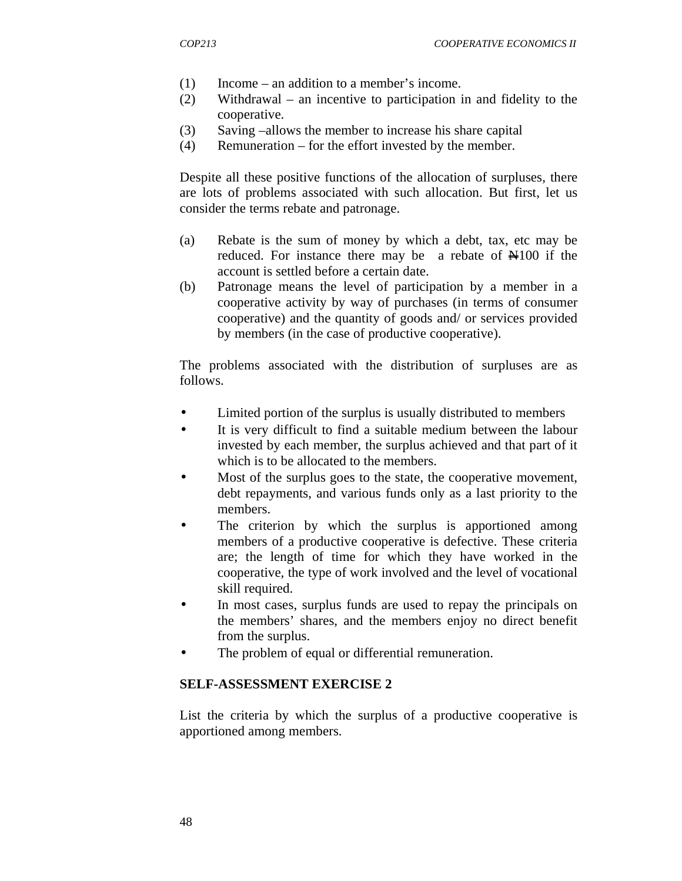- (1) Income an addition to a member's income.
- (2) Withdrawal an incentive to participation in and fidelity to the cooperative.
- (3) Saving –allows the member to increase his share capital
- (4) Remuneration for the effort invested by the member.

Despite all these positive functions of the allocation of surpluses, there are lots of problems associated with such allocation. But first, let us consider the terms rebate and patronage.

- (a) Rebate is the sum of money by which a debt, tax, etc may be reduced. For instance there may be a rebate of N100 if the account is settled before a certain date.
- (b) Patronage means the level of participation by a member in a cooperative activity by way of purchases (in terms of consumer cooperative) and the quantity of goods and/ or services provided by members (in the case of productive cooperative).

The problems associated with the distribution of surpluses are as follows.

- Limited portion of the surplus is usually distributed to members
- It is very difficult to find a suitable medium between the labour invested by each member, the surplus achieved and that part of it which is to be allocated to the members.
- Most of the surplus goes to the state, the cooperative movement, debt repayments, and various funds only as a last priority to the members.
- The criterion by which the surplus is apportioned among members of a productive cooperative is defective. These criteria are; the length of time for which they have worked in the cooperative, the type of work involved and the level of vocational skill required.
- In most cases, surplus funds are used to repay the principals on the members' shares, and the members enjoy no direct benefit from the surplus.
- The problem of equal or differential remuneration.

#### **SELF-ASSESSMENT EXERCISE 2**

List the criteria by which the surplus of a productive cooperative is apportioned among members.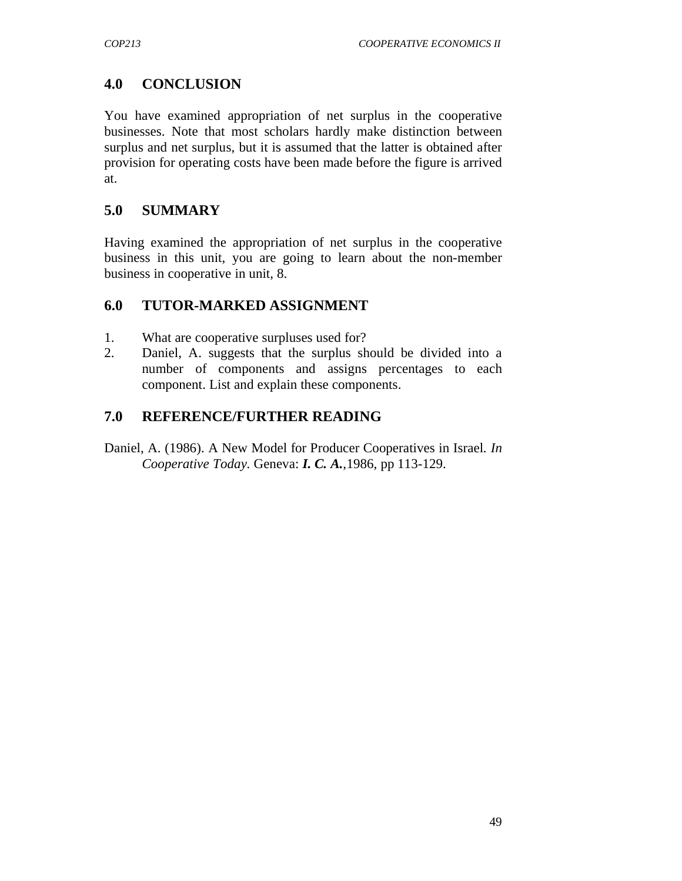# **4.0 CONCLUSION**

You have examined appropriation of net surplus in the cooperative businesses. Note that most scholars hardly make distinction between surplus and net surplus, but it is assumed that the latter is obtained after provision for operating costs have been made before the figure is arrived at.

## **5.0 SUMMARY**

Having examined the appropriation of net surplus in the cooperative business in this unit, you are going to learn about the non-member business in cooperative in unit, 8.

## **6.0 TUTOR-MARKED ASSIGNMENT**

- 1. What are cooperative surpluses used for?
- 2. Daniel, A. suggests that the surplus should be divided into a number of components and assigns percentages to each component. List and explain these components.

## **7.0 REFERENCE/FURTHER READING**

Daniel, A. (1986). A New Model for Producer Cooperatives in Israel*. In Cooperative Today.* Geneva: *I. C. A.*,1986, pp 113-129.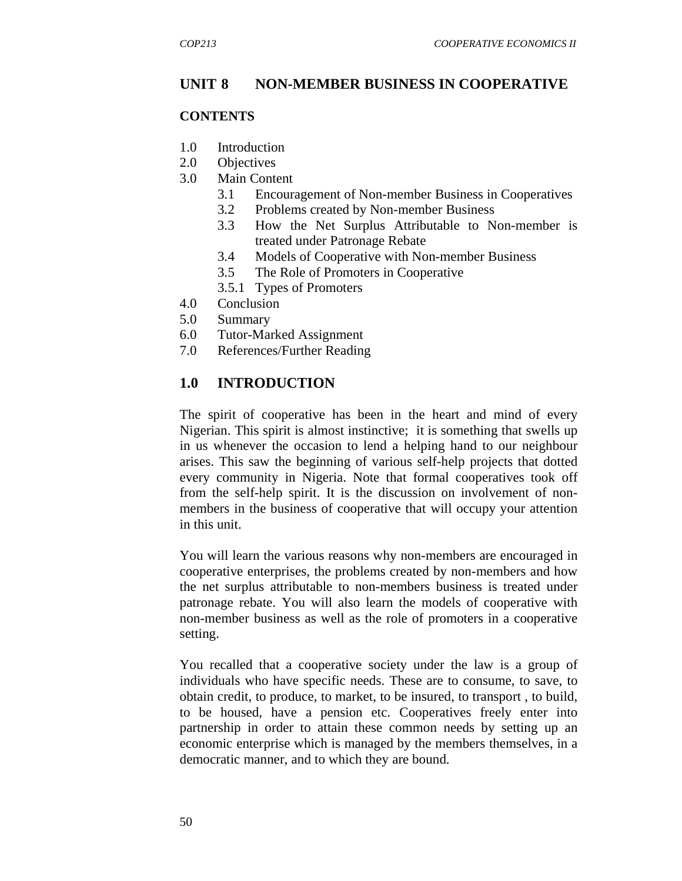## **UNIT 8 NON-MEMBER BUSINESS IN COOPERATIVE**

#### **CONTENTS**

- 1.0 Introduction
- 2.0 Objectives
- 3.0 Main Content
	- 3.1 Encouragement of Non-member Business in Cooperatives
	- 3.2 Problems created by Non-member Business
	- 3.3 How the Net Surplus Attributable to Non-member is treated under Patronage Rebate
	- 3.4 Models of Cooperative with Non-member Business
	- 3.5 The Role of Promoters in Cooperative
	- 3.5.1 Types of Promoters
- 4.0 Conclusion
- 5.0 Summary
- 6.0 Tutor-Marked Assignment
- 7.0 References/Further Reading

#### **1.0 INTRODUCTION**

The spirit of cooperative has been in the heart and mind of every Nigerian. This spirit is almost instinctive; it is something that swells up in us whenever the occasion to lend a helping hand to our neighbour arises. This saw the beginning of various self-help projects that dotted every community in Nigeria. Note that formal cooperatives took off from the self-help spirit. It is the discussion on involvement of nonmembers in the business of cooperative that will occupy your attention in this unit.

You will learn the various reasons why non-members are encouraged in cooperative enterprises, the problems created by non-members and how the net surplus attributable to non-members business is treated under patronage rebate. You will also learn the models of cooperative with non-member business as well as the role of promoters in a cooperative setting.

You recalled that a cooperative society under the law is a group of individuals who have specific needs. These are to consume, to save, to obtain credit, to produce, to market, to be insured, to transport , to build, to be housed, have a pension etc. Cooperatives freely enter into partnership in order to attain these common needs by setting up an economic enterprise which is managed by the members themselves, in a democratic manner, and to which they are bound.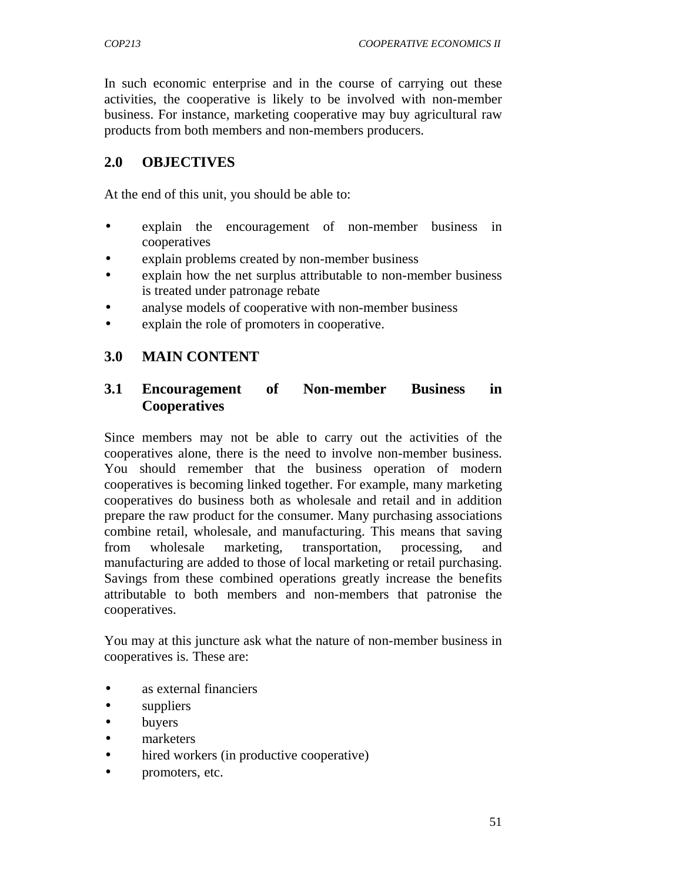In such economic enterprise and in the course of carrying out these activities, the cooperative is likely to be involved with non-member business. For instance, marketing cooperative may buy agricultural raw products from both members and non-members producers.

### **2.0 OBJECTIVES**

At the end of this unit, you should be able to:

- explain the encouragement of non-member business in cooperatives
- explain problems created by non-member business
- explain how the net surplus attributable to non-member business is treated under patronage rebate
- analyse models of cooperative with non-member business
- explain the role of promoters in cooperative.

#### **3.0 MAIN CONTENT**

### **3.1 Encouragement of Non-member Business in Cooperatives**

Since members may not be able to carry out the activities of the cooperatives alone, there is the need to involve non-member business. You should remember that the business operation of modern cooperatives is becoming linked together. For example, many marketing cooperatives do business both as wholesale and retail and in addition prepare the raw product for the consumer. Many purchasing associations combine retail, wholesale, and manufacturing. This means that saving from wholesale marketing, transportation, processing, and manufacturing are added to those of local marketing or retail purchasing. Savings from these combined operations greatly increase the benefits attributable to both members and non-members that patronise the cooperatives.

You may at this juncture ask what the nature of non-member business in cooperatives is. These are:

- as external financiers
- suppliers
- **buyers**
- marketers
- hired workers (in productive cooperative)
- promoters, etc.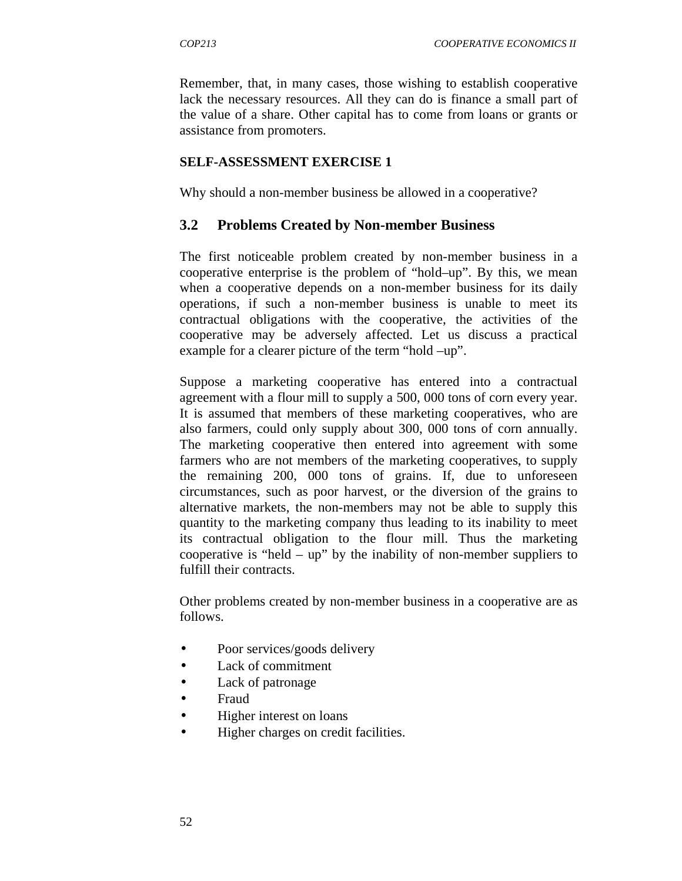Remember, that, in many cases, those wishing to establish cooperative lack the necessary resources. All they can do is finance a small part of the value of a share. Other capital has to come from loans or grants or assistance from promoters.

#### **SELF-ASSESSMENT EXERCISE 1**

Why should a non-member business be allowed in a cooperative?

#### **3.2 Problems Created by Non-member Business**

The first noticeable problem created by non-member business in a cooperative enterprise is the problem of "hold–up". By this, we mean when a cooperative depends on a non-member business for its daily operations, if such a non-member business is unable to meet its contractual obligations with the cooperative, the activities of the cooperative may be adversely affected. Let us discuss a practical example for a clearer picture of the term "hold –up".

Suppose a marketing cooperative has entered into a contractual agreement with a flour mill to supply a 500, 000 tons of corn every year. It is assumed that members of these marketing cooperatives, who are also farmers, could only supply about 300, 000 tons of corn annually. The marketing cooperative then entered into agreement with some farmers who are not members of the marketing cooperatives, to supply the remaining 200, 000 tons of grains. If, due to unforeseen circumstances, such as poor harvest, or the diversion of the grains to alternative markets, the non-members may not be able to supply this quantity to the marketing company thus leading to its inability to meet its contractual obligation to the flour mill. Thus the marketing cooperative is "held – up" by the inability of non-member suppliers to fulfill their contracts.

Other problems created by non-member business in a cooperative are as follows.

- Poor services/goods delivery
- Lack of commitment
- Lack of patronage
- Fraud
- Higher interest on loans
- Higher charges on credit facilities.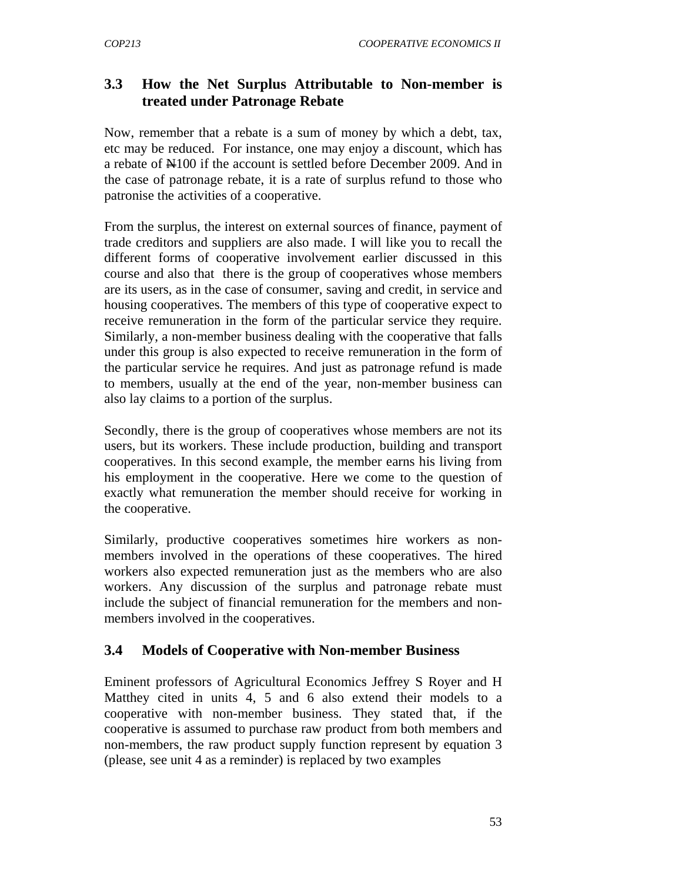## **3.3 How the Net Surplus Attributable to Non-member is treated under Patronage Rebate**

Now, remember that a rebate is a sum of money by which a debt, tax, etc may be reduced. For instance, one may enjoy a discount, which has a rebate of  $\mathbb{H}100$  if the account is settled before December 2009. And in the case of patronage rebate, it is a rate of surplus refund to those who patronise the activities of a cooperative.

From the surplus, the interest on external sources of finance, payment of trade creditors and suppliers are also made. I will like you to recall the different forms of cooperative involvement earlier discussed in this course and also that there is the group of cooperatives whose members are its users, as in the case of consumer, saving and credit, in service and housing cooperatives. The members of this type of cooperative expect to receive remuneration in the form of the particular service they require. Similarly, a non-member business dealing with the cooperative that falls under this group is also expected to receive remuneration in the form of the particular service he requires. And just as patronage refund is made to members, usually at the end of the year, non-member business can also lay claims to a portion of the surplus.

Secondly, there is the group of cooperatives whose members are not its users, but its workers. These include production, building and transport cooperatives. In this second example, the member earns his living from his employment in the cooperative. Here we come to the question of exactly what remuneration the member should receive for working in the cooperative.

Similarly, productive cooperatives sometimes hire workers as nonmembers involved in the operations of these cooperatives. The hired workers also expected remuneration just as the members who are also workers. Any discussion of the surplus and patronage rebate must include the subject of financial remuneration for the members and nonmembers involved in the cooperatives.

# **3.4 Models of Cooperative with Non-member Business**

Eminent professors of Agricultural Economics Jeffrey S Royer and H Matthey cited in units 4, 5 and 6 also extend their models to a cooperative with non-member business. They stated that, if the cooperative is assumed to purchase raw product from both members and non-members, the raw product supply function represent by equation 3 (please, see unit 4 as a reminder) is replaced by two examples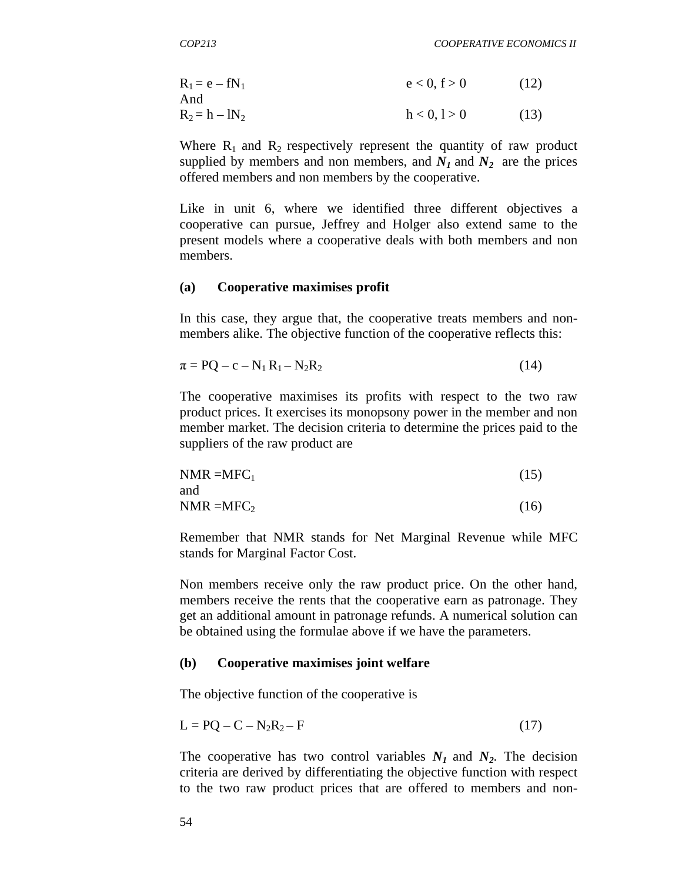$R_1 = e - fN_1$   $e < 0, f > 0$  (12) And  $R_2 = h - lN_2$  h < 0, 1 > 0 (13)

Where  $R_1$  and  $R_2$  respectively represent the quantity of raw product supplied by members and non members, and  $N_I$  and  $N_2$  are the prices offered members and non members by the cooperative.

Like in unit 6, where we identified three different objectives a cooperative can pursue, Jeffrey and Holger also extend same to the present models where a cooperative deals with both members and non members.

#### **(a) Cooperative maximises profit**

In this case, they argue that, the cooperative treats members and nonmembers alike. The objective function of the cooperative reflects this:

$$
\pi = PQ - c - N_1 R_1 - N_2 R_2 \tag{14}
$$

The cooperative maximises its profits with respect to the two raw product prices. It exercises its monopsony power in the member and non member market. The decision criteria to determine the prices paid to the suppliers of the raw product are

$$
NMR = MFC_1
$$
 (15) and

 $NMR = MFC_2$  (16)

Remember that NMR stands for Net Marginal Revenue while MFC stands for Marginal Factor Cost.

Non members receive only the raw product price. On the other hand, members receive the rents that the cooperative earn as patronage. They get an additional amount in patronage refunds. A numerical solution can be obtained using the formulae above if we have the parameters.

#### **(b) Cooperative maximises joint welfare**

The objective function of the cooperative is

$$
L = PQ - C - N2R2 - F
$$
 (17)

The cooperative has two control variables  $N_I$  and  $N_2$ . The decision criteria are derived by differentiating the objective function with respect to the two raw product prices that are offered to members and non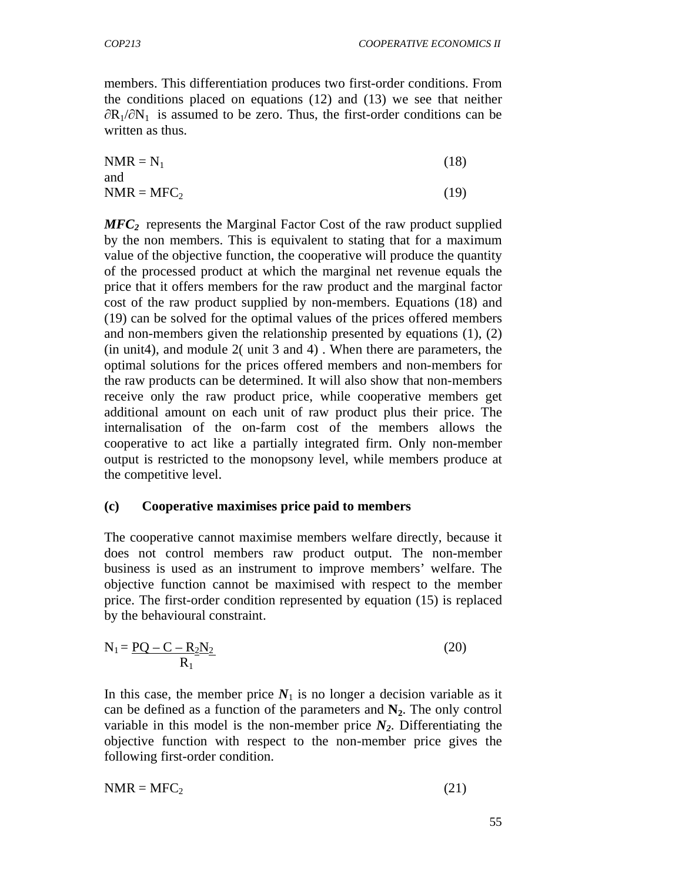members. This differentiation produces two first-order conditions. From the conditions placed on equations (12) and (13) we see that neither  $\partial R_1/\partial N_1$  is assumed to be zero. Thus, the first-order conditions can be written as thus.

$$
NMR = N_1 \tag{18}
$$

$$
NMR = MFC_2 \tag{19}
$$

*MFC2* represents the Marginal Factor Cost of the raw product supplied by the non members. This is equivalent to stating that for a maximum value of the objective function, the cooperative will produce the quantity of the processed product at which the marginal net revenue equals the price that it offers members for the raw product and the marginal factor cost of the raw product supplied by non-members. Equations (18) and (19) can be solved for the optimal values of the prices offered members and non-members given the relationship presented by equations (1), (2) (in unit4), and module 2( unit 3 and 4) . When there are parameters, the optimal solutions for the prices offered members and non-members for the raw products can be determined. It will also show that non-members receive only the raw product price, while cooperative members get additional amount on each unit of raw product plus their price. The internalisation of the on-farm cost of the members allows the cooperative to act like a partially integrated firm. Only non-member output is restricted to the monopsony level, while members produce at the competitive level.

#### **(c) Cooperative maximises price paid to members**

The cooperative cannot maximise members welfare directly, because it does not control members raw product output. The non-member business is used as an instrument to improve members' welfare. The objective function cannot be maximised with respect to the member price. The first-order condition represented by equation (15) is replaced by the behavioural constraint.

$$
N_1 = \frac{PQ - C - R_2 N_2}{R_1}
$$
\n
$$
(20)
$$

In this case, the member price  $N_1$  is no longer a decision variable as it can be defined as a function of the parameters and  $N_2$ . The only control variable in this model is the non-member price  $N_2$ . Differentiating the objective function with respect to the non-member price gives the following first-order condition.

$$
NMR = MFC_2 \tag{21}
$$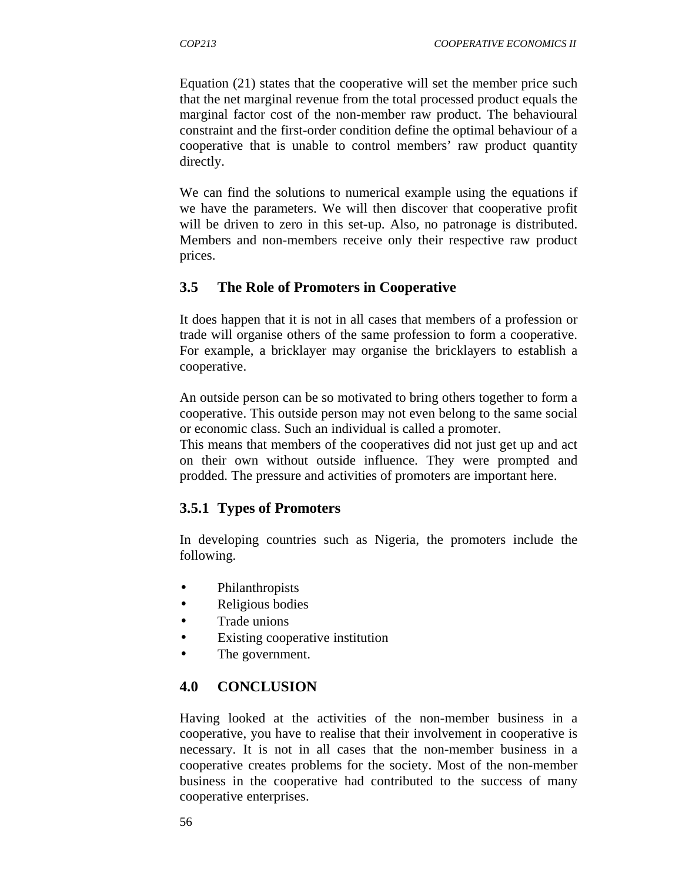Equation (21) states that the cooperative will set the member price such that the net marginal revenue from the total processed product equals the marginal factor cost of the non-member raw product. The behavioural constraint and the first-order condition define the optimal behaviour of a cooperative that is unable to control members' raw product quantity directly.

We can find the solutions to numerical example using the equations if we have the parameters. We will then discover that cooperative profit will be driven to zero in this set-up. Also, no patronage is distributed. Members and non-members receive only their respective raw product prices.

## **3.5 The Role of Promoters in Cooperative**

It does happen that it is not in all cases that members of a profession or trade will organise others of the same profession to form a cooperative. For example, a bricklayer may organise the bricklayers to establish a cooperative.

An outside person can be so motivated to bring others together to form a cooperative. This outside person may not even belong to the same social or economic class. Such an individual is called a promoter.

This means that members of the cooperatives did not just get up and act on their own without outside influence. They were prompted and prodded. The pressure and activities of promoters are important here.

## **3.5.1 Types of Promoters**

In developing countries such as Nigeria, the promoters include the following.

- Philanthropists
- Religious bodies
- Trade unions
- Existing cooperative institution
- The government.

## **4.0 CONCLUSION**

Having looked at the activities of the non-member business in a cooperative, you have to realise that their involvement in cooperative is necessary. It is not in all cases that the non-member business in a cooperative creates problems for the society. Most of the non-member business in the cooperative had contributed to the success of many cooperative enterprises.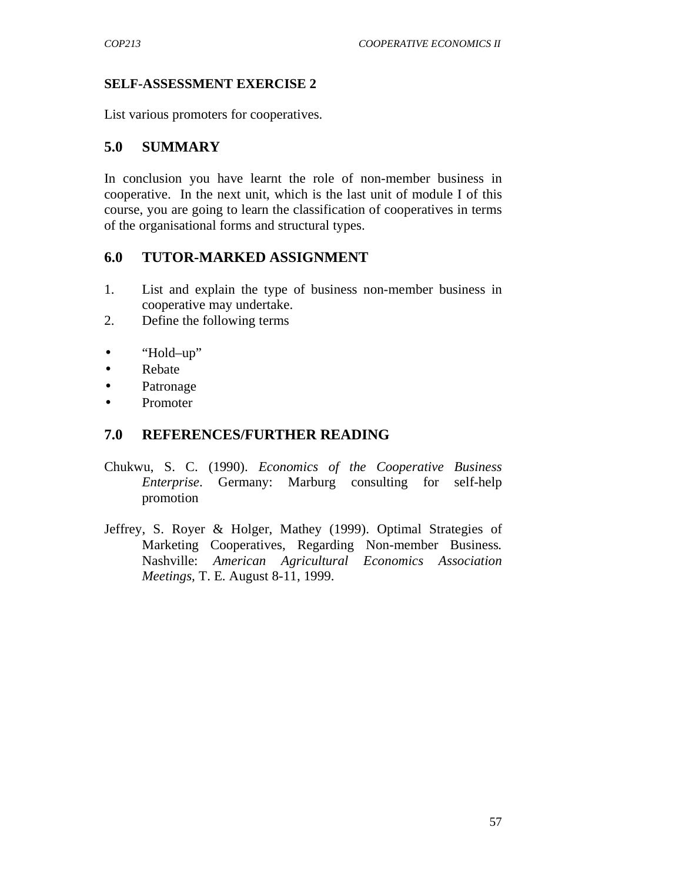#### **SELF-ASSESSMENT EXERCISE 2**

List various promoters for cooperatives.

#### **5.0 SUMMARY**

In conclusion you have learnt the role of non-member business in cooperative. In the next unit, which is the last unit of module I of this course, you are going to learn the classification of cooperatives in terms of the organisational forms and structural types.

#### **6.0 TUTOR-MARKED ASSIGNMENT**

- 1. List and explain the type of business non-member business in cooperative may undertake.
- 2. Define the following terms
- "Hold–up"
- Rebate
- Patronage
- Promoter

#### **7.0 REFERENCES/FURTHER READING**

- Chukwu, S. C. (1990). *Economics of the Cooperative Business Enterprise*. Germany: Marburg consulting for self-help promotion
- Jeffrey, S. Royer & Holger, Mathey (1999). Optimal Strategies of Marketing Cooperatives, Regarding Non-member Business*.*  Nashville: *American Agricultural Economics Association Meetings,* T. E. August 8-11, 1999.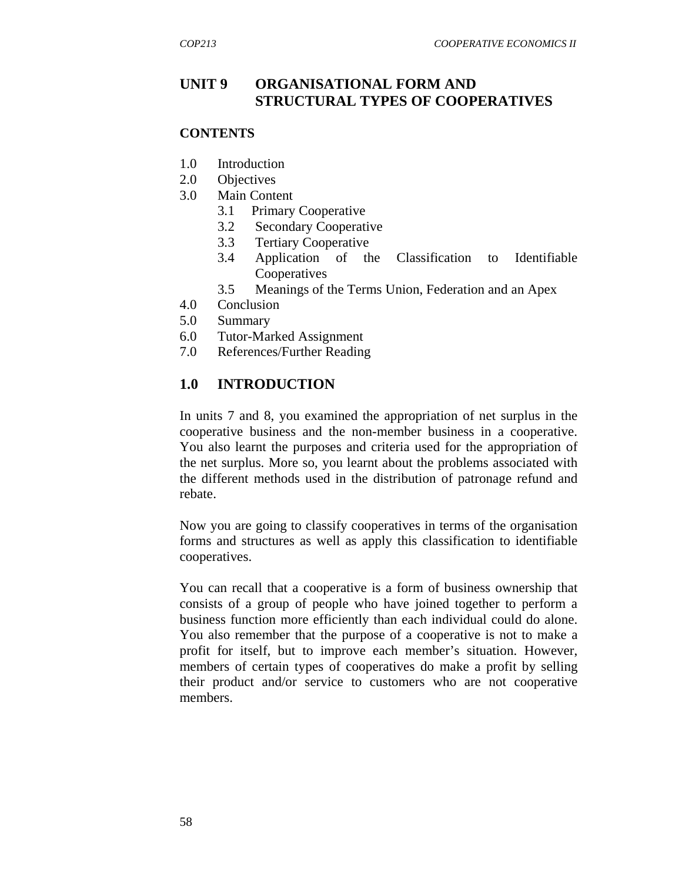#### **UNIT 9 ORGANISATIONAL FORM AND STRUCTURAL TYPES OF COOPERATIVES**

#### **CONTENTS**

- 1.0 Introduction
- 2.0 Objectives
- 3.0 Main Content
	- 3.1 Primary Cooperative
	- 3.2 Secondary Cooperative
	- 3.3 Tertiary Cooperative
	- 3.4 Application of the Classification to Identifiable Cooperatives
	- 3.5 Meanings of the Terms Union, Federation and an Apex
- 4.0 Conclusion
- 5.0 Summary
- 6.0 Tutor-Marked Assignment
- 7.0 References/Further Reading

## **1.0 INTRODUCTION**

In units 7 and 8, you examined the appropriation of net surplus in the cooperative business and the non-member business in a cooperative. You also learnt the purposes and criteria used for the appropriation of the net surplus. More so, you learnt about the problems associated with the different methods used in the distribution of patronage refund and rebate.

Now you are going to classify cooperatives in terms of the organisation forms and structures as well as apply this classification to identifiable cooperatives.

You can recall that a cooperative is a form of business ownership that consists of a group of people who have joined together to perform a business function more efficiently than each individual could do alone. You also remember that the purpose of a cooperative is not to make a profit for itself, but to improve each member's situation. However, members of certain types of cooperatives do make a profit by selling their product and/or service to customers who are not cooperative members.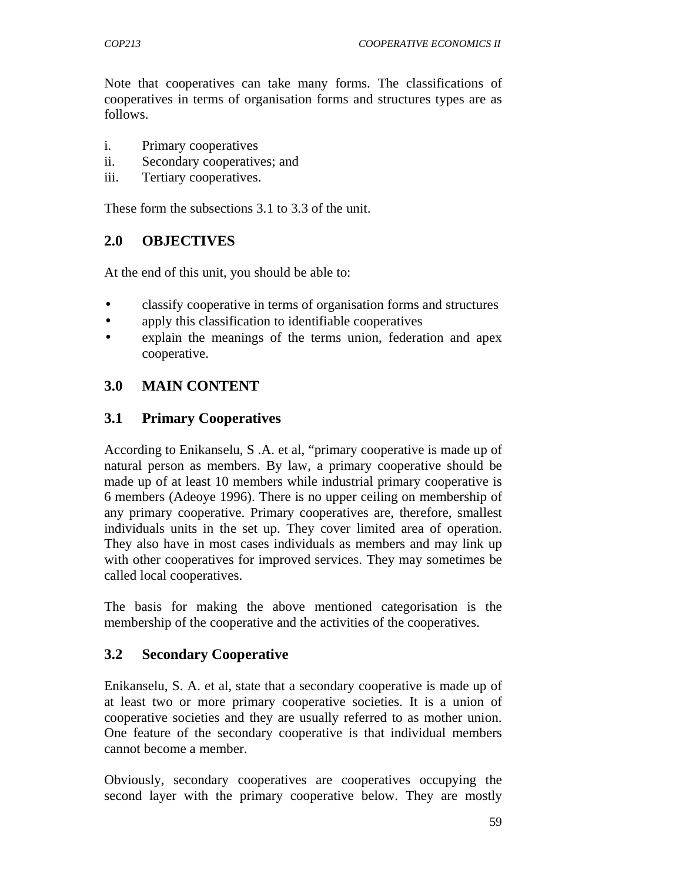Note that cooperatives can take many forms. The classifications of cooperatives in terms of organisation forms and structures types are as follows.

- i. Primary cooperatives
- ii. Secondary cooperatives; and
- iii. Tertiary cooperatives.

These form the subsections 3.1 to 3.3 of the unit.

### **2.0 OBJECTIVES**

At the end of this unit, you should be able to:

- classify cooperative in terms of organisation forms and structures
- apply this classification to identifiable cooperatives
- explain the meanings of the terms union, federation and apex cooperative.

### **3.0 MAIN CONTENT**

#### **3.1 Primary Cooperatives**

According to Enikanselu, S .A. et al, "primary cooperative is made up of natural person as members. By law, a primary cooperative should be made up of at least 10 members while industrial primary cooperative is 6 members (Adeoye 1996). There is no upper ceiling on membership of any primary cooperative. Primary cooperatives are, therefore, smallest individuals units in the set up. They cover limited area of operation. They also have in most cases individuals as members and may link up with other cooperatives for improved services. They may sometimes be called local cooperatives.

The basis for making the above mentioned categorisation is the membership of the cooperative and the activities of the cooperatives.

#### **3.2 Secondary Cooperative**

Enikanselu, S. A. et al, state that a secondary cooperative is made up of at least two or more primary cooperative societies. It is a union of cooperative societies and they are usually referred to as mother union. One feature of the secondary cooperative is that individual members cannot become a member.

Obviously, secondary cooperatives are cooperatives occupying the second layer with the primary cooperative below. They are mostly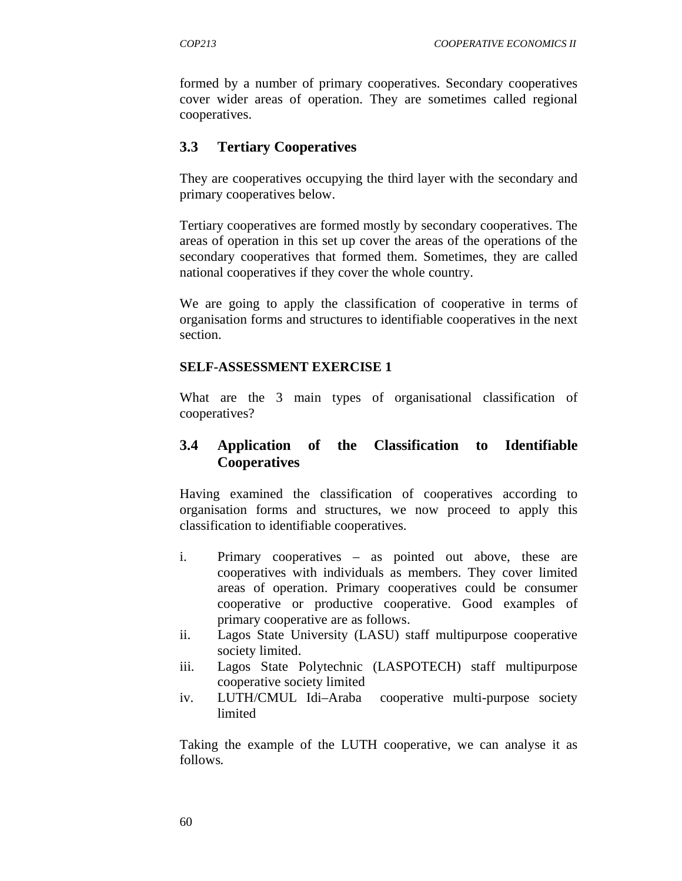formed by a number of primary cooperatives. Secondary cooperatives cover wider areas of operation. They are sometimes called regional cooperatives.

#### **3.3 Tertiary Cooperatives**

They are cooperatives occupying the third layer with the secondary and primary cooperatives below.

Tertiary cooperatives are formed mostly by secondary cooperatives. The areas of operation in this set up cover the areas of the operations of the secondary cooperatives that formed them. Sometimes, they are called national cooperatives if they cover the whole country.

We are going to apply the classification of cooperative in terms of organisation forms and structures to identifiable cooperatives in the next section.

#### **SELF-ASSESSMENT EXERCISE 1**

What are the 3 main types of organisational classification of cooperatives?

### **3.4 Application of the Classification to Identifiable Cooperatives**

Having examined the classification of cooperatives according to organisation forms and structures, we now proceed to apply this classification to identifiable cooperatives.

- i. Primary cooperatives as pointed out above, these are cooperatives with individuals as members. They cover limited areas of operation. Primary cooperatives could be consumer cooperative or productive cooperative. Good examples of primary cooperative are as follows.
- ii. Lagos State University (LASU) staff multipurpose cooperative society limited.
- iii. Lagos State Polytechnic (LASPOTECH) staff multipurpose cooperative society limited
- iv. LUTH/CMUL Idi–Araba cooperative multi-purpose society limited

Taking the example of the LUTH cooperative, we can analyse it as follows*.*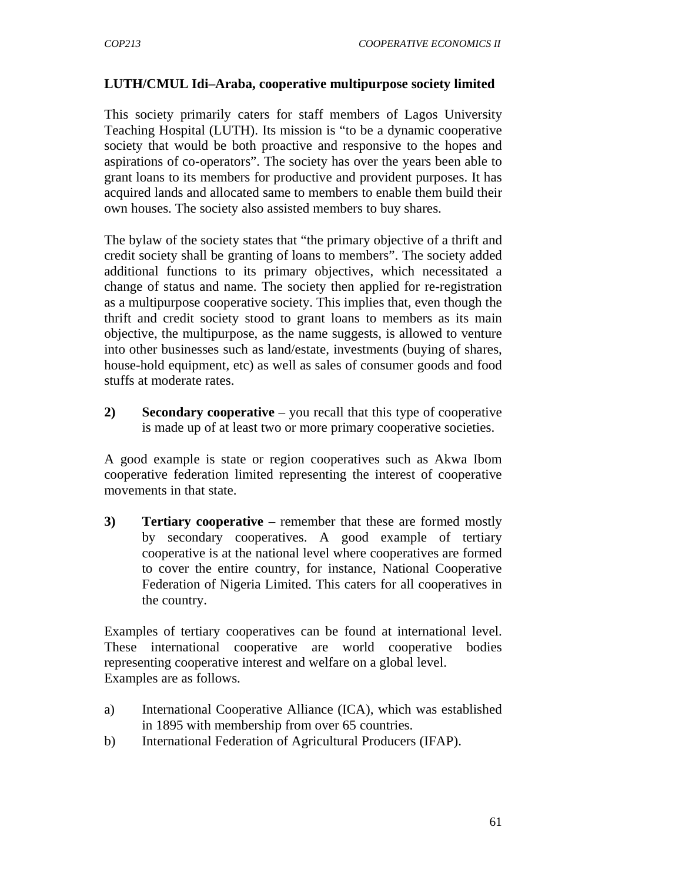#### **LUTH/CMUL Idi–Araba, cooperative multipurpose society limited**

This society primarily caters for staff members of Lagos University Teaching Hospital (LUTH). Its mission is "to be a dynamic cooperative society that would be both proactive and responsive to the hopes and aspirations of co-operators". The society has over the years been able to grant loans to its members for productive and provident purposes. It has acquired lands and allocated same to members to enable them build their own houses. The society also assisted members to buy shares.

The bylaw of the society states that "the primary objective of a thrift and credit society shall be granting of loans to members". The society added additional functions to its primary objectives, which necessitated a change of status and name. The society then applied for re-registration as a multipurpose cooperative society. This implies that, even though the thrift and credit society stood to grant loans to members as its main objective, the multipurpose, as the name suggests, is allowed to venture into other businesses such as land/estate, investments (buying of shares, house-hold equipment, etc) as well as sales of consumer goods and food stuffs at moderate rates.

**2) Secondary cooperative** – you recall that this type of cooperative is made up of at least two or more primary cooperative societies.

A good example is state or region cooperatives such as Akwa Ibom cooperative federation limited representing the interest of cooperative movements in that state.

**3) Tertiary cooperative** – remember that these are formed mostly by secondary cooperatives. A good example of tertiary cooperative is at the national level where cooperatives are formed to cover the entire country, for instance, National Cooperative Federation of Nigeria Limited. This caters for all cooperatives in the country.

Examples of tertiary cooperatives can be found at international level. These international cooperative are world cooperative bodies representing cooperative interest and welfare on a global level. Examples are as follows.

- a) International Cooperative Alliance (ICA), which was established in 1895 with membership from over 65 countries.
- b) International Federation of Agricultural Producers (IFAP).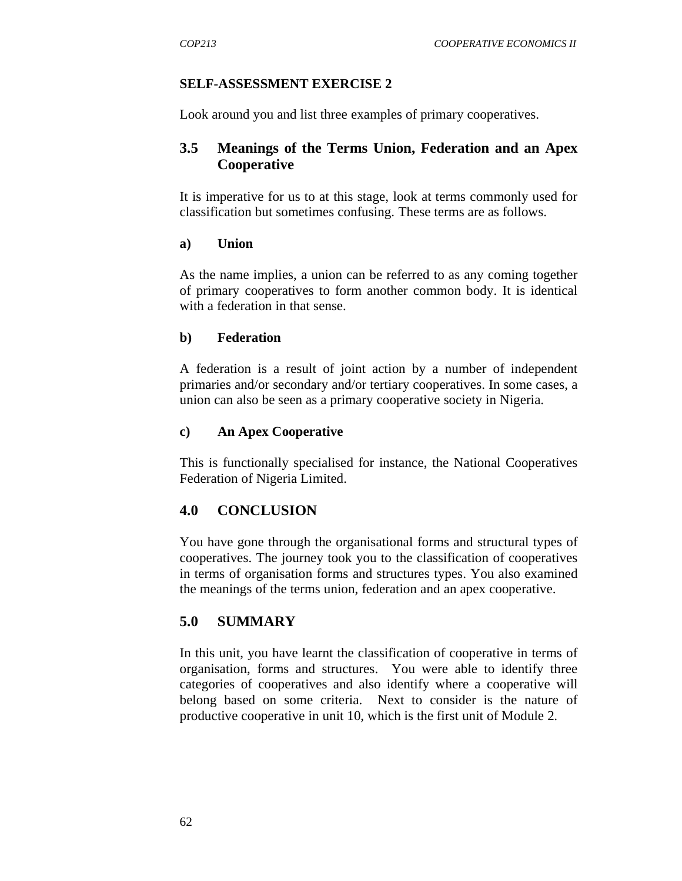#### **SELF-ASSESSMENT EXERCISE 2**

Look around you and list three examples of primary cooperatives.

### **3.5 Meanings of the Terms Union, Federation and an Apex Cooperative**

It is imperative for us to at this stage, look at terms commonly used for classification but sometimes confusing. These terms are as follows.

#### **a) Union**

As the name implies, a union can be referred to as any coming together of primary cooperatives to form another common body. It is identical with a federation in that sense.

#### **b) Federation**

A federation is a result of joint action by a number of independent primaries and/or secondary and/or tertiary cooperatives. In some cases, a union can also be seen as a primary cooperative society in Nigeria.

#### **c) An Apex Cooperative**

This is functionally specialised for instance, the National Cooperatives Federation of Nigeria Limited.

### **4.0 CONCLUSION**

You have gone through the organisational forms and structural types of cooperatives. The journey took you to the classification of cooperatives in terms of organisation forms and structures types. You also examined the meanings of the terms union, federation and an apex cooperative.

### **5.0 SUMMARY**

In this unit, you have learnt the classification of cooperative in terms of organisation, forms and structures. You were able to identify three categories of cooperatives and also identify where a cooperative will belong based on some criteria. Next to consider is the nature of productive cooperative in unit 10, which is the first unit of Module 2.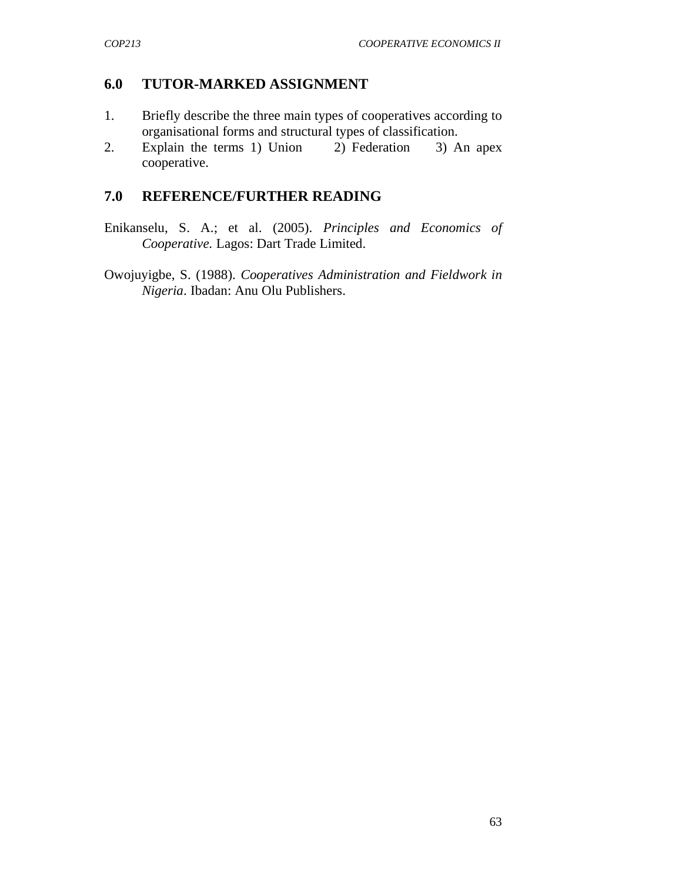### **6.0 TUTOR-MARKED ASSIGNMENT**

- 1. Briefly describe the three main types of cooperatives according to organisational forms and structural types of classification.
- 2.Explain the terms 1) Union 2) Federation 3) An apex cooperative.

#### **7.0 REFERENCE/FURTHER READING**

Enikanselu, S. A.; et al. (2005). *Principles and Economics of Cooperative.* Lagos: Dart Trade Limited.

Owojuyigbe, S. (1988). *Cooperatives Administration and Fieldwork in Nigeria*. Ibadan: Anu Olu Publishers.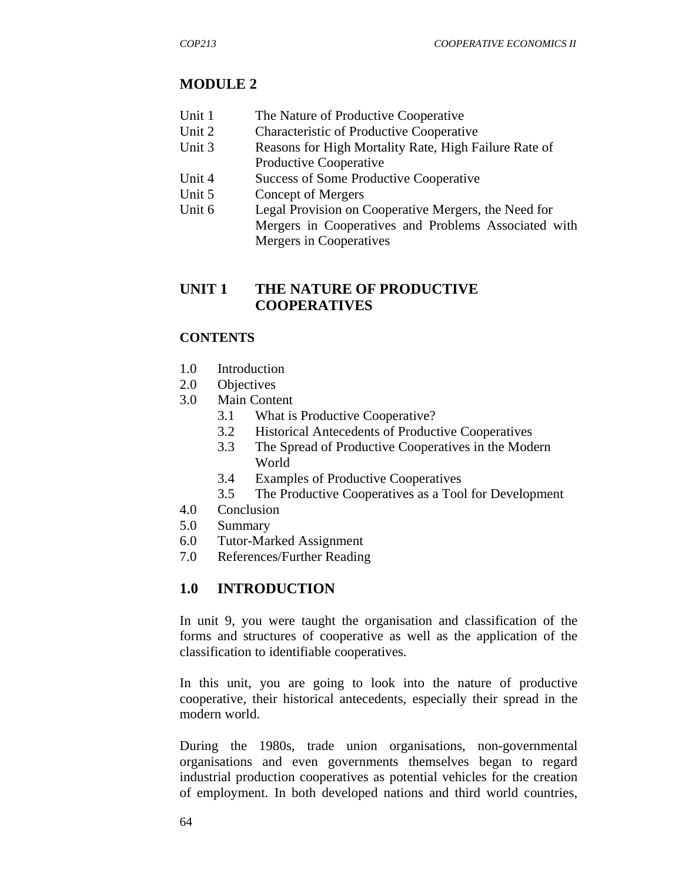# **MODULE 2**

- Unit 1 The Nature of Productive Cooperative
- Unit 2 Characteristic of Productive Cooperative
- Unit 3 Reasons for High Mortality Rate, High Failure Rate of Productive Cooperative
- Unit 4 Success of Some Productive Cooperative
- Unit 5 Concept of Mergers
- Unit 6 Legal Provision on Cooperative Mergers, the Need for Mergers in Cooperatives and Problems Associated with Mergers in Cooperatives

# **UNIT 1 THE NATURE OF PRODUCTIVE COOPERATIVES**

## **CONTENTS**

- 1.0 Introduction
- 2.0 Objectives
- 3.0 Main Content
	- 3.1 What is Productive Cooperative?
	- 3.2 Historical Antecedents of Productive Cooperatives
	- 3.3 The Spread of Productive Cooperatives in the Modern World
	- 3.4 Examples of Productive Cooperatives
	- 3.5 The Productive Cooperatives as a Tool for Development
- 4.0 Conclusion
- 5.0 Summary
- 6.0 Tutor-Marked Assignment
- 7.0 References/Further Reading

# **1.0 INTRODUCTION**

In unit 9, you were taught the organisation and classification of the forms and structures of cooperative as well as the application of the classification to identifiable cooperatives.

In this unit, you are going to look into the nature of productive cooperative, their historical antecedents, especially their spread in the modern world.

During the 1980s, trade union organisations, non-governmental organisations and even governments themselves began to regard industrial production cooperatives as potential vehicles for the creation of employment. In both developed nations and third world countries,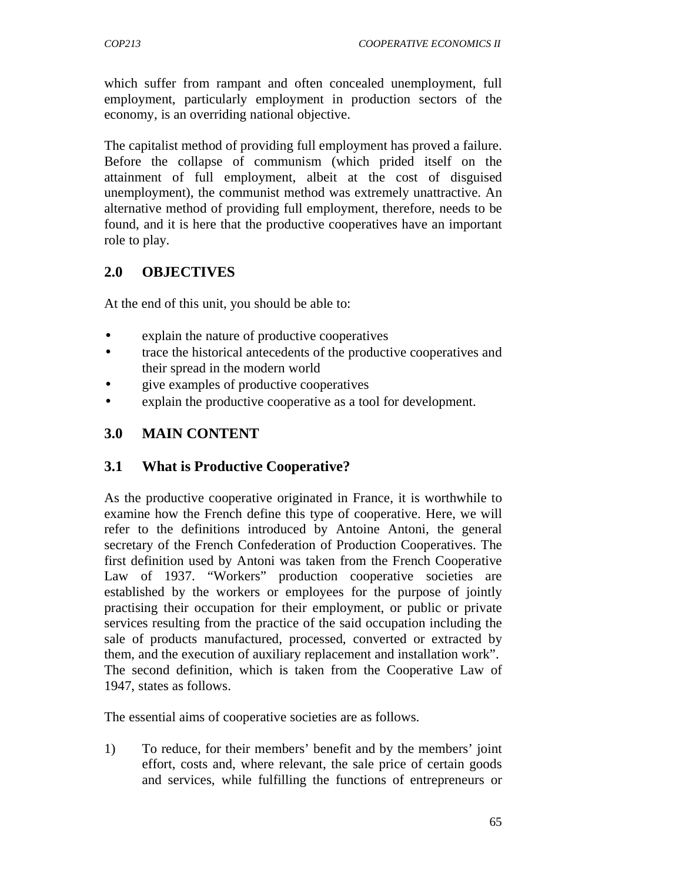which suffer from rampant and often concealed unemployment, full employment, particularly employment in production sectors of the economy, is an overriding national objective.

The capitalist method of providing full employment has proved a failure. Before the collapse of communism (which prided itself on the attainment of full employment, albeit at the cost of disguised unemployment), the communist method was extremely unattractive. An alternative method of providing full employment, therefore, needs to be found, and it is here that the productive cooperatives have an important role to play.

### **2.0 OBJECTIVES**

At the end of this unit, you should be able to:

- explain the nature of productive cooperatives
- trace the historical antecedents of the productive cooperatives and their spread in the modern world
- give examples of productive cooperatives
- explain the productive cooperative as a tool for development.

### **3.0 MAIN CONTENT**

#### **3.1 What is Productive Cooperative?**

As the productive cooperative originated in France, it is worthwhile to examine how the French define this type of cooperative. Here, we will refer to the definitions introduced by Antoine Antoni, the general secretary of the French Confederation of Production Cooperatives. The first definition used by Antoni was taken from the French Cooperative Law of 1937. "Workers" production cooperative societies are established by the workers or employees for the purpose of jointly practising their occupation for their employment, or public or private services resulting from the practice of the said occupation including the sale of products manufactured, processed, converted or extracted by them, and the execution of auxiliary replacement and installation work". The second definition, which is taken from the Cooperative Law of 1947, states as follows.

The essential aims of cooperative societies are as follows.

1) To reduce, for their members' benefit and by the members' joint effort, costs and, where relevant, the sale price of certain goods and services, while fulfilling the functions of entrepreneurs or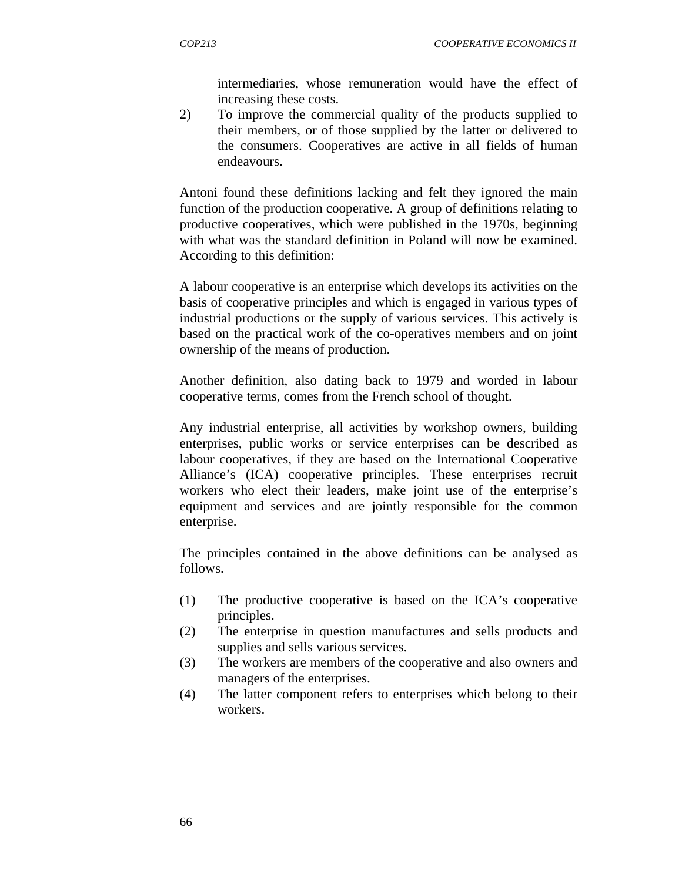intermediaries, whose remuneration would have the effect of increasing these costs.

2) To improve the commercial quality of the products supplied to their members, or of those supplied by the latter or delivered to the consumers. Cooperatives are active in all fields of human endeavours.

Antoni found these definitions lacking and felt they ignored the main function of the production cooperative. A group of definitions relating to productive cooperatives, which were published in the 1970s, beginning with what was the standard definition in Poland will now be examined. According to this definition:

A labour cooperative is an enterprise which develops its activities on the basis of cooperative principles and which is engaged in various types of industrial productions or the supply of various services. This actively is based on the practical work of the co-operatives members and on joint ownership of the means of production.

Another definition, also dating back to 1979 and worded in labour cooperative terms, comes from the French school of thought.

Any industrial enterprise, all activities by workshop owners, building enterprises, public works or service enterprises can be described as labour cooperatives, if they are based on the International Cooperative Alliance's (ICA) cooperative principles. These enterprises recruit workers who elect their leaders, make joint use of the enterprise's equipment and services and are jointly responsible for the common enterprise.

The principles contained in the above definitions can be analysed as follows.

- (1) The productive cooperative is based on the ICA's cooperative principles.
- (2) The enterprise in question manufactures and sells products and supplies and sells various services.
- (3) The workers are members of the cooperative and also owners and managers of the enterprises.
- (4) The latter component refers to enterprises which belong to their workers.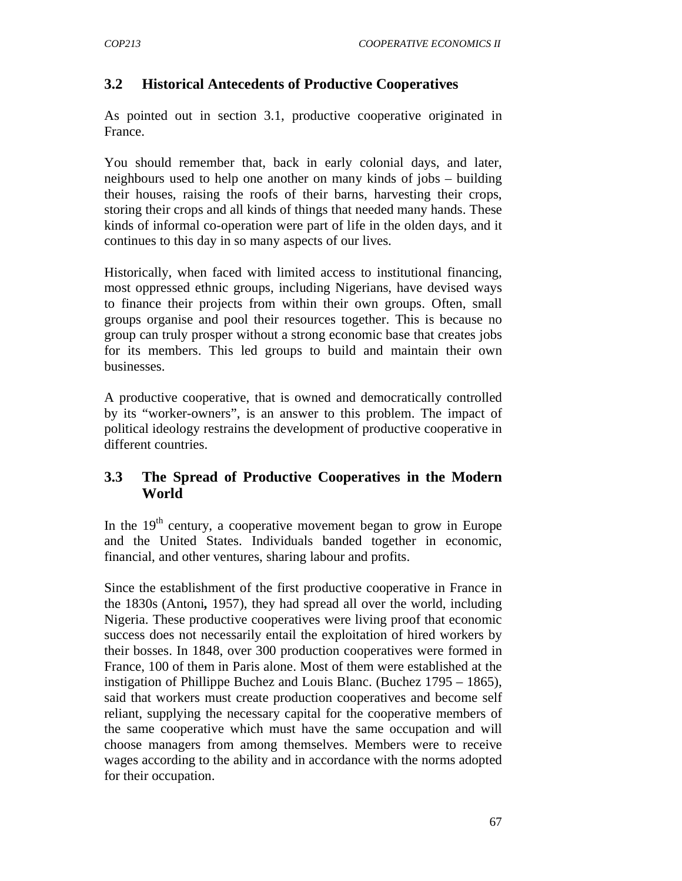# **3.2 Historical Antecedents of Productive Cooperatives**

As pointed out in section 3.1, productive cooperative originated in France.

You should remember that, back in early colonial days, and later, neighbours used to help one another on many kinds of jobs – building their houses, raising the roofs of their barns, harvesting their crops, storing their crops and all kinds of things that needed many hands. These kinds of informal co-operation were part of life in the olden days, and it continues to this day in so many aspects of our lives.

Historically, when faced with limited access to institutional financing, most oppressed ethnic groups, including Nigerians, have devised ways to finance their projects from within their own groups. Often, small groups organise and pool their resources together. This is because no group can truly prosper without a strong economic base that creates jobs for its members. This led groups to build and maintain their own businesses.

A productive cooperative, that is owned and democratically controlled by its "worker-owners", is an answer to this problem. The impact of political ideology restrains the development of productive cooperative in different countries.

## **3.3 The Spread of Productive Cooperatives in the Modern World**

In the  $19<sup>th</sup>$  century, a cooperative movement began to grow in Europe and the United States. Individuals banded together in economic, financial, and other ventures, sharing labour and profits.

Since the establishment of the first productive cooperative in France in the 1830s (Antoni*,* 1957), they had spread all over the world, including Nigeria. These productive cooperatives were living proof that economic success does not necessarily entail the exploitation of hired workers by their bosses. In 1848, over 300 production cooperatives were formed in France, 100 of them in Paris alone. Most of them were established at the instigation of Phillippe Buchez and Louis Blanc. (Buchez 1795 – 1865), said that workers must create production cooperatives and become self reliant, supplying the necessary capital for the cooperative members of the same cooperative which must have the same occupation and will choose managers from among themselves. Members were to receive wages according to the ability and in accordance with the norms adopted for their occupation.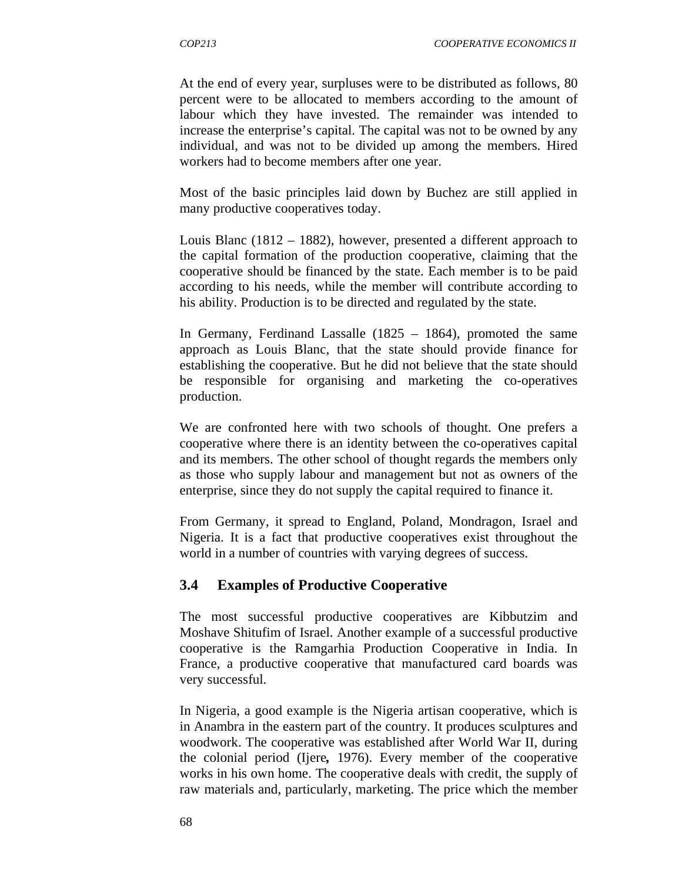At the end of every year, surpluses were to be distributed as follows, 80 percent were to be allocated to members according to the amount of labour which they have invested. The remainder was intended to increase the enterprise's capital. The capital was not to be owned by any individual, and was not to be divided up among the members. Hired workers had to become members after one year.

Most of the basic principles laid down by Buchez are still applied in many productive cooperatives today.

Louis Blanc (1812 – 1882), however, presented a different approach to the capital formation of the production cooperative, claiming that the cooperative should be financed by the state. Each member is to be paid according to his needs, while the member will contribute according to his ability. Production is to be directed and regulated by the state.

In Germany, Ferdinand Lassalle (1825 – 1864), promoted the same approach as Louis Blanc, that the state should provide finance for establishing the cooperative. But he did not believe that the state should be responsible for organising and marketing the co-operatives production.

We are confronted here with two schools of thought. One prefers a cooperative where there is an identity between the co-operatives capital and its members. The other school of thought regards the members only as those who supply labour and management but not as owners of the enterprise, since they do not supply the capital required to finance it.

From Germany, it spread to England, Poland, Mondragon, Israel and Nigeria. It is a fact that productive cooperatives exist throughout the world in a number of countries with varying degrees of success.

### **3.4 Examples of Productive Cooperative**

The most successful productive cooperatives are Kibbutzim and Moshave Shitufim of Israel. Another example of a successful productive cooperative is the Ramgarhia Production Cooperative in India. In France, a productive cooperative that manufactured card boards was very successful.

In Nigeria, a good example is the Nigeria artisan cooperative, which is in Anambra in the eastern part of the country. It produces sculptures and woodwork. The cooperative was established after World War II, during the colonial period (Ijere*,* 1976). Every member of the cooperative works in his own home. The cooperative deals with credit, the supply of raw materials and, particularly, marketing. The price which the member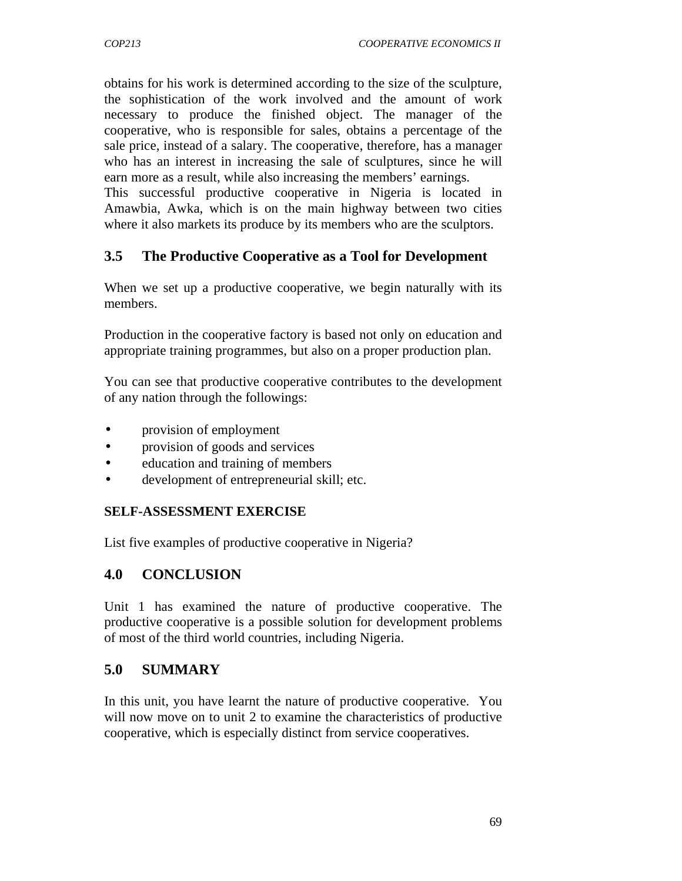obtains for his work is determined according to the size of the sculpture, the sophistication of the work involved and the amount of work necessary to produce the finished object. The manager of the cooperative, who is responsible for sales, obtains a percentage of the sale price, instead of a salary. The cooperative, therefore, has a manager who has an interest in increasing the sale of sculptures, since he will earn more as a result, while also increasing the members' earnings.

This successful productive cooperative in Nigeria is located in Amawbia, Awka, which is on the main highway between two cities where it also markets its produce by its members who are the sculptors.

### **3.5 The Productive Cooperative as a Tool for Development**

When we set up a productive cooperative, we begin naturally with its members.

Production in the cooperative factory is based not only on education and appropriate training programmes, but also on a proper production plan.

You can see that productive cooperative contributes to the development of any nation through the followings:

- provision of employment
- provision of goods and services
- education and training of members
- development of entrepreneurial skill; etc.

#### **SELF-ASSESSMENT EXERCISE**

List five examples of productive cooperative in Nigeria?

#### **4.0 CONCLUSION**

Unit 1 has examined the nature of productive cooperative. The productive cooperative is a possible solution for development problems of most of the third world countries, including Nigeria.

### **5.0 SUMMARY**

In this unit, you have learnt the nature of productive cooperative. You will now move on to unit 2 to examine the characteristics of productive cooperative, which is especially distinct from service cooperatives.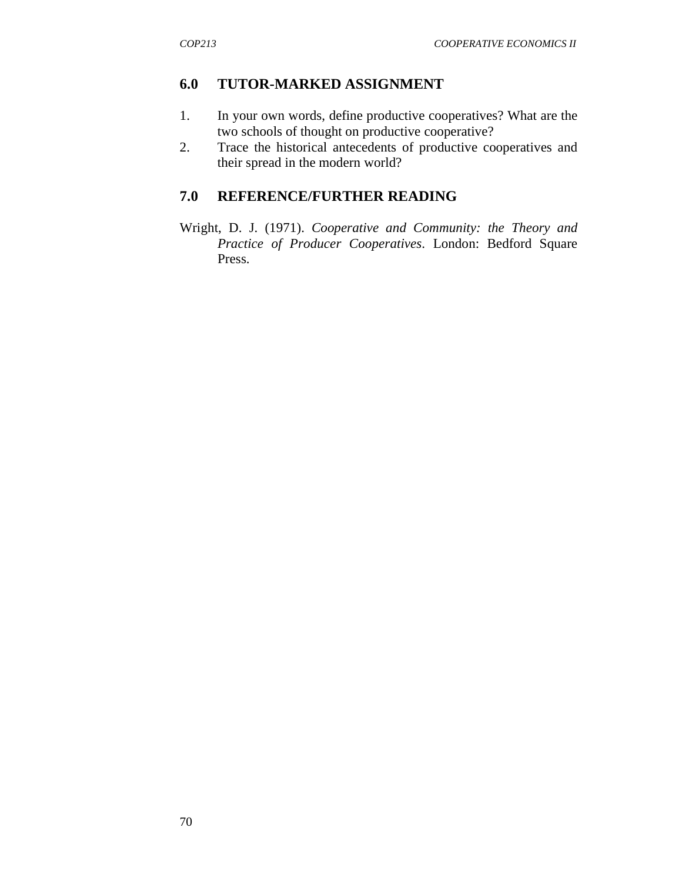## **6.0 TUTOR-MARKED ASSIGNMENT**

- 1. In your own words, define productive cooperatives? What are the two schools of thought on productive cooperative?
- 2.Trace the historical antecedents of productive cooperatives and their spread in the modern world?

## **7.0 REFERENCE/FURTHER READING**

Wright, D. J. (1971). *Cooperative and Community: the Theory and Practice of Producer Cooperatives*. London: Bedford Square Press.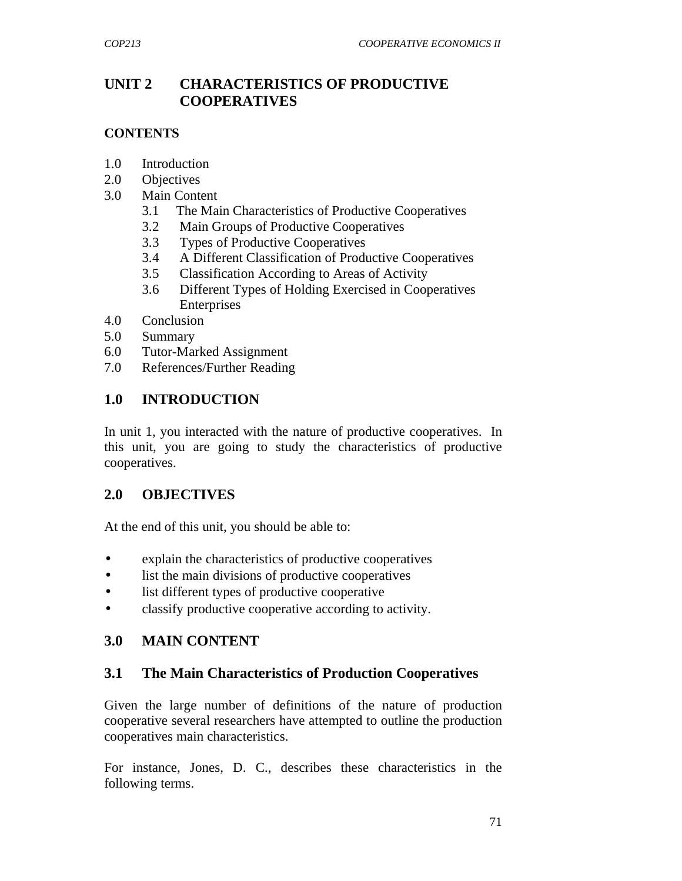## **UNIT 2 CHARACTERISTICS OF PRODUCTIVE COOPERATIVES**

### **CONTENTS**

- 1.0 Introduction
- 2.0 Objectives
- 3.0 Main Content
	- 3.1 The Main Characteristics of Productive Cooperatives
	- 3.2 Main Groups of Productive Cooperatives
	- 3.3 Types of Productive Cooperatives
	- 3.4 A Different Classification of Productive Cooperatives
	- 3.5 Classification According to Areas of Activity
	- 3.6 Different Types of Holding Exercised in Cooperatives Enterprises
- 4.0 Conclusion
- 5.0 Summary
- 6.0 Tutor-Marked Assignment
- 7.0 References/Further Reading

## **1.0 INTRODUCTION**

In unit 1, you interacted with the nature of productive cooperatives. In this unit, you are going to study the characteristics of productive cooperatives.

### **2.0 OBJECTIVES**

At the end of this unit, you should be able to:

- explain the characteristics of productive cooperatives
- list the main divisions of productive cooperatives
- list different types of productive cooperative
- classify productive cooperative according to activity.

# **3.0 MAIN CONTENT**

### **3.1 The Main Characteristics of Production Cooperatives**

Given the large number of definitions of the nature of production cooperative several researchers have attempted to outline the production cooperatives main characteristics.

For instance, Jones, D. C., describes these characteristics in the following terms.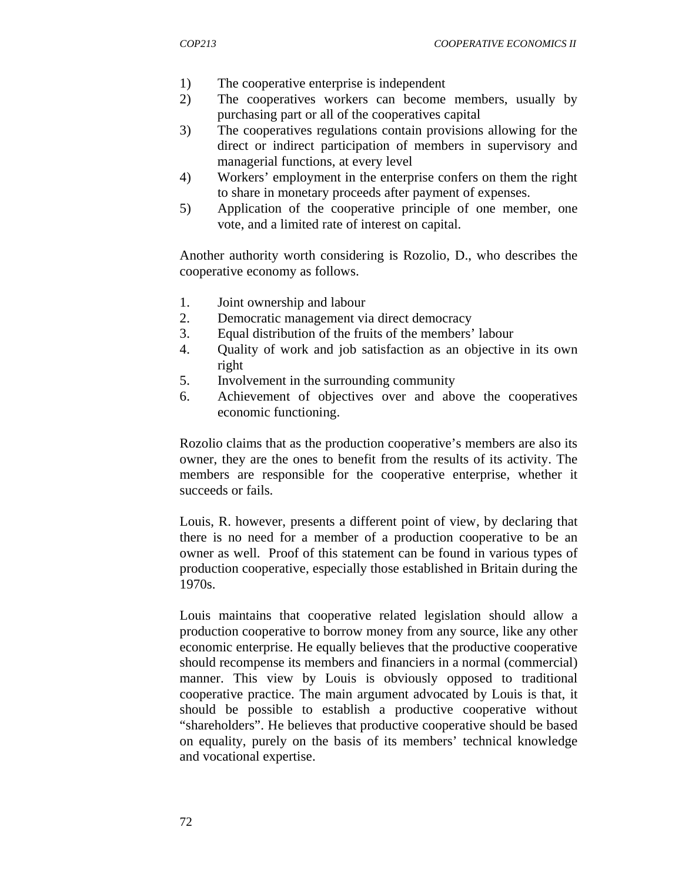- 1) The cooperative enterprise is independent
- 2) The cooperatives workers can become members, usually by purchasing part or all of the cooperatives capital
- 3) The cooperatives regulations contain provisions allowing for the direct or indirect participation of members in supervisory and managerial functions, at every level
- 4) Workers' employment in the enterprise confers on them the right to share in monetary proceeds after payment of expenses.
- 5) Application of the cooperative principle of one member, one vote, and a limited rate of interest on capital.

Another authority worth considering is Rozolio, D., who describes the cooperative economy as follows.

- 1. Joint ownership and labour
- 2. Democratic management via direct democracy
- 3. Equal distribution of the fruits of the members' labour
- 4. Quality of work and job satisfaction as an objective in its own right
- 5. Involvement in the surrounding community
- 6. Achievement of objectives over and above the cooperatives economic functioning.

Rozolio claims that as the production cooperative's members are also its owner, they are the ones to benefit from the results of its activity. The members are responsible for the cooperative enterprise, whether it succeeds or fails.

Louis, R. however, presents a different point of view, by declaring that there is no need for a member of a production cooperative to be an owner as well. Proof of this statement can be found in various types of production cooperative, especially those established in Britain during the 1970s.

Louis maintains that cooperative related legislation should allow a production cooperative to borrow money from any source, like any other economic enterprise. He equally believes that the productive cooperative should recompense its members and financiers in a normal (commercial) manner. This view by Louis is obviously opposed to traditional cooperative practice. The main argument advocated by Louis is that, it should be possible to establish a productive cooperative without "shareholders". He believes that productive cooperative should be based on equality, purely on the basis of its members' technical knowledge and vocational expertise.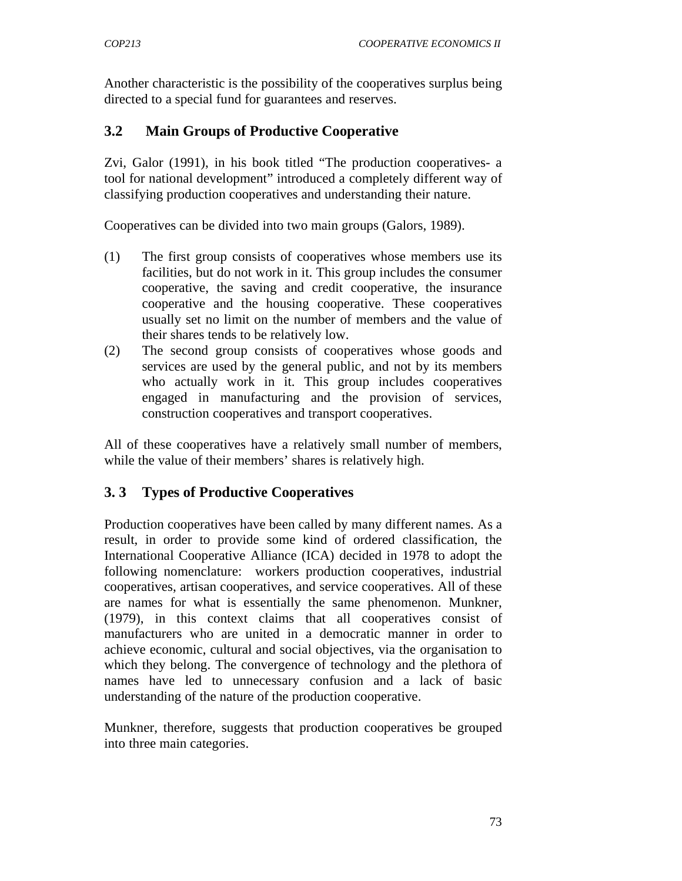Another characteristic is the possibility of the cooperatives surplus being directed to a special fund for guarantees and reserves.

## **3.2 Main Groups of Productive Cooperative**

Zvi, Galor (1991), in his book titled "The production cooperatives- a tool for national development" introduced a completely different way of classifying production cooperatives and understanding their nature.

Cooperatives can be divided into two main groups (Galors, 1989).

- (1) The first group consists of cooperatives whose members use its facilities, but do not work in it. This group includes the consumer cooperative, the saving and credit cooperative, the insurance cooperative and the housing cooperative. These cooperatives usually set no limit on the number of members and the value of their shares tends to be relatively low.
- (2) The second group consists of cooperatives whose goods and services are used by the general public, and not by its members who actually work in it. This group includes cooperatives engaged in manufacturing and the provision of services, construction cooperatives and transport cooperatives.

All of these cooperatives have a relatively small number of members, while the value of their members' shares is relatively high.

### **3. 3 Types of Productive Cooperatives**

Production cooperatives have been called by many different names. As a result, in order to provide some kind of ordered classification, the International Cooperative Alliance (ICA) decided in 1978 to adopt the following nomenclature: workers production cooperatives, industrial cooperatives, artisan cooperatives, and service cooperatives. All of these are names for what is essentially the same phenomenon. Munkner, (1979), in this context claims that all cooperatives consist of manufacturers who are united in a democratic manner in order to achieve economic, cultural and social objectives, via the organisation to which they belong. The convergence of technology and the plethora of names have led to unnecessary confusion and a lack of basic understanding of the nature of the production cooperative.

Munkner, therefore, suggests that production cooperatives be grouped into three main categories.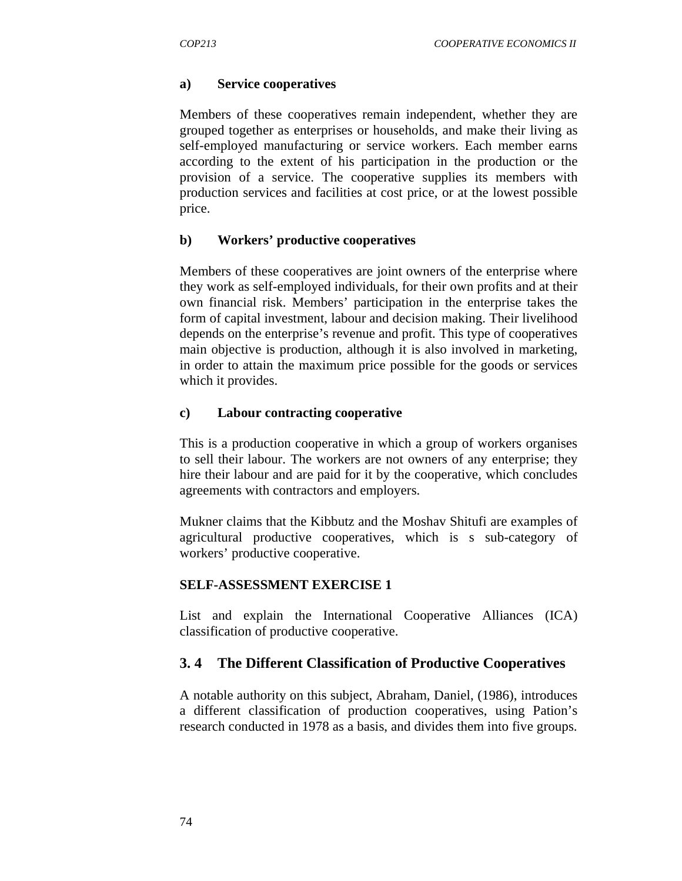#### **a) Service cooperatives**

Members of these cooperatives remain independent, whether they are grouped together as enterprises or households, and make their living as self-employed manufacturing or service workers. Each member earns according to the extent of his participation in the production or the provision of a service. The cooperative supplies its members with production services and facilities at cost price, or at the lowest possible price.

#### **b) Workers' productive cooperatives**

Members of these cooperatives are joint owners of the enterprise where they work as self-employed individuals, for their own profits and at their own financial risk. Members' participation in the enterprise takes the form of capital investment, labour and decision making. Their livelihood depends on the enterprise's revenue and profit. This type of cooperatives main objective is production, although it is also involved in marketing, in order to attain the maximum price possible for the goods or services which it provides.

#### **c) Labour contracting cooperative**

This is a production cooperative in which a group of workers organises to sell their labour. The workers are not owners of any enterprise; they hire their labour and are paid for it by the cooperative, which concludes agreements with contractors and employers.

Mukner claims that the Kibbutz and the Moshav Shitufi are examples of agricultural productive cooperatives, which is s sub-category of workers' productive cooperative.

#### **SELF-ASSESSMENT EXERCISE 1**

List and explain the International Cooperative Alliances (ICA) classification of productive cooperative.

#### **3. 4 The Different Classification of Productive Cooperatives**

A notable authority on this subject, Abraham, Daniel, (1986), introduces a different classification of production cooperatives, using Pation's research conducted in 1978 as a basis, and divides them into five groups.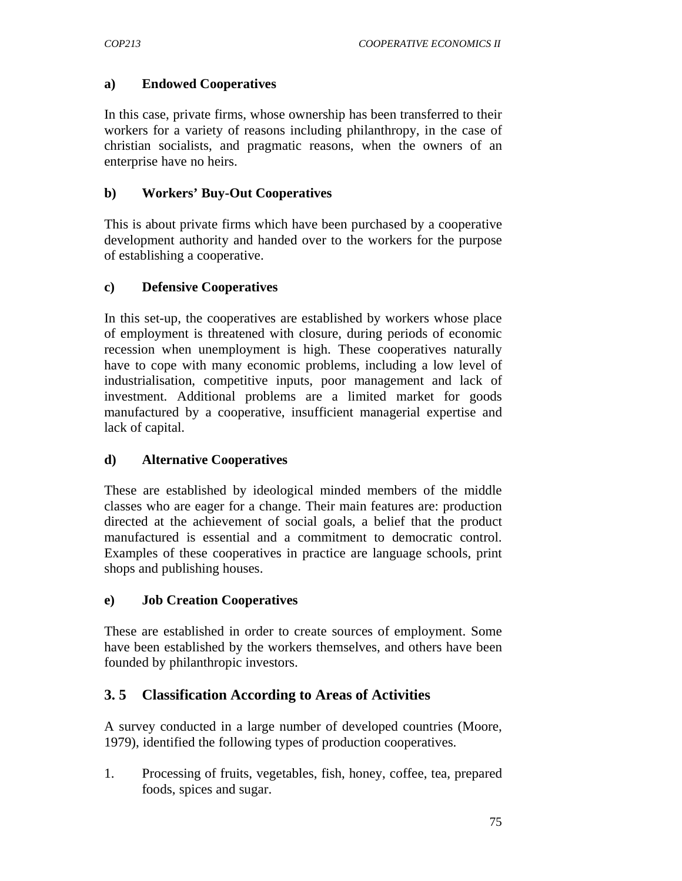#### **a) Endowed Cooperatives**

In this case, private firms, whose ownership has been transferred to their workers for a variety of reasons including philanthropy, in the case of christian socialists, and pragmatic reasons, when the owners of an enterprise have no heirs.

#### **b) Workers' Buy-Out Cooperatives**

This is about private firms which have been purchased by a cooperative development authority and handed over to the workers for the purpose of establishing a cooperative.

### **c) Defensive Cooperatives**

In this set-up, the cooperatives are established by workers whose place of employment is threatened with closure, during periods of economic recession when unemployment is high. These cooperatives naturally have to cope with many economic problems, including a low level of industrialisation, competitive inputs, poor management and lack of investment. Additional problems are a limited market for goods manufactured by a cooperative, insufficient managerial expertise and lack of capital.

#### **d) Alternative Cooperatives**

These are established by ideological minded members of the middle classes who are eager for a change. Their main features are: production directed at the achievement of social goals, a belief that the product manufactured is essential and a commitment to democratic control. Examples of these cooperatives in practice are language schools, print shops and publishing houses.

#### **e) Job Creation Cooperatives**

These are established in order to create sources of employment. Some have been established by the workers themselves, and others have been founded by philanthropic investors.

### **3. 5 Classification According to Areas of Activities**

A survey conducted in a large number of developed countries (Moore, 1979), identified the following types of production cooperatives.

1. Processing of fruits, vegetables, fish, honey, coffee, tea, prepared foods, spices and sugar.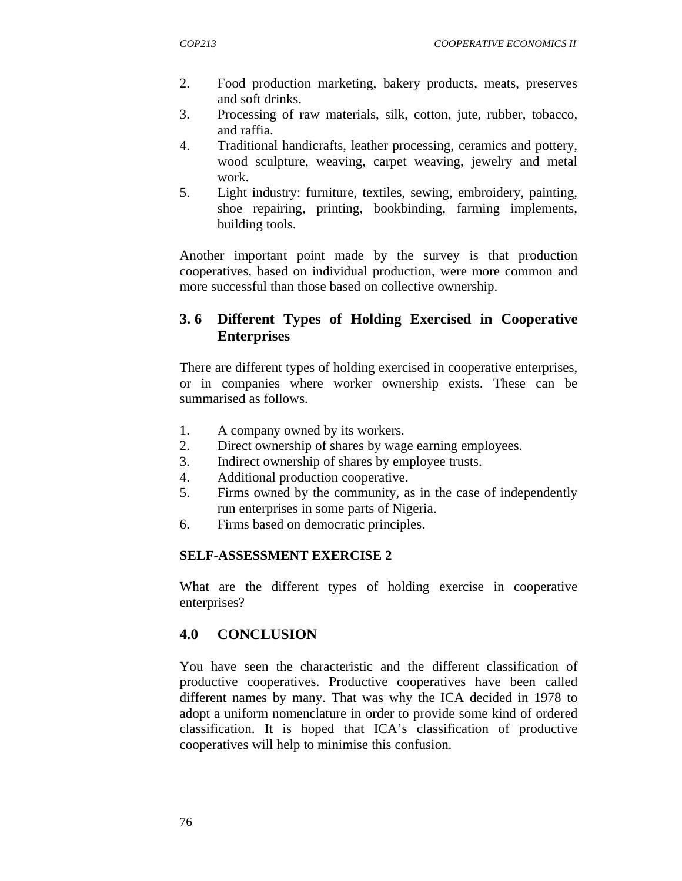- 2. Food production marketing, bakery products, meats, preserves and soft drinks.
- 3. Processing of raw materials, silk, cotton, jute, rubber, tobacco, and raffia.
- 4. Traditional handicrafts, leather processing, ceramics and pottery, wood sculpture, weaving, carpet weaving, jewelry and metal work.
- 5. Light industry: furniture, textiles, sewing, embroidery, painting, shoe repairing, printing, bookbinding, farming implements, building tools.

Another important point made by the survey is that production cooperatives, based on individual production, were more common and more successful than those based on collective ownership.

## **3. 6 Different Types of Holding Exercised in Cooperative Enterprises**

There are different types of holding exercised in cooperative enterprises, or in companies where worker ownership exists. These can be summarised as follows.

- 1. A company owned by its workers.
- 2. Direct ownership of shares by wage earning employees.
- 3. Indirect ownership of shares by employee trusts.
- 4. Additional production cooperative.
- 5. Firms owned by the community, as in the case of independently run enterprises in some parts of Nigeria.
- 6. Firms based on democratic principles.

#### **SELF-ASSESSMENT EXERCISE 2**

What are the different types of holding exercise in cooperative enterprises?

### **4.0 CONCLUSION**

You have seen the characteristic and the different classification of productive cooperatives. Productive cooperatives have been called different names by many. That was why the ICA decided in 1978 to adopt a uniform nomenclature in order to provide some kind of ordered classification. It is hoped that ICA's classification of productive cooperatives will help to minimise this confusion.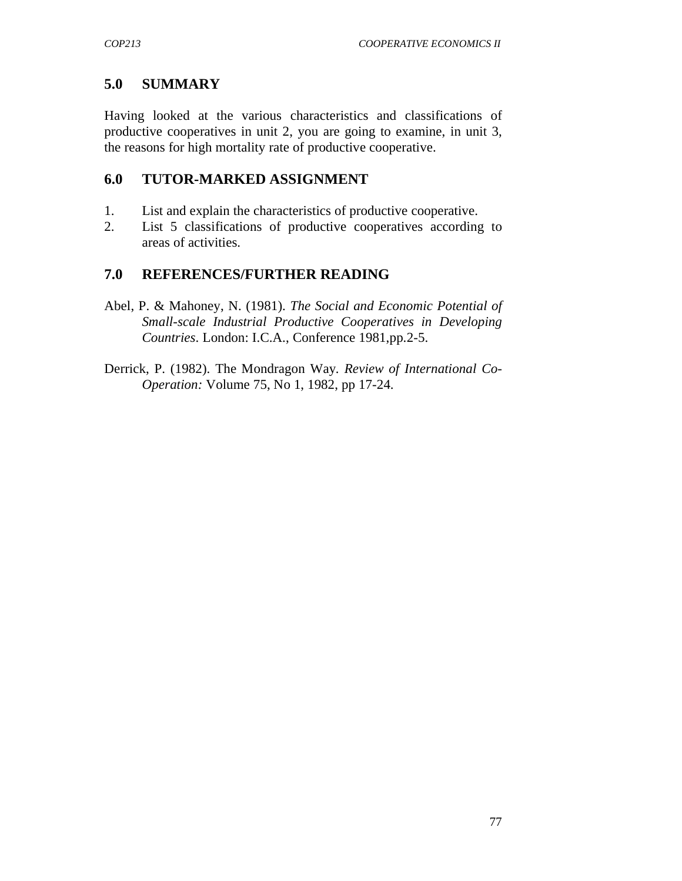# **5.0 SUMMARY**

Having looked at the various characteristics and classifications of productive cooperatives in unit 2, you are going to examine, in unit 3, the reasons for high mortality rate of productive cooperative.

## **6.0 TUTOR-MARKED ASSIGNMENT**

- 1. List and explain the characteristics of productive cooperative.
- 2. List 5 classifications of productive cooperatives according to areas of activities.

# **7.0 REFERENCES/FURTHER READING**

- Abel, P. & Mahoney, N. (1981). *The Social and Economic Potential of Small-scale Industrial Productive Cooperatives in Developing Countries*. London: I.C.A., Conference 1981,pp.2-5.
- Derrick, P. (1982). The Mondragon Way*. Review of International Co*-*Operation:* Volume 75, No 1, 1982, pp 17-24.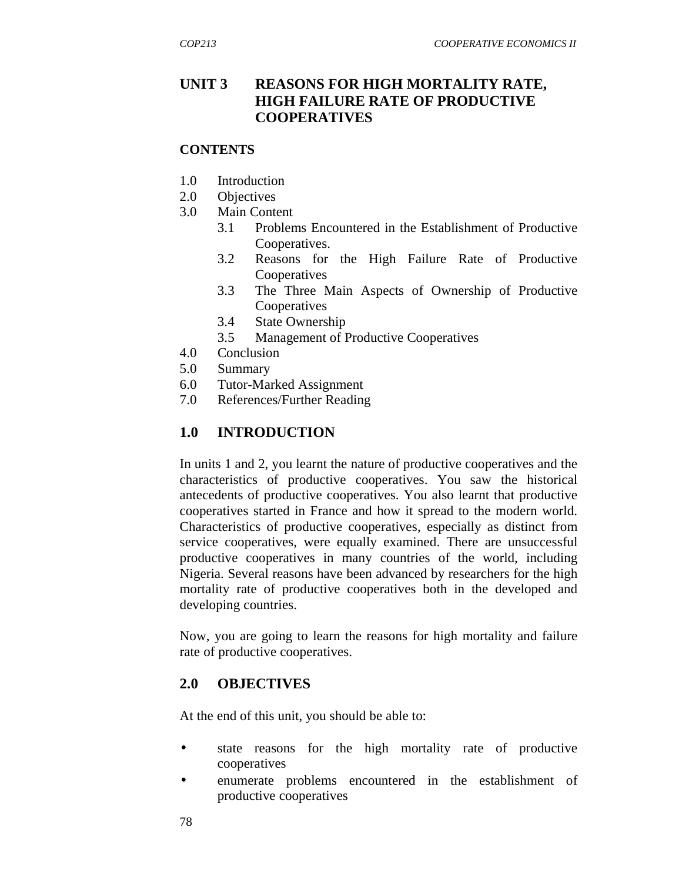## **UNIT 3 REASONS FOR HIGH MORTALITY RATE, HIGH FAILURE RATE OF PRODUCTIVE COOPERATIVES**

#### **CONTENTS**

- 1.0 Introduction
- 2.0 Objectives
- 3.0 Main Content
	- 3.1 Problems Encountered in the Establishment of Productive Cooperatives.
	- 3.2 Reasons for the High Failure Rate of Productive Cooperatives
	- 3.3 The Three Main Aspects of Ownership of Productive **Cooperatives**
	- 3.4 State Ownership
	- 3.5 Management of Productive Cooperatives
- 4.0 Conclusion
- 5.0 Summary
- 6.0 Tutor-Marked Assignment
- 7.0 References/Further Reading

## **1.0 INTRODUCTION**

In units 1 and 2, you learnt the nature of productive cooperatives and the characteristics of productive cooperatives. You saw the historical antecedents of productive cooperatives. You also learnt that productive cooperatives started in France and how it spread to the modern world. Characteristics of productive cooperatives, especially as distinct from service cooperatives, were equally examined. There are unsuccessful productive cooperatives in many countries of the world, including Nigeria. Several reasons have been advanced by researchers for the high mortality rate of productive cooperatives both in the developed and developing countries.

Now, you are going to learn the reasons for high mortality and failure rate of productive cooperatives.

### **2.0 OBJECTIVES**

At the end of this unit, you should be able to:

- state reasons for the high mortality rate of productive cooperatives
- enumerate problems encountered in the establishment of productive cooperatives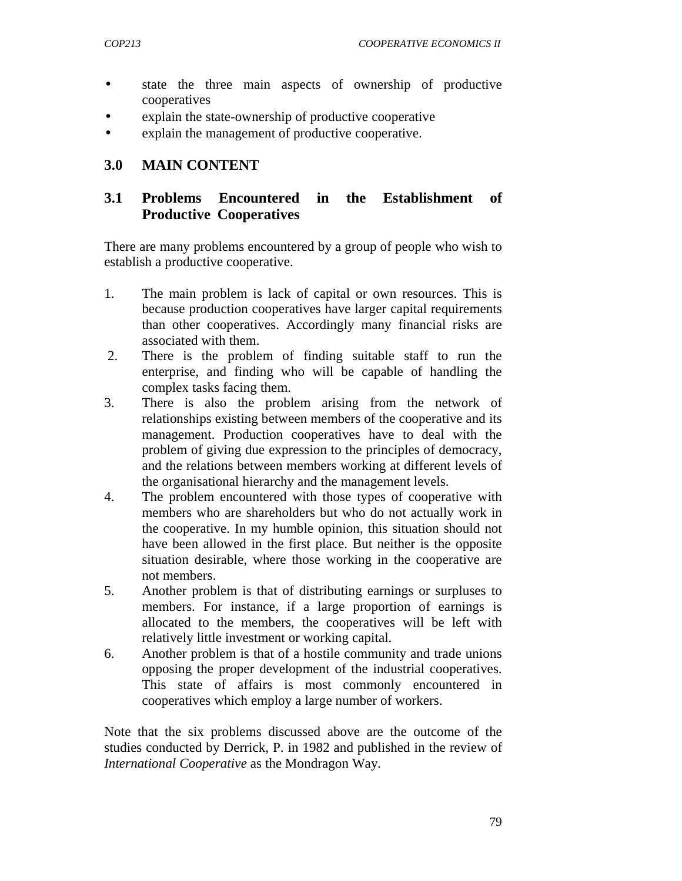- state the three main aspects of ownership of productive cooperatives
- explain the state-ownership of productive cooperative
- explain the management of productive cooperative.

## **3.0 MAIN CONTENT**

## **3.1 Problems Encountered in the Establishment of Productive Cooperatives**

There are many problems encountered by a group of people who wish to establish a productive cooperative.

- 1. The main problem is lack of capital or own resources. This is because production cooperatives have larger capital requirements than other cooperatives. Accordingly many financial risks are associated with them.
- 2. There is the problem of finding suitable staff to run the enterprise, and finding who will be capable of handling the complex tasks facing them.
- 3. There is also the problem arising from the network of relationships existing between members of the cooperative and its management. Production cooperatives have to deal with the problem of giving due expression to the principles of democracy, and the relations between members working at different levels of the organisational hierarchy and the management levels.
- 4. The problem encountered with those types of cooperative with members who are shareholders but who do not actually work in the cooperative. In my humble opinion, this situation should not have been allowed in the first place. But neither is the opposite situation desirable, where those working in the cooperative are not members.
- 5. Another problem is that of distributing earnings or surpluses to members. For instance, if a large proportion of earnings is allocated to the members, the cooperatives will be left with relatively little investment or working capital.
- 6. Another problem is that of a hostile community and trade unions opposing the proper development of the industrial cooperatives. This state of affairs is most commonly encountered in cooperatives which employ a large number of workers.

Note that the six problems discussed above are the outcome of the studies conducted by Derrick, P. in 1982 and published in the review of *International Cooperative* as the Mondragon Way*.*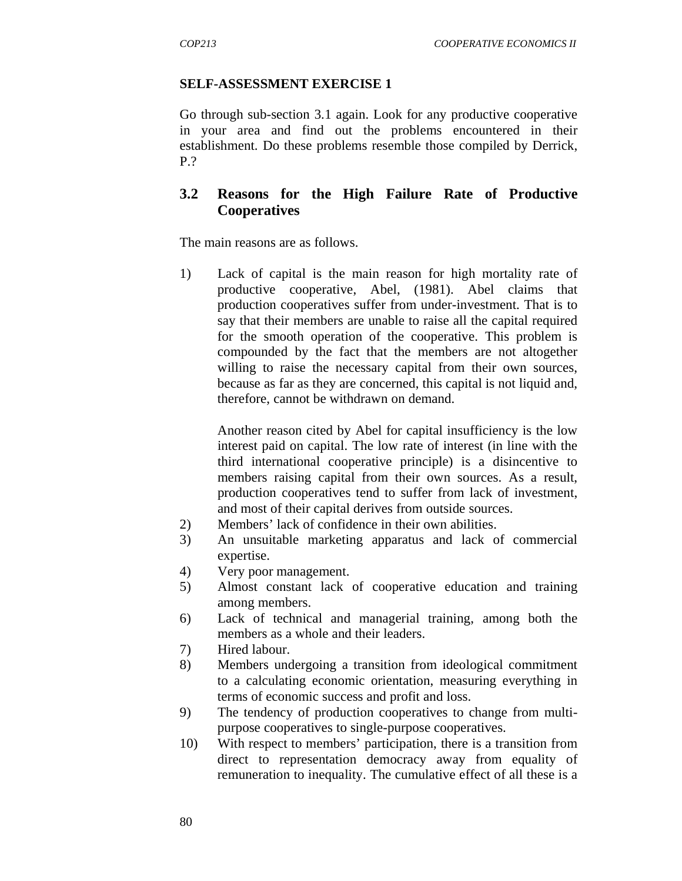#### **SELF-ASSESSMENT EXERCISE 1**

Go through sub-section 3.1 again. Look for any productive cooperative in your area and find out the problems encountered in their establishment. Do these problems resemble those compiled by Derrick, P.?

### **3.2 Reasons for the High Failure Rate of Productive Cooperatives**

The main reasons are as follows.

1) Lack of capital is the main reason for high mortality rate of productive cooperative, Abel, (1981). Abel claims that production cooperatives suffer from under-investment. That is to say that their members are unable to raise all the capital required for the smooth operation of the cooperative. This problem is compounded by the fact that the members are not altogether willing to raise the necessary capital from their own sources, because as far as they are concerned, this capital is not liquid and, therefore, cannot be withdrawn on demand.

 Another reason cited by Abel for capital insufficiency is the low interest paid on capital. The low rate of interest (in line with the third international cooperative principle) is a disincentive to members raising capital from their own sources. As a result, production cooperatives tend to suffer from lack of investment, and most of their capital derives from outside sources.

- 2) Members' lack of confidence in their own abilities.
- 3) An unsuitable marketing apparatus and lack of commercial expertise.
- 4) Very poor management.
- 5) Almost constant lack of cooperative education and training among members.
- 6) Lack of technical and managerial training, among both the members as a whole and their leaders.
- 7) Hired labour.
- 8) Members undergoing a transition from ideological commitment to a calculating economic orientation, measuring everything in terms of economic success and profit and loss.
- 9) The tendency of production cooperatives to change from multipurpose cooperatives to single-purpose cooperatives.
- 10) With respect to members' participation, there is a transition from direct to representation democracy away from equality of remuneration to inequality. The cumulative effect of all these is a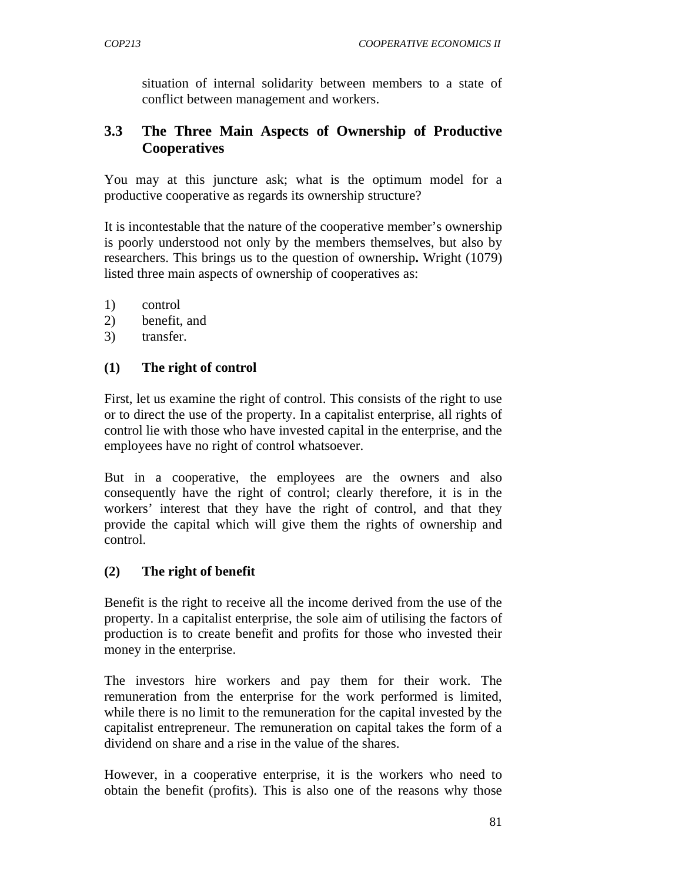situation of internal solidarity between members to a state of conflict between management and workers.

## **3.3 The Three Main Aspects of Ownership of Productive Cooperatives**

You may at this juncture ask; what is the optimum model for a productive cooperative as regards its ownership structure?

It is incontestable that the nature of the cooperative member's ownership is poorly understood not only by the members themselves, but also by researchers. This brings us to the question of ownership**.** Wright (1079) listed three main aspects of ownership of cooperatives as:

- 1) control
- 2) benefit, and
- 3) transfer.

#### **(1) The right of control**

First, let us examine the right of control. This consists of the right to use or to direct the use of the property. In a capitalist enterprise, all rights of control lie with those who have invested capital in the enterprise, and the employees have no right of control whatsoever.

But in a cooperative, the employees are the owners and also consequently have the right of control; clearly therefore, it is in the workers' interest that they have the right of control, and that they provide the capital which will give them the rights of ownership and control.

#### **(2) The right of benefit**

Benefit is the right to receive all the income derived from the use of the property. In a capitalist enterprise, the sole aim of utilising the factors of production is to create benefit and profits for those who invested their money in the enterprise.

The investors hire workers and pay them for their work. The remuneration from the enterprise for the work performed is limited, while there is no limit to the remuneration for the capital invested by the capitalist entrepreneur. The remuneration on capital takes the form of a dividend on share and a rise in the value of the shares.

However, in a cooperative enterprise, it is the workers who need to obtain the benefit (profits). This is also one of the reasons why those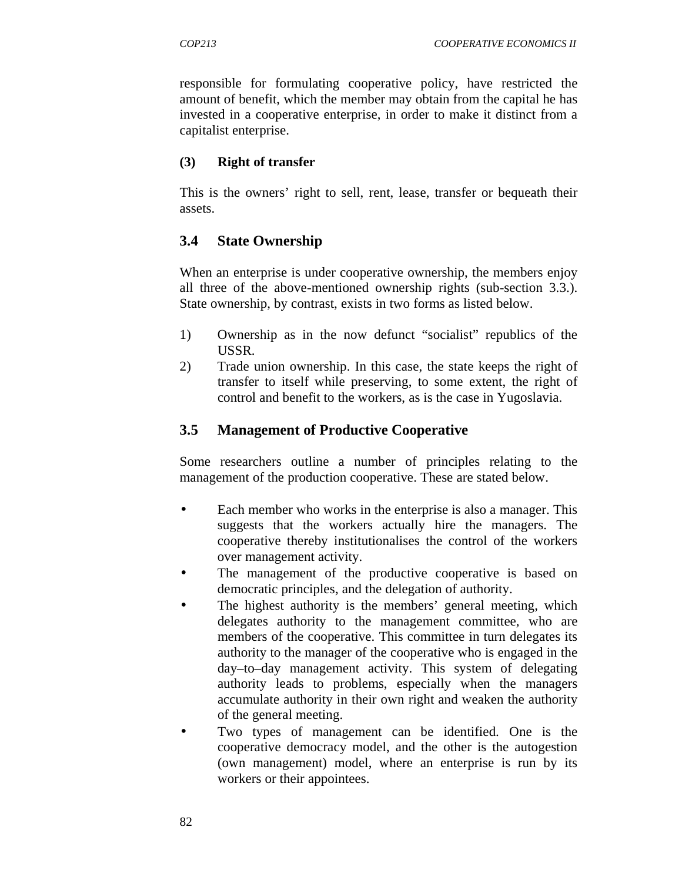responsible for formulating cooperative policy, have restricted the amount of benefit, which the member may obtain from the capital he has invested in a cooperative enterprise, in order to make it distinct from a capitalist enterprise.

#### **(3) Right of transfer**

This is the owners' right to sell, rent, lease, transfer or bequeath their assets.

### **3.4 State Ownership**

When an enterprise is under cooperative ownership, the members enjoy all three of the above-mentioned ownership rights (sub-section 3.3.). State ownership, by contrast, exists in two forms as listed below.

- 1) Ownership as in the now defunct "socialist" republics of the USSR.
- 2) Trade union ownership. In this case, the state keeps the right of transfer to itself while preserving, to some extent, the right of control and benefit to the workers, as is the case in Yugoslavia.

### **3.5 Management of Productive Cooperative**

Some researchers outline a number of principles relating to the management of the production cooperative. These are stated below.

- Each member who works in the enterprise is also a manager. This suggests that the workers actually hire the managers. The cooperative thereby institutionalises the control of the workers over management activity.
- The management of the productive cooperative is based on democratic principles, and the delegation of authority.
- The highest authority is the members' general meeting, which delegates authority to the management committee, who are members of the cooperative. This committee in turn delegates its authority to the manager of the cooperative who is engaged in the day–to–day management activity. This system of delegating authority leads to problems, especially when the managers accumulate authority in their own right and weaken the authority of the general meeting.
- Two types of management can be identified. One is the cooperative democracy model, and the other is the autogestion (own management) model, where an enterprise is run by its workers or their appointees.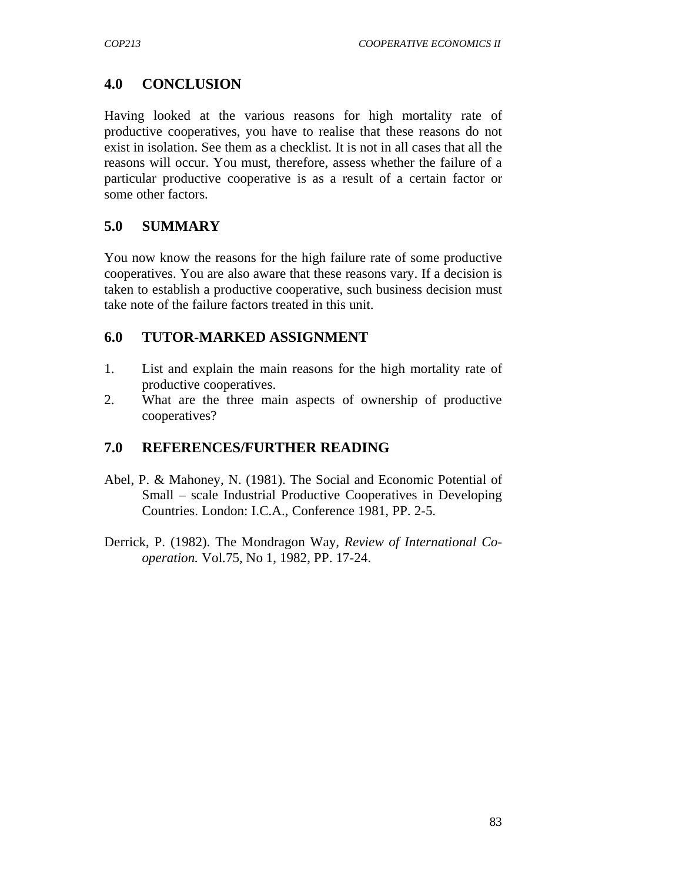# **4.0 CONCLUSION**

Having looked at the various reasons for high mortality rate of productive cooperatives, you have to realise that these reasons do not exist in isolation. See them as a checklist. It is not in all cases that all the reasons will occur. You must, therefore, assess whether the failure of a particular productive cooperative is as a result of a certain factor or some other factors.

# **5.0 SUMMARY**

You now know the reasons for the high failure rate of some productive cooperatives. You are also aware that these reasons vary. If a decision is taken to establish a productive cooperative, such business decision must take note of the failure factors treated in this unit.

### **6.0 TUTOR-MARKED ASSIGNMENT**

- 1. List and explain the main reasons for the high mortality rate of productive cooperatives.
- 2. What are the three main aspects of ownership of productive cooperatives?

## **7.0 REFERENCES/FURTHER READING**

- Abel, P. & Mahoney, N. (1981). The Social and Economic Potential of Small – scale Industrial Productive Cooperatives in Developing Countries. London: I.C.A., Conference 1981, PP. 2-5.
- Derrick, P. (1982). The Mondragon Way*, Review of International Cooperation.* Vol.75, No 1, 1982, PP. 17-24.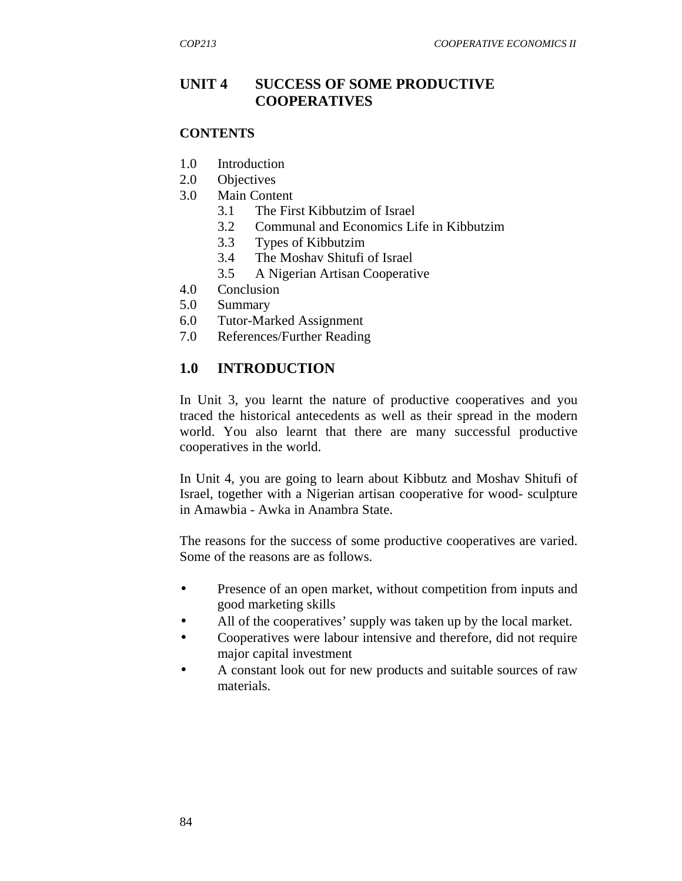## **UNIT 4 SUCCESS OF SOME PRODUCTIVE COOPERATIVES**

#### **CONTENTS**

- 1.0 Introduction
- 2.0 Objectives
- 3.0 Main Content
	- 3.1 The First Kibbutzim of Israel
	- 3.2 Communal and Economics Life in Kibbutzim
	- 3.3 Types of Kibbutzim
	- 3.4 The Moshav Shitufi of Israel
	- 3.5 A Nigerian Artisan Cooperative
- 4.0 Conclusion
- 5.0 Summary
- 6.0 Tutor-Marked Assignment
- 7.0 References/Further Reading

### **1.0 INTRODUCTION**

In Unit 3, you learnt the nature of productive cooperatives and you traced the historical antecedents as well as their spread in the modern world. You also learnt that there are many successful productive cooperatives in the world.

In Unit 4, you are going to learn about Kibbutz and Moshav Shitufi of Israel, together with a Nigerian artisan cooperative for wood- sculpture in Amawbia - Awka in Anambra State.

The reasons for the success of some productive cooperatives are varied. Some of the reasons are as follows.

- Presence of an open market, without competition from inputs and good marketing skills
- All of the cooperatives' supply was taken up by the local market.
- Cooperatives were labour intensive and therefore, did not require major capital investment
- A constant look out for new products and suitable sources of raw materials.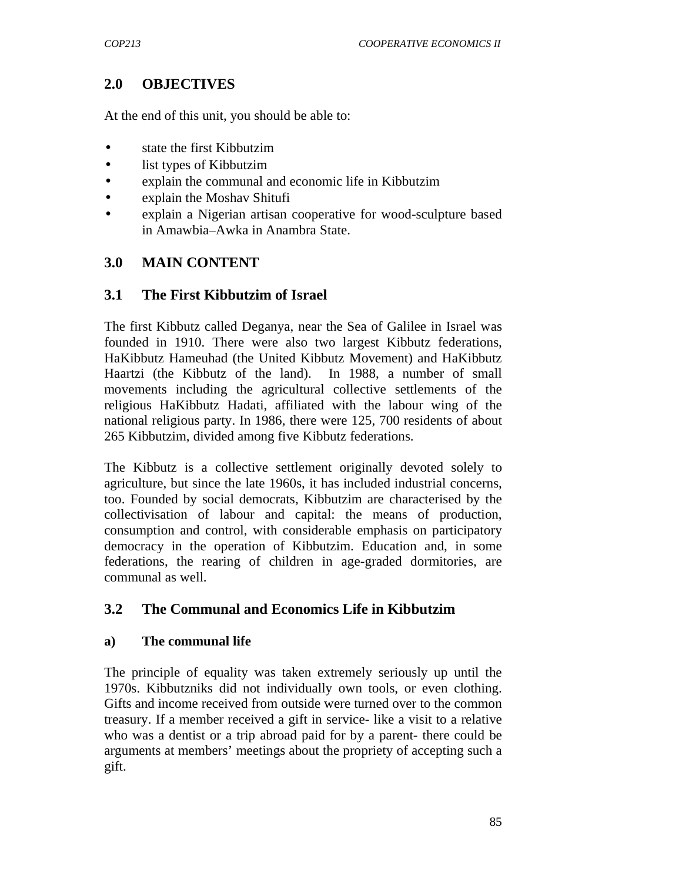# **2.0 OBJECTIVES**

At the end of this unit, you should be able to:

- state the first Kibbutzim
- list types of Kibbutzim
- explain the communal and economic life in Kibbutzim
- explain the Moshav Shitufi
- explain a Nigerian artisan cooperative for wood-sculpture based in Amawbia–Awka in Anambra State.

## **3.0 MAIN CONTENT**

### **3.1 The First Kibbutzim of Israel**

The first Kibbutz called Deganya, near the Sea of Galilee in Israel was founded in 1910. There were also two largest Kibbutz federations, HaKibbutz Hameuhad (the United Kibbutz Movement) and HaKibbutz Haartzi (the Kibbutz of the land). In 1988, a number of small movements including the agricultural collective settlements of the religious HaKibbutz Hadati, affiliated with the labour wing of the national religious party. In 1986, there were 125, 700 residents of about 265 Kibbutzim, divided among five Kibbutz federations.

The Kibbutz is a collective settlement originally devoted solely to agriculture, but since the late 1960s, it has included industrial concerns, too. Founded by social democrats, Kibbutzim are characterised by the collectivisation of labour and capital: the means of production, consumption and control, with considerable emphasis on participatory democracy in the operation of Kibbutzim. Education and, in some federations, the rearing of children in age-graded dormitories, are communal as well.

### **3.2 The Communal and Economics Life in Kibbutzim**

#### **a) The communal life**

The principle of equality was taken extremely seriously up until the 1970s. Kibbutzniks did not individually own tools, or even clothing. Gifts and income received from outside were turned over to the common treasury. If a member received a gift in service- like a visit to a relative who was a dentist or a trip abroad paid for by a parent- there could be arguments at members' meetings about the propriety of accepting such a gift.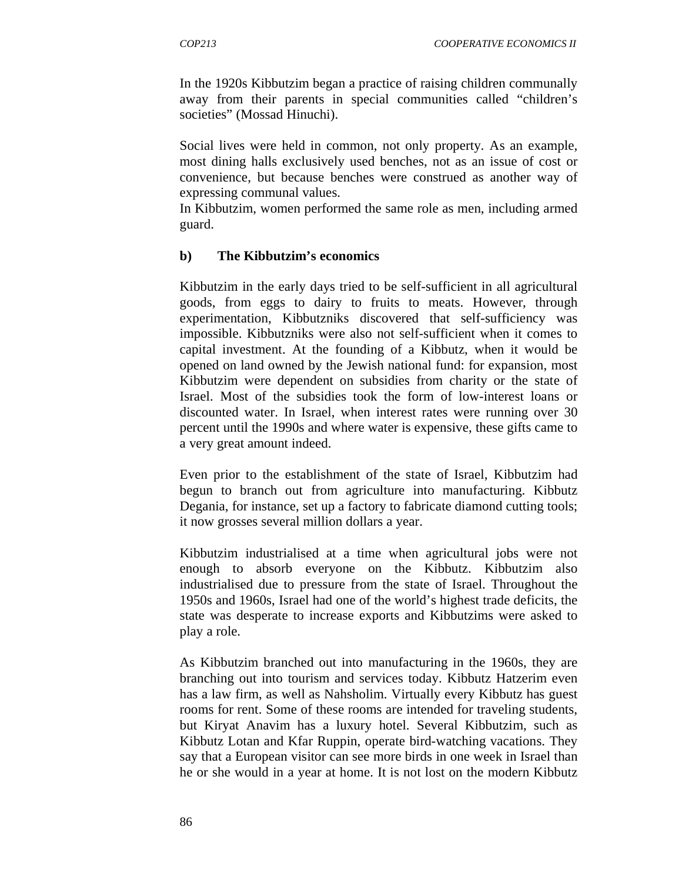In the 1920s Kibbutzim began a practice of raising children communally away from their parents in special communities called "children's societies" (Mossad Hinuchi).

Social lives were held in common, not only property. As an example, most dining halls exclusively used benches, not as an issue of cost or convenience, but because benches were construed as another way of expressing communal values.

In Kibbutzim, women performed the same role as men, including armed guard.

#### **b) The Kibbutzim's economics**

Kibbutzim in the early days tried to be self-sufficient in all agricultural goods, from eggs to dairy to fruits to meats. However, through experimentation, Kibbutzniks discovered that self-sufficiency was impossible. Kibbutzniks were also not self-sufficient when it comes to capital investment. At the founding of a Kibbutz, when it would be opened on land owned by the Jewish national fund: for expansion, most Kibbutzim were dependent on subsidies from charity or the state of Israel. Most of the subsidies took the form of low-interest loans or discounted water. In Israel, when interest rates were running over 30 percent until the 1990s and where water is expensive, these gifts came to a very great amount indeed.

Even prior to the establishment of the state of Israel, Kibbutzim had begun to branch out from agriculture into manufacturing. Kibbutz Degania, for instance, set up a factory to fabricate diamond cutting tools; it now grosses several million dollars a year.

Kibbutzim industrialised at a time when agricultural jobs were not enough to absorb everyone on the Kibbutz. Kibbutzim also industrialised due to pressure from the state of Israel. Throughout the 1950s and 1960s, Israel had one of the world's highest trade deficits, the state was desperate to increase exports and Kibbutzims were asked to play a role.

As Kibbutzim branched out into manufacturing in the 1960s, they are branching out into tourism and services today. Kibbutz Hatzerim even has a law firm, as well as Nahsholim. Virtually every Kibbutz has guest rooms for rent. Some of these rooms are intended for traveling students, but Kiryat Anavim has a luxury hotel. Several Kibbutzim, such as Kibbutz Lotan and Kfar Ruppin, operate bird-watching vacations. They say that a European visitor can see more birds in one week in Israel than he or she would in a year at home. It is not lost on the modern Kibbutz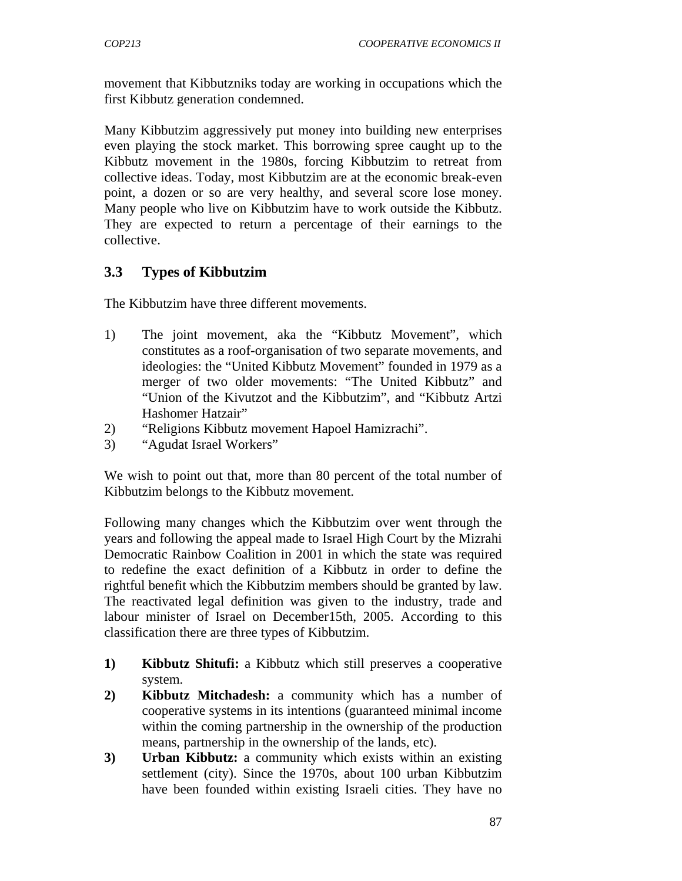movement that Kibbutzniks today are working in occupations which the first Kibbutz generation condemned.

Many Kibbutzim aggressively put money into building new enterprises even playing the stock market. This borrowing spree caught up to the Kibbutz movement in the 1980s, forcing Kibbutzim to retreat from collective ideas. Today, most Kibbutzim are at the economic break-even point, a dozen or so are very healthy, and several score lose money. Many people who live on Kibbutzim have to work outside the Kibbutz. They are expected to return a percentage of their earnings to the collective.

## **3.3 Types of Kibbutzim**

The Kibbutzim have three different movements.

- 1) The joint movement, aka the "Kibbutz Movement", which constitutes as a roof-organisation of two separate movements, and ideologies: the "United Kibbutz Movement" founded in 1979 as a merger of two older movements: "The United Kibbutz" and "Union of the Kivutzot and the Kibbutzim", and "Kibbutz Artzi Hashomer Hatzair"
- 2) "Religions Kibbutz movement Hapoel Hamizrachi".
- 3) "Agudat Israel Workers"

We wish to point out that, more than 80 percent of the total number of Kibbutzim belongs to the Kibbutz movement.

Following many changes which the Kibbutzim over went through the years and following the appeal made to Israel High Court by the Mizrahi Democratic Rainbow Coalition in 2001 in which the state was required to redefine the exact definition of a Kibbutz in order to define the rightful benefit which the Kibbutzim members should be granted by law. The reactivated legal definition was given to the industry, trade and labour minister of Israel on December15th, 2005. According to this classification there are three types of Kibbutzim.

- **1) Kibbutz Shitufi:** a Kibbutz which still preserves a cooperative system.
- **2) Kibbutz Mitchadesh:** a community which has a number of cooperative systems in its intentions (guaranteed minimal income within the coming partnership in the ownership of the production means, partnership in the ownership of the lands, etc).
- **3) Urban Kibbutz:** a community which exists within an existing settlement (city). Since the 1970s, about 100 urban Kibbutzim have been founded within existing Israeli cities. They have no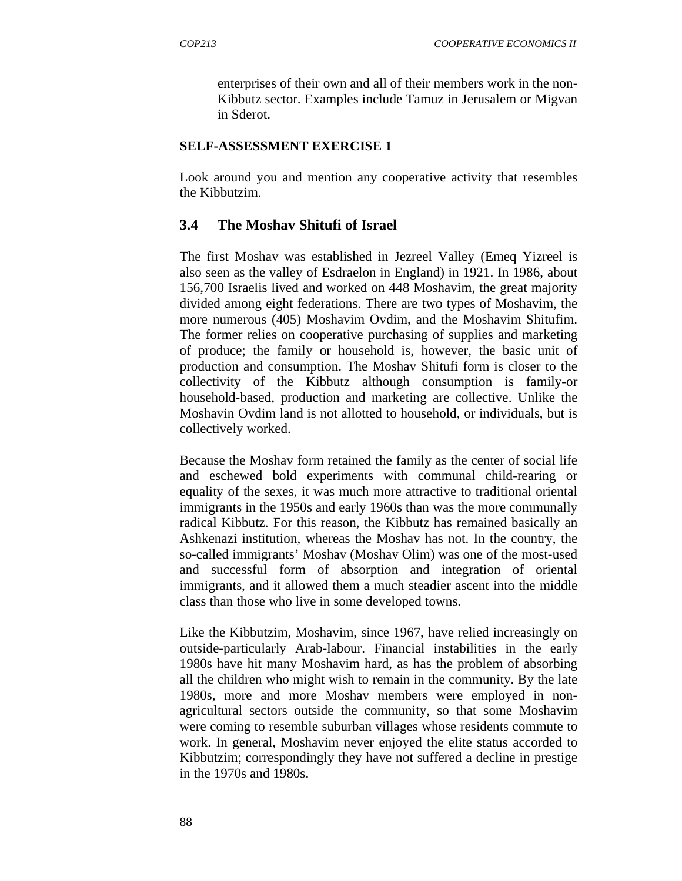enterprises of their own and all of their members work in the non- Kibbutz sector. Examples include Tamuz in Jerusalem or Migvan in Sderot.

#### **SELF-ASSESSMENT EXERCISE 1**

Look around you and mention any cooperative activity that resembles the Kibbutzim.

### **3.4 The Moshav Shitufi of Israel**

The first Moshav was established in Jezreel Valley (Emeq Yizreel is also seen as the valley of Esdraelon in England) in 1921. In 1986, about 156,700 Israelis lived and worked on 448 Moshavim, the great majority divided among eight federations. There are two types of Moshavim, the more numerous (405) Moshavim Ovdim, and the Moshavim Shitufim. The former relies on cooperative purchasing of supplies and marketing of produce; the family or household is, however, the basic unit of production and consumption. The Moshav Shitufi form is closer to the collectivity of the Kibbutz although consumption is family-or household-based, production and marketing are collective. Unlike the Moshavin Ovdim land is not allotted to household, or individuals, but is collectively worked.

Because the Moshav form retained the family as the center of social life and eschewed bold experiments with communal child-rearing or equality of the sexes, it was much more attractive to traditional oriental immigrants in the 1950s and early 1960s than was the more communally radical Kibbutz. For this reason, the Kibbutz has remained basically an Ashkenazi institution, whereas the Moshav has not. In the country, the so-called immigrants' Moshav (Moshav Olim) was one of the most-used and successful form of absorption and integration of oriental immigrants, and it allowed them a much steadier ascent into the middle class than those who live in some developed towns.

Like the Kibbutzim, Moshavim, since 1967, have relied increasingly on outside-particularly Arab-labour. Financial instabilities in the early 1980s have hit many Moshavim hard, as has the problem of absorbing all the children who might wish to remain in the community. By the late 1980s, more and more Moshav members were employed in nonagricultural sectors outside the community, so that some Moshavim were coming to resemble suburban villages whose residents commute to work. In general, Moshavim never enjoyed the elite status accorded to Kibbutzim; correspondingly they have not suffered a decline in prestige in the 1970s and 1980s.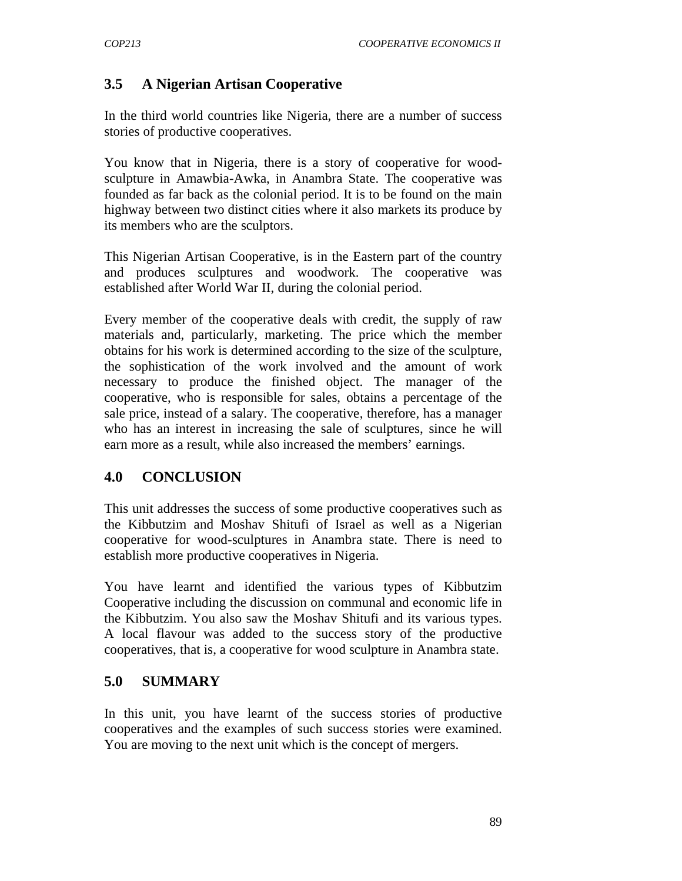## **3.5 A Nigerian Artisan Cooperative**

In the third world countries like Nigeria, there are a number of success stories of productive cooperatives.

You know that in Nigeria, there is a story of cooperative for woodsculpture in Amawbia-Awka, in Anambra State. The cooperative was founded as far back as the colonial period. It is to be found on the main highway between two distinct cities where it also markets its produce by its members who are the sculptors.

This Nigerian Artisan Cooperative, is in the Eastern part of the country and produces sculptures and woodwork. The cooperative was established after World War II, during the colonial period.

Every member of the cooperative deals with credit, the supply of raw materials and, particularly, marketing. The price which the member obtains for his work is determined according to the size of the sculpture, the sophistication of the work involved and the amount of work necessary to produce the finished object. The manager of the cooperative, who is responsible for sales, obtains a percentage of the sale price, instead of a salary. The cooperative, therefore, has a manager who has an interest in increasing the sale of sculptures, since he will earn more as a result, while also increased the members' earnings.

# **4.0 CONCLUSION**

This unit addresses the success of some productive cooperatives such as the Kibbutzim and Moshav Shitufi of Israel as well as a Nigerian cooperative for wood-sculptures in Anambra state. There is need to establish more productive cooperatives in Nigeria.

You have learnt and identified the various types of Kibbutzim Cooperative including the discussion on communal and economic life in the Kibbutzim. You also saw the Moshav Shitufi and its various types. A local flavour was added to the success story of the productive cooperatives, that is, a cooperative for wood sculpture in Anambra state.

### **5.0 SUMMARY**

In this unit, you have learnt of the success stories of productive cooperatives and the examples of such success stories were examined. You are moving to the next unit which is the concept of mergers.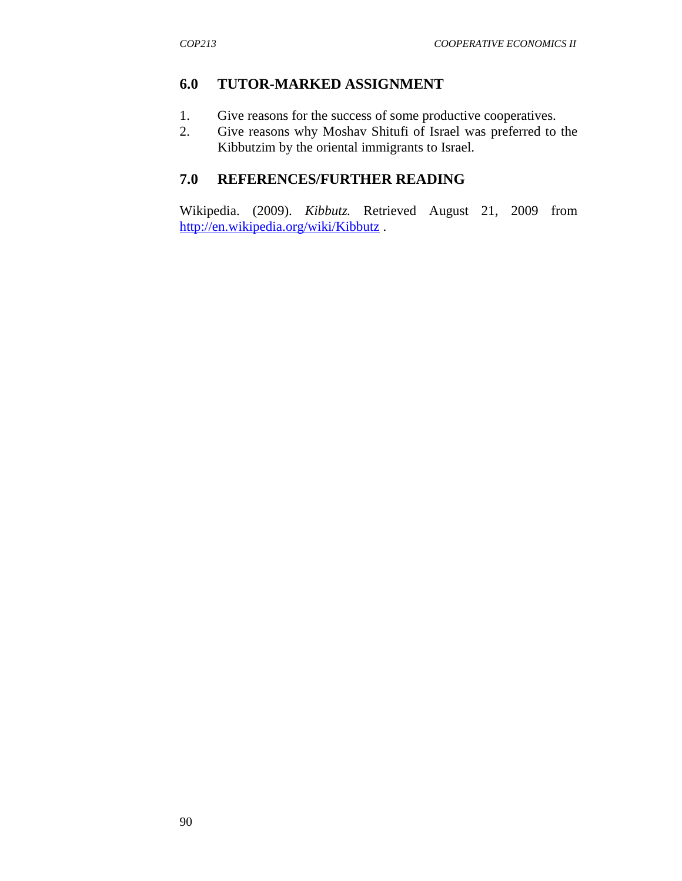## **6.0 TUTOR-MARKED ASSIGNMENT**

- 1. Give reasons for the success of some productive cooperatives.
- 2. Give reasons why Moshav Shitufi of Israel was preferred to the Kibbutzim by the oriental immigrants to Israel.

# **7.0 REFERENCES/FURTHER READING**

Wikipedia. (2009). *Kibbutz.* Retrieved August 21, 2009 from http://en.wikipedia.org/wiki/Kibbutz .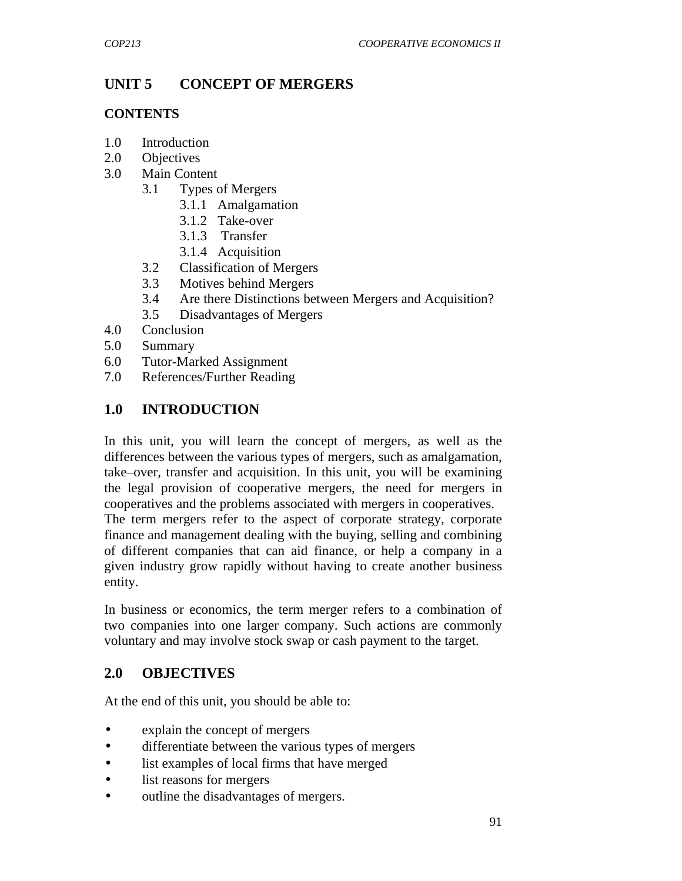# **UNIT 5 CONCEPT OF MERGERS**

#### **CONTENTS**

- 1.0 Introduction
- 2.0 Objectives
- 3.0 Main Content
	- 3.1 Types of Mergers
		- 3.1.1 Amalgamation
		- 3.1.2 Take-over
		- 3.1.3 Transfer
		- 3.1.4 Acquisition
	- 3.2 Classification of Mergers
	- 3.3 Motives behind Mergers
	- 3.4 Are there Distinctions between Mergers and Acquisition?
	- 3.5 Disadvantages of Mergers
- 4.0 Conclusion
- 5.0 Summary
- 6.0 Tutor-Marked Assignment
- 7.0 References/Further Reading

# **1.0 INTRODUCTION**

In this unit, you will learn the concept of mergers, as well as the differences between the various types of mergers, such as amalgamation, take–over, transfer and acquisition. In this unit, you will be examining the legal provision of cooperative mergers, the need for mergers in cooperatives and the problems associated with mergers in cooperatives.

The term mergers refer to the aspect of corporate strategy, corporate finance and management dealing with the buying, selling and combining of different companies that can aid finance, or help a company in a given industry grow rapidly without having to create another business entity.

In business or economics, the term merger refers to a combination of two companies into one larger company. Such actions are commonly voluntary and may involve stock swap or cash payment to the target.

### **2.0 OBJECTIVES**

At the end of this unit, you should be able to:

- explain the concept of mergers
- differentiate between the various types of mergers
- list examples of local firms that have merged
- list reasons for mergers
- outline the disadvantages of mergers.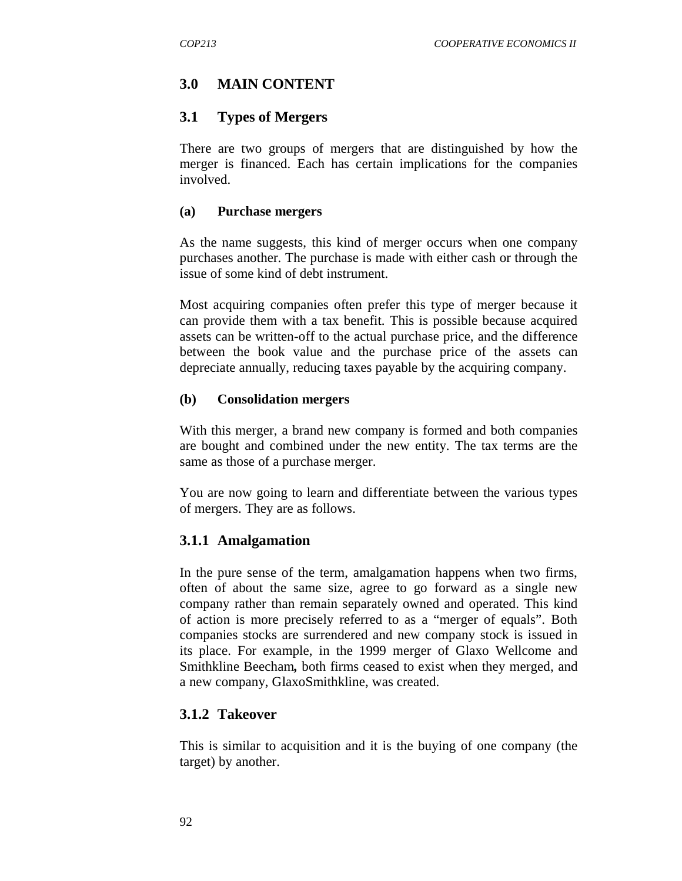## **3.0 MAIN CONTENT**

#### **3.1 Types of Mergers**

There are two groups of mergers that are distinguished by how the merger is financed. Each has certain implications for the companies involved.

#### **(a) Purchase mergers**

As the name suggests, this kind of merger occurs when one company purchases another. The purchase is made with either cash or through the issue of some kind of debt instrument.

Most acquiring companies often prefer this type of merger because it can provide them with a tax benefit. This is possible because acquired assets can be written-off to the actual purchase price, and the difference between the book value and the purchase price of the assets can depreciate annually, reducing taxes payable by the acquiring company.

#### **(b) Consolidation mergers**

With this merger, a brand new company is formed and both companies are bought and combined under the new entity. The tax terms are the same as those of a purchase merger.

You are now going to learn and differentiate between the various types of mergers. They are as follows.

#### **3.1.1 Amalgamation**

In the pure sense of the term, amalgamation happens when two firms, often of about the same size, agree to go forward as a single new company rather than remain separately owned and operated. This kind of action is more precisely referred to as a "merger of equals". Both companies stocks are surrendered and new company stock is issued in its place. For example, in the 1999 merger of Glaxo Wellcome and Smithkline Beecham*,* both firms ceased to exist when they merged, and a new company, GlaxoSmithkline, was created.

### **3.1.2 Takeover**

This is similar to acquisition and it is the buying of one company (the target) by another.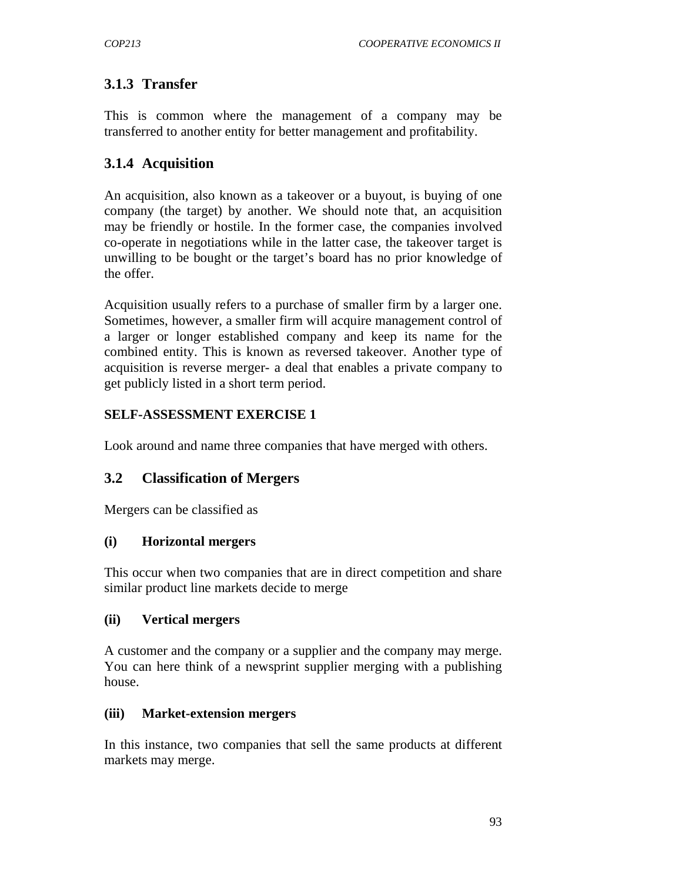# **3.1.3 Transfer**

This is common where the management of a company may be transferred to another entity for better management and profitability.

# **3.1.4 Acquisition**

An acquisition, also known as a takeover or a buyout, is buying of one company (the target) by another. We should note that, an acquisition may be friendly or hostile. In the former case, the companies involved co-operate in negotiations while in the latter case, the takeover target is unwilling to be bought or the target's board has no prior knowledge of the offer.

Acquisition usually refers to a purchase of smaller firm by a larger one. Sometimes, however, a smaller firm will acquire management control of a larger or longer established company and keep its name for the combined entity. This is known as reversed takeover. Another type of acquisition is reverse merger- a deal that enables a private company to get publicly listed in a short term period.

### **SELF-ASSESSMENT EXERCISE 1**

Look around and name three companies that have merged with others.

# **3.2 Classification of Mergers**

Mergers can be classified as

### **(i) Horizontal mergers**

This occur when two companies that are in direct competition and share similar product line markets decide to merge

### **(ii) Vertical mergers**

A customer and the company or a supplier and the company may merge. You can here think of a newsprint supplier merging with a publishing house.

### **(iii) Market-extension mergers**

In this instance, two companies that sell the same products at different markets may merge.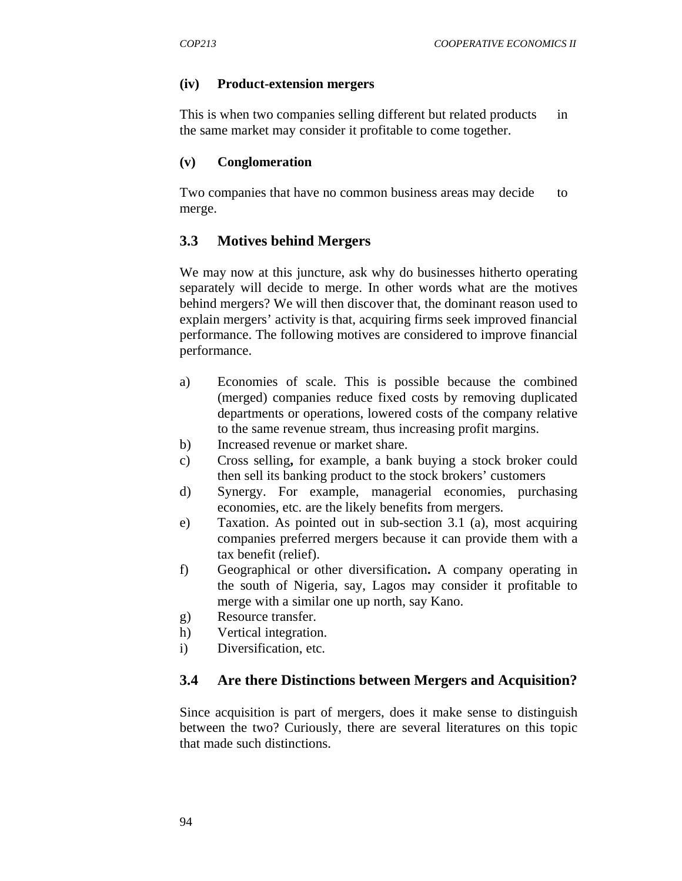#### **(iv) Product-extension mergers**

This is when two companies selling different but related products in the same market may consider it profitable to come together.

#### **(v) Conglomeration**

Two companies that have no common business areas may decide to merge.

### **3.3 Motives behind Mergers**

We may now at this juncture, ask why do businesses hitherto operating separately will decide to merge. In other words what are the motives behind mergers? We will then discover that, the dominant reason used to explain mergers' activity is that, acquiring firms seek improved financial performance. The following motives are considered to improve financial performance.

- a) Economies of scale. This is possible because the combined (merged) companies reduce fixed costs by removing duplicated departments or operations, lowered costs of the company relative to the same revenue stream, thus increasing profit margins.
- b) Increased revenue or market share.
- c) Cross selling**,** for example, a bank buying a stock broker could then sell its banking product to the stock brokers' customers
- d) Synergy. For example, managerial economies, purchasing economies, etc. are the likely benefits from mergers.
- e) Taxation. As pointed out in sub-section 3.1 (a), most acquiring companies preferred mergers because it can provide them with a tax benefit (relief).
- f) Geographical or other diversification**.** A company operating in the south of Nigeria, say, Lagos may consider it profitable to merge with a similar one up north, say Kano.
- g) Resource transfer.
- h) Vertical integration.
- i) Diversification, etc.

#### **3.4 Are there Distinctions between Mergers and Acquisition?**

Since acquisition is part of mergers, does it make sense to distinguish between the two? Curiously, there are several literatures on this topic that made such distinctions.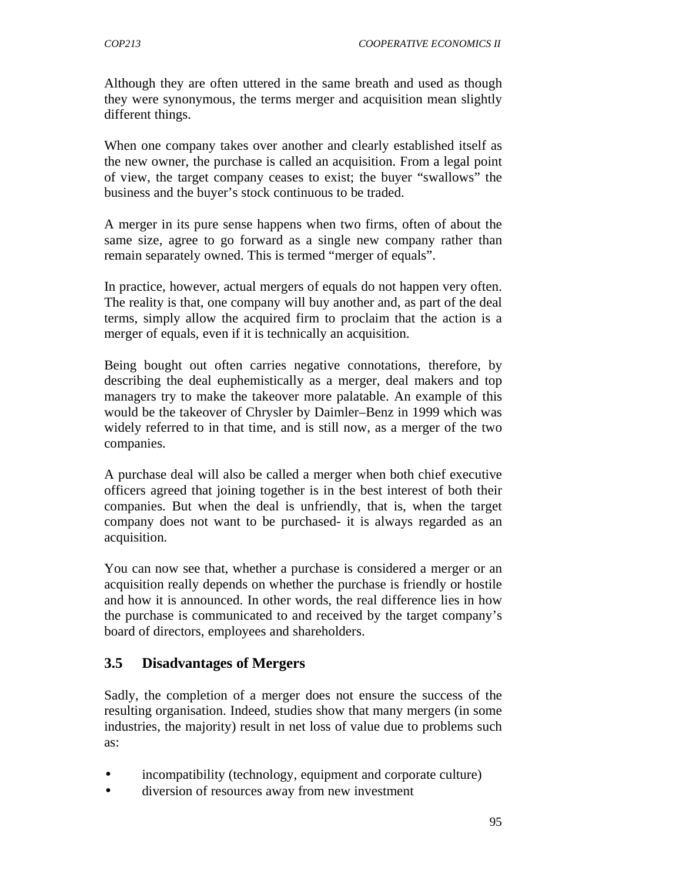Although they are often uttered in the same breath and used as though they were synonymous, the terms merger and acquisition mean slightly different things.

When one company takes over another and clearly established itself as the new owner, the purchase is called an acquisition. From a legal point of view, the target company ceases to exist; the buyer "swallows" the business and the buyer's stock continuous to be traded.

A merger in its pure sense happens when two firms, often of about the same size, agree to go forward as a single new company rather than remain separately owned. This is termed "merger of equals".

In practice, however, actual mergers of equals do not happen very often. The reality is that, one company will buy another and, as part of the deal terms, simply allow the acquired firm to proclaim that the action is a merger of equals, even if it is technically an acquisition.

Being bought out often carries negative connotations, therefore, by describing the deal euphemistically as a merger, deal makers and top managers try to make the takeover more palatable. An example of this would be the takeover of Chrysler by Daimler–Benz in 1999 which was widely referred to in that time, and is still now, as a merger of the two companies.

A purchase deal will also be called a merger when both chief executive officers agreed that joining together is in the best interest of both their companies. But when the deal is unfriendly, that is, when the target company does not want to be purchased- it is always regarded as an acquisition.

You can now see that, whether a purchase is considered a merger or an acquisition really depends on whether the purchase is friendly or hostile and how it is announced. In other words, the real difference lies in how the purchase is communicated to and received by the target company's board of directors, employees and shareholders.

### **3.5 Disadvantages of Mergers**

Sadly, the completion of a merger does not ensure the success of the resulting organisation. Indeed, studies show that many mergers (in some industries, the majority) result in net loss of value due to problems such as:

- incompatibility (technology, equipment and corporate culture)
- diversion of resources away from new investment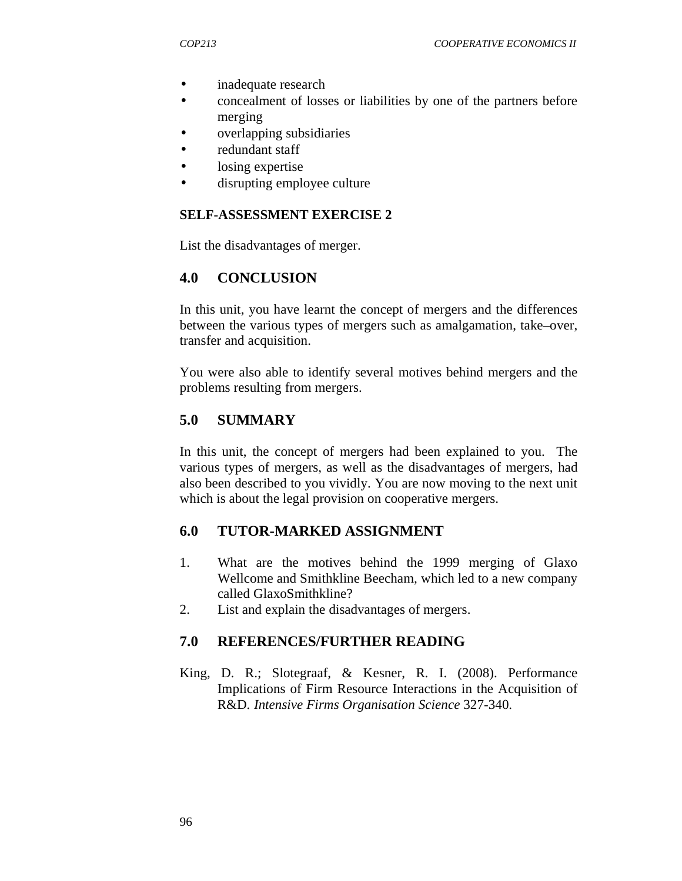- inadequate research
- concealment of losses or liabilities by one of the partners before merging
- overlapping subsidiaries
- redundant staff
- losing expertise
- disrupting employee culture

#### **SELF-ASSESSMENT EXERCISE 2**

List the disadvantages of merger.

#### **4.0 CONCLUSION**

In this unit, you have learnt the concept of mergers and the differences between the various types of mergers such as amalgamation, take–over, transfer and acquisition.

You were also able to identify several motives behind mergers and the problems resulting from mergers.

### **5.0 SUMMARY**

In this unit, the concept of mergers had been explained to you. The various types of mergers, as well as the disadvantages of mergers, had also been described to you vividly. You are now moving to the next unit which is about the legal provision on cooperative mergers.

#### **6.0 TUTOR-MARKED ASSIGNMENT**

- 1. What are the motives behind the 1999 merging of Glaxo Wellcome and Smithkline Beecham*,* which led to a new company called GlaxoSmithkline?
- 2. List and explain the disadvantages of mergers.

#### **7.0 REFERENCES/FURTHER READING**

King, D. R.; Slotegraaf, & Kesner, R. I. (2008). Performance Implications of Firm Resource Interactions in the Acquisition of R&D*. Intensive Firms Organisation Science* 327-340.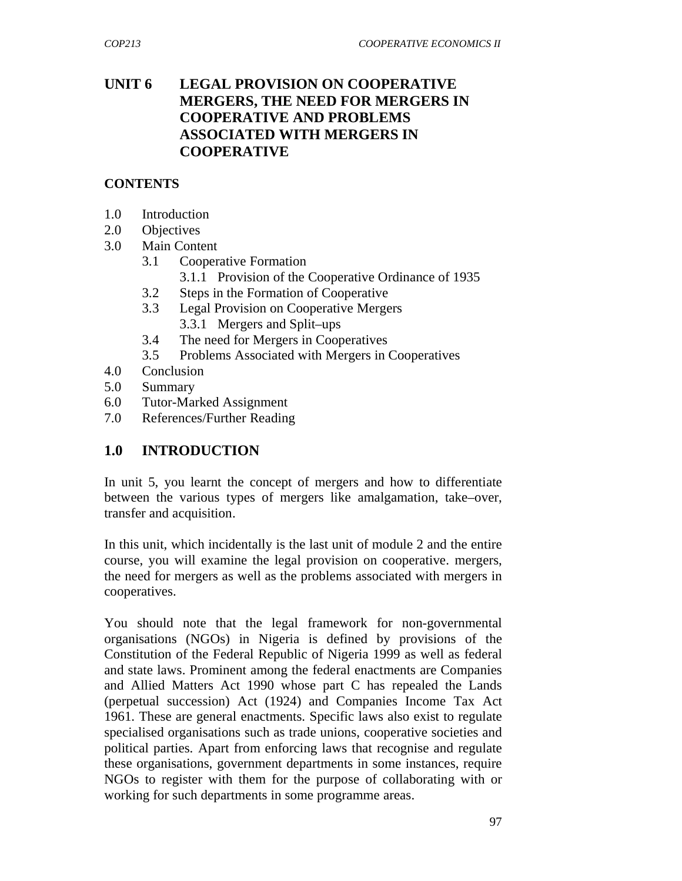## **UNIT 6 LEGAL PROVISION ON COOPERATIVE MERGERS, THE NEED FOR MERGERS IN COOPERATIVE AND PROBLEMS ASSOCIATED WITH MERGERS IN COOPERATIVE**

#### **CONTENTS**

- 1.0 Introduction
- 2.0 Objectives
- 3.0 Main Content
	- 3.1 Cooperative Formation
		- 3.1.1 Provision of the Cooperative Ordinance of 1935
	- 3.2 Steps in the Formation of Cooperative
	- 3.3 Legal Provision on Cooperative Mergers 3.3.1 Mergers and Split–ups
	- 3.4 The need for Mergers in Cooperatives
	- 3.5 Problems Associated with Mergers in Cooperatives
- 4.0 Conclusion
- 5.0 Summary
- 6.0 Tutor-Marked Assignment
- 7.0 References/Further Reading

# **1.0 INTRODUCTION**

In unit 5, you learnt the concept of mergers and how to differentiate between the various types of mergers like amalgamation, take–over, transfer and acquisition.

In this unit, which incidentally is the last unit of module 2 and the entire course, you will examine the legal provision on cooperative. mergers, the need for mergers as well as the problems associated with mergers in cooperatives.

You should note that the legal framework for non-governmental organisations (NGOs) in Nigeria is defined by provisions of the Constitution of the Federal Republic of Nigeria 1999 as well as federal and state laws. Prominent among the federal enactments are Companies and Allied Matters Act 1990 whose part C has repealed the Lands (perpetual succession) Act (1924) and Companies Income Tax Act 1961. These are general enactments. Specific laws also exist to regulate specialised organisations such as trade unions, cooperative societies and political parties. Apart from enforcing laws that recognise and regulate these organisations, government departments in some instances, require NGOs to register with them for the purpose of collaborating with or working for such departments in some programme areas.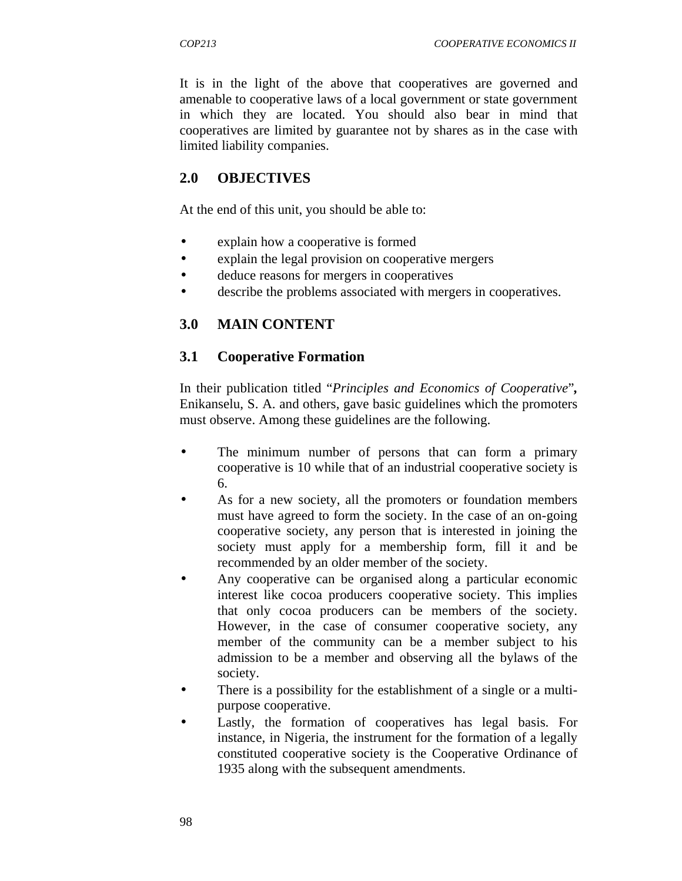It is in the light of the above that cooperatives are governed and amenable to cooperative laws of a local government or state government in which they are located. You should also bear in mind that cooperatives are limited by guarantee not by shares as in the case with limited liability companies.

#### **2.0 OBJECTIVES**

At the end of this unit, you should be able to:

- explain how a cooperative is formed
- explain the legal provision on cooperative mergers
- deduce reasons for mergers in cooperatives
- describe the problems associated with mergers in cooperatives.

### **3.0 MAIN CONTENT**

### **3.1 Cooperative Formation**

In their publication titled "*Principles and Economics of Cooperative*"*,*  Enikanselu, S. A. and others, gave basic guidelines which the promoters must observe. Among these guidelines are the following.

- The minimum number of persons that can form a primary cooperative is 10 while that of an industrial cooperative society is 6.
- As for a new society, all the promoters or foundation members must have agreed to form the society. In the case of an on-going cooperative society, any person that is interested in joining the society must apply for a membership form, fill it and be recommended by an older member of the society.
- Any cooperative can be organised along a particular economic interest like cocoa producers cooperative society. This implies that only cocoa producers can be members of the society. However, in the case of consumer cooperative society, any member of the community can be a member subject to his admission to be a member and observing all the bylaws of the society.
- There is a possibility for the establishment of a single or a multipurpose cooperative.
- Lastly, the formation of cooperatives has legal basis. For instance, in Nigeria, the instrument for the formation of a legally constituted cooperative society is the Cooperative Ordinance of 1935 along with the subsequent amendments.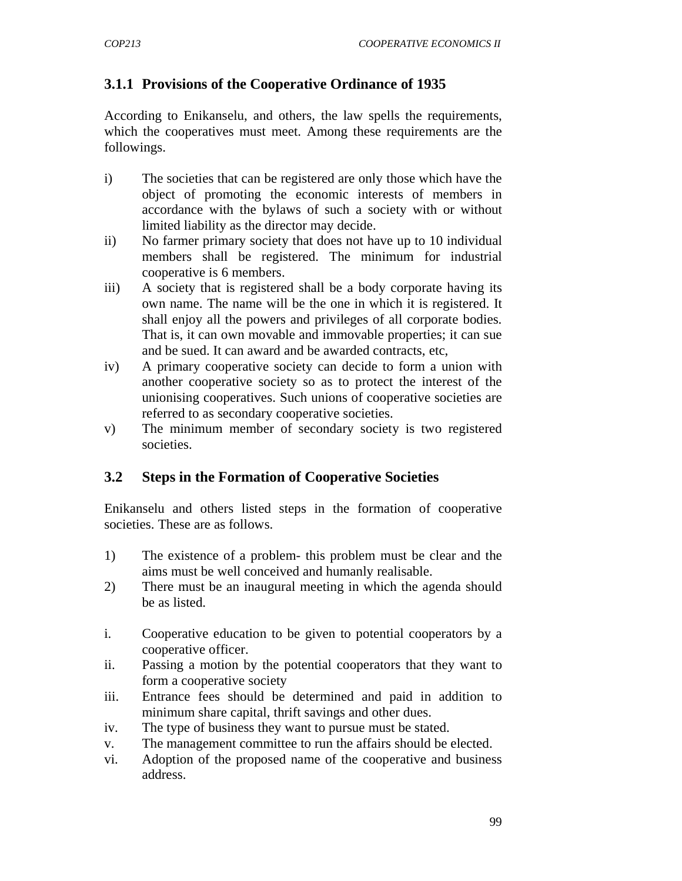# **3.1.1 Provisions of the Cooperative Ordinance of 1935**

According to Enikanselu, and others, the law spells the requirements, which the cooperatives must meet. Among these requirements are the followings.

- i) The societies that can be registered are only those which have the object of promoting the economic interests of members in accordance with the bylaws of such a society with or without limited liability as the director may decide.
- ii) No farmer primary society that does not have up to 10 individual members shall be registered. The minimum for industrial cooperative is 6 members.
- iii) A society that is registered shall be a body corporate having its own name. The name will be the one in which it is registered. It shall enjoy all the powers and privileges of all corporate bodies. That is, it can own movable and immovable properties; it can sue and be sued. It can award and be awarded contracts, etc,
- iv) A primary cooperative society can decide to form a union with another cooperative society so as to protect the interest of the unionising cooperatives. Such unions of cooperative societies are referred to as secondary cooperative societies.
- v) The minimum member of secondary society is two registered societies.

### **3.2 Steps in the Formation of Cooperative Societies**

Enikanselu and others listed steps in the formation of cooperative societies. These are as follows.

- 1) The existence of a problem- this problem must be clear and the aims must be well conceived and humanly realisable.
- 2) There must be an inaugural meeting in which the agenda should be as listed.
- i. Cooperative education to be given to potential cooperators by a cooperative officer.
- ii. Passing a motion by the potential cooperators that they want to form a cooperative society
- iii. Entrance fees should be determined and paid in addition to minimum share capital, thrift savings and other dues.
- iv. The type of business they want to pursue must be stated.
- v. The management committee to run the affairs should be elected.
- vi. Adoption of the proposed name of the cooperative and business address.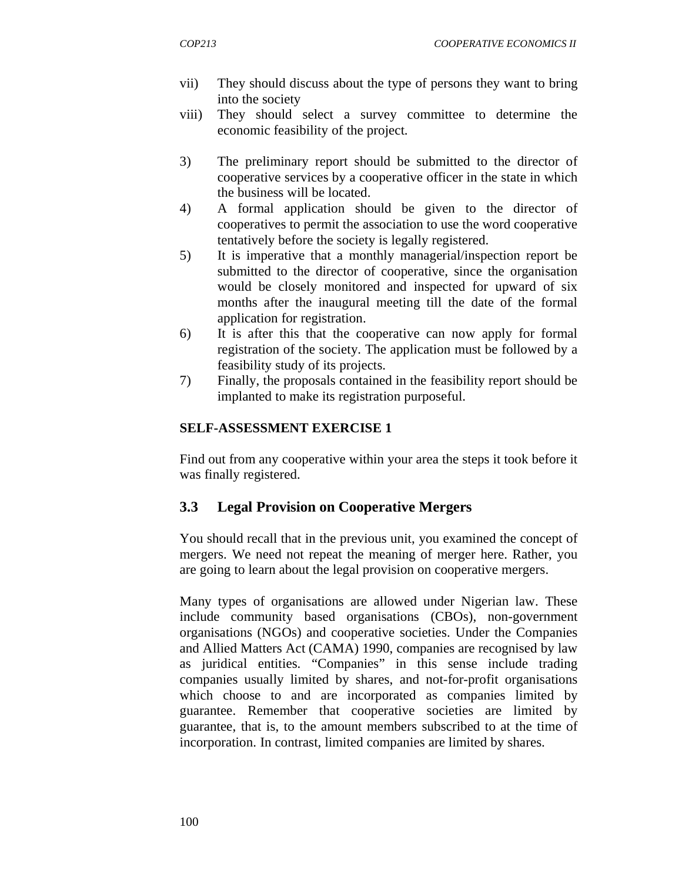- vii) They should discuss about the type of persons they want to bring into the society
- viii) They should select a survey committee to determine the economic feasibility of the project.
- 3) The preliminary report should be submitted to the director of cooperative services by a cooperative officer in the state in which the business will be located.
- 4) A formal application should be given to the director of cooperatives to permit the association to use the word cooperative tentatively before the society is legally registered.
- 5) It is imperative that a monthly managerial/inspection report be submitted to the director of cooperative, since the organisation would be closely monitored and inspected for upward of six months after the inaugural meeting till the date of the formal application for registration.
- 6) It is after this that the cooperative can now apply for formal registration of the society. The application must be followed by a feasibility study of its projects.
- 7) Finally, the proposals contained in the feasibility report should be implanted to make its registration purposeful.

#### **SELF-ASSESSMENT EXERCISE 1**

Find out from any cooperative within your area the steps it took before it was finally registered.

# **3.3 Legal Provision on Cooperative Mergers**

You should recall that in the previous unit, you examined the concept of mergers. We need not repeat the meaning of merger here. Rather, you are going to learn about the legal provision on cooperative mergers.

Many types of organisations are allowed under Nigerian law. These include community based organisations (CBOs), non-government organisations (NGOs) and cooperative societies. Under the Companies and Allied Matters Act (CAMA) 1990, companies are recognised by law as juridical entities. "Companies" in this sense include trading companies usually limited by shares, and not-for-profit organisations which choose to and are incorporated as companies limited by guarantee. Remember that cooperative societies are limited by guarantee, that is, to the amount members subscribed to at the time of incorporation. In contrast, limited companies are limited by shares.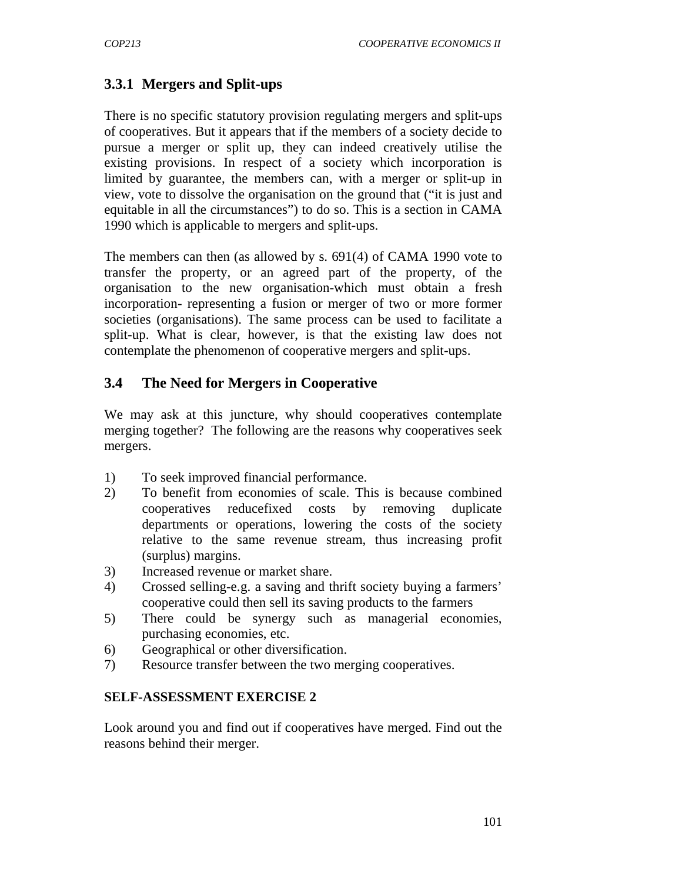# **3.3.1 Mergers and Split-ups**

There is no specific statutory provision regulating mergers and split-ups of cooperatives. But it appears that if the members of a society decide to pursue a merger or split up, they can indeed creatively utilise the existing provisions. In respect of a society which incorporation is limited by guarantee, the members can, with a merger or split-up in view, vote to dissolve the organisation on the ground that ("it is just and equitable in all the circumstances") to do so. This is a section in CAMA 1990 which is applicable to mergers and split-ups.

The members can then (as allowed by s. 691(4) of CAMA 1990 vote to transfer the property, or an agreed part of the property, of the organisation to the new organisation-which must obtain a fresh incorporation- representing a fusion or merger of two or more former societies (organisations). The same process can be used to facilitate a split-up. What is clear, however, is that the existing law does not contemplate the phenomenon of cooperative mergers and split-ups.

### **3.4 The Need for Mergers in Cooperative**

We may ask at this juncture, why should cooperatives contemplate merging together? The following are the reasons why cooperatives seek mergers.

- 1) To seek improved financial performance.
- 2) To benefit from economies of scale. This is because combined cooperatives reducefixed costs by removing duplicate departments or operations, lowering the costs of the society relative to the same revenue stream, thus increasing profit (surplus) margins.
- 3) Increased revenue or market share.
- 4) Crossed selling-e.g. a saving and thrift society buying a farmers' cooperative could then sell its saving products to the farmers
- 5) There could be synergy such as managerial economies, purchasing economies, etc.
- 6) Geographical or other diversification.
- 7) Resource transfer between the two merging cooperatives.

### **SELF-ASSESSMENT EXERCISE 2**

Look around you and find out if cooperatives have merged. Find out the reasons behind their merger.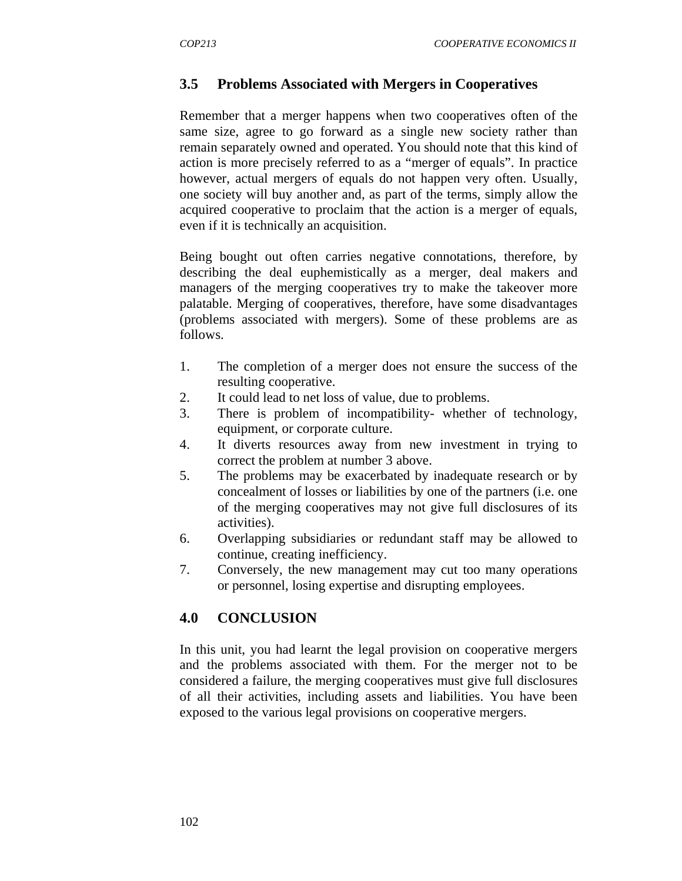## **3.5 Problems Associated with Mergers in Cooperatives**

Remember that a merger happens when two cooperatives often of the same size, agree to go forward as a single new society rather than remain separately owned and operated. You should note that this kind of action is more precisely referred to as a "merger of equals". In practice however, actual mergers of equals do not happen very often. Usually, one society will buy another and, as part of the terms, simply allow the acquired cooperative to proclaim that the action is a merger of equals, even if it is technically an acquisition.

Being bought out often carries negative connotations, therefore, by describing the deal euphemistically as a merger, deal makers and managers of the merging cooperatives try to make the takeover more palatable. Merging of cooperatives, therefore, have some disadvantages (problems associated with mergers). Some of these problems are as follows.

- 1. The completion of a merger does not ensure the success of the resulting cooperative.
- 2. It could lead to net loss of value, due to problems.
- 3. There is problem of incompatibility- whether of technology, equipment, or corporate culture.
- 4. It diverts resources away from new investment in trying to correct the problem at number 3 above.
- 5. The problems may be exacerbated by inadequate research or by concealment of losses or liabilities by one of the partners (i.e. one of the merging cooperatives may not give full disclosures of its activities).
- 6. Overlapping subsidiaries or redundant staff may be allowed to continue, creating inefficiency.
- 7. Conversely, the new management may cut too many operations or personnel, losing expertise and disrupting employees.

### **4.0 CONCLUSION**

In this unit, you had learnt the legal provision on cooperative mergers and the problems associated with them. For the merger not to be considered a failure, the merging cooperatives must give full disclosures of all their activities, including assets and liabilities. You have been exposed to the various legal provisions on cooperative mergers.